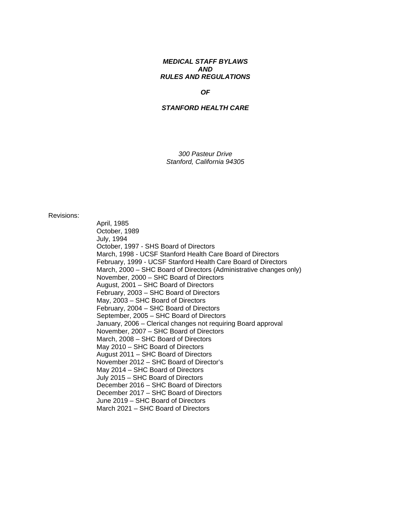## *MEDICAL STAFF BYLAWS AND RULES AND REGULATIONS*

### *OF*

#### *STANFORD HEALTH CARE*

*300 Pasteur Drive Stanford, California 94305* 

Revisions:

April, 1985 October, 1989 July, 1994 October, 1997 - SHS Board of Directors March, 1998 - UCSF Stanford Health Care Board of Directors February, 1999 - UCSF Stanford Health Care Board of Directors March, 2000 – SHC Board of Directors (Administrative changes only) November, 2000 – SHC Board of Directors August, 2001 – SHC Board of Directors February, 2003 – SHC Board of Directors May, 2003 – SHC Board of Directors February, 2004 – SHC Board of Directors September, 2005 – SHC Board of Directors January, 2006 – Clerical changes not requiring Board approval November, 2007 – SHC Board of Directors March, 2008 – SHC Board of Directors May 2010 – SHC Board of Directors August 2011 – SHC Board of Directors November 2012 – SHC Board of Director's May 2014 – SHC Board of Directors July 2015 – SHC Board of Directors December 2016 – SHC Board of Directors December 2017 – SHC Board of Directors June 2019 – SHC Board of Directors March 2021 – SHC Board of Directors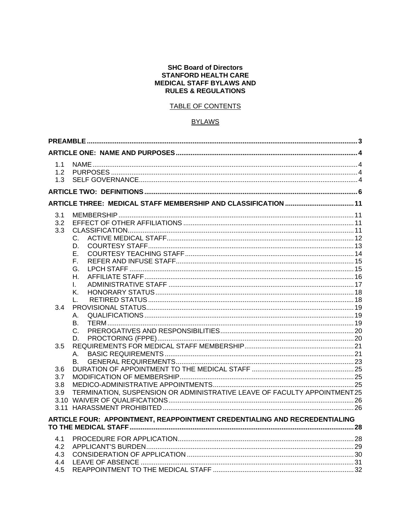#### **SHC Board of Directors STANFORD HEALTH CARE MEDICAL STAFF BYLAWS AND RULES & REGULATIONS**

# TABLE OF CONTENTS

# **BYLAWS**

| 1.1<br>1.2<br>1.3               |                                                                            |  |
|---------------------------------|----------------------------------------------------------------------------|--|
|                                 |                                                                            |  |
|                                 |                                                                            |  |
| 3.1<br>3.2<br>3.3               | C.<br>D.<br>Е.                                                             |  |
|                                 | F.<br>G.<br>Η.<br>L.<br>Κ.<br>$\mathbf{L}$                                 |  |
| 3.4                             | Α.<br>В.<br>C.<br>D.                                                       |  |
| 3.5<br>3.6<br>3.7               | Α.<br>B.                                                                   |  |
| 3.8<br>3.9                      | TERMINATION, SUSPENSION OR ADMINISTRATIVE LEAVE OF FACULTY APPOINTMENT25   |  |
|                                 | ARTICLE FOUR: APPOINTMENT, REAPPOINTMENT CREDENTIALING AND RECREDENTIALING |  |
| 4.1<br>4.2<br>4.3<br>4.4<br>4.5 |                                                                            |  |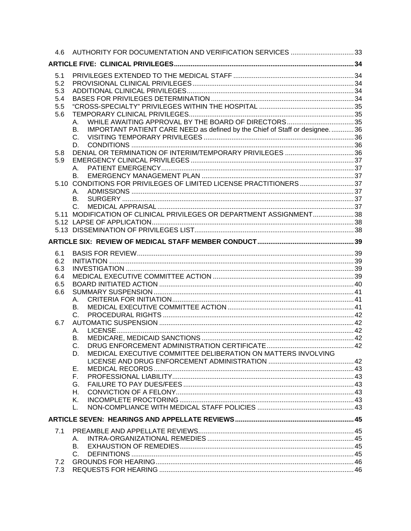|     | 4.6 AUTHORITY FOR DOCUMENTATION AND VERIFICATION SERVICES 33                     |  |
|-----|----------------------------------------------------------------------------------|--|
|     |                                                                                  |  |
| 5.1 |                                                                                  |  |
| 5.2 |                                                                                  |  |
| 5.3 |                                                                                  |  |
| 5.4 |                                                                                  |  |
| 5.5 |                                                                                  |  |
| 5.6 |                                                                                  |  |
|     | А.                                                                               |  |
|     | IMPORTANT PATIENT CARE NEED as defined by the Chief of Staff or designee36<br>В. |  |
|     | C.                                                                               |  |
|     | D.                                                                               |  |
| 5.8 |                                                                                  |  |
| 5.9 | A.                                                                               |  |
|     | $B_{\rm{eff}}$                                                                   |  |
|     | 5.10 CONDITIONS FOR PRIVILEGES OF LIMITED LICENSE PRACTITIONERS 37               |  |
|     | А.                                                                               |  |
|     | B.                                                                               |  |
|     |                                                                                  |  |
|     | 5.11 MODIFICATION OF CLINICAL PRIVILEGES OR DEPARTMENT ASSIGNMENT38              |  |
|     |                                                                                  |  |
|     |                                                                                  |  |
|     |                                                                                  |  |
|     |                                                                                  |  |
| 6.1 |                                                                                  |  |
| 6.2 |                                                                                  |  |
| 6.3 |                                                                                  |  |
| 6.4 |                                                                                  |  |
| 6.5 |                                                                                  |  |
| 6.6 |                                                                                  |  |
|     | Α.                                                                               |  |
|     | <b>B.</b>                                                                        |  |
|     | $C_{\cdot}$                                                                      |  |
| 6.7 |                                                                                  |  |
|     | А.                                                                               |  |
|     | В.                                                                               |  |
|     | C.                                                                               |  |
|     | MEDICAL EXECUTIVE COMMITTEE DELIBERATION ON MATTERS INVOLVING<br>D.              |  |
|     | Ε.                                                                               |  |
|     | F.,                                                                              |  |
|     | G.                                                                               |  |
|     | Η.                                                                               |  |
|     | Κ.                                                                               |  |
|     | L.                                                                               |  |
|     |                                                                                  |  |
|     |                                                                                  |  |
| 7.1 |                                                                                  |  |
|     | А.                                                                               |  |
|     | В.                                                                               |  |
|     | $C_{\cdot}$                                                                      |  |
| 7.2 |                                                                                  |  |
|     |                                                                                  |  |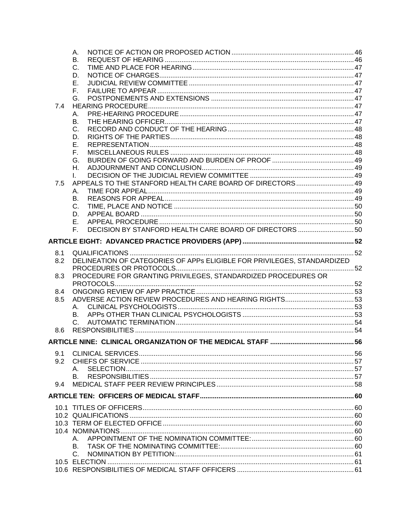|     | А.                                                                      |  |
|-----|-------------------------------------------------------------------------|--|
|     | В.                                                                      |  |
|     | C.                                                                      |  |
|     | D.                                                                      |  |
|     | Е.                                                                      |  |
|     | Е.                                                                      |  |
|     | G.                                                                      |  |
| 7.4 |                                                                         |  |
|     | А.                                                                      |  |
|     | В.                                                                      |  |
|     | C.                                                                      |  |
|     | D.                                                                      |  |
|     | Е.                                                                      |  |
|     | F.                                                                      |  |
|     | G.                                                                      |  |
|     | Η.                                                                      |  |
|     | L.                                                                      |  |
| 7.5 |                                                                         |  |
|     | А.                                                                      |  |
|     | В.                                                                      |  |
|     | C.                                                                      |  |
|     | D.                                                                      |  |
|     | Е.                                                                      |  |
|     | DECISION BY STANFORD HEALTH CARE BOARD OF DIRECTORS  50<br>F.           |  |
|     |                                                                         |  |
|     |                                                                         |  |
| 8.1 |                                                                         |  |
| 8.2 | DELINEATION OF CATEGORIES OF APPS ELIGIBLE FOR PRIVILEGES, STANDARDIZED |  |
|     |                                                                         |  |
| 8.3 | PROCEDURE FOR GRANTING PRIVILEGES, STANDARDIZED PROCEDURES OR           |  |
|     |                                                                         |  |
| 8.4 |                                                                         |  |
| 8.5 |                                                                         |  |
|     | А.                                                                      |  |
|     | В.                                                                      |  |
|     | C.                                                                      |  |
| 8.6 |                                                                         |  |
|     |                                                                         |  |
|     |                                                                         |  |
| 9.1 |                                                                         |  |
| 9.2 |                                                                         |  |
|     | А.                                                                      |  |
|     | В.                                                                      |  |
| 9.4 |                                                                         |  |
|     |                                                                         |  |
|     |                                                                         |  |
|     |                                                                         |  |
|     |                                                                         |  |
|     |                                                                         |  |
|     |                                                                         |  |
|     | А.                                                                      |  |
|     | В.                                                                      |  |
|     | C.                                                                      |  |
|     |                                                                         |  |
|     |                                                                         |  |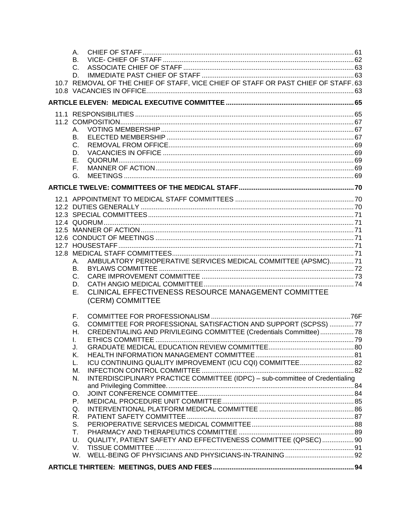| А.<br>В.                                                                                 |  |
|------------------------------------------------------------------------------------------|--|
| C.                                                                                       |  |
| D.<br>10.7 REMOVAL OF THE CHIEF OF STAFF, VICE CHIEF OF STAFF OR PAST CHIEF OF STAFF.63  |  |
|                                                                                          |  |
|                                                                                          |  |
|                                                                                          |  |
|                                                                                          |  |
| А.<br>В.                                                                                 |  |
| C.                                                                                       |  |
| D.                                                                                       |  |
| Е.                                                                                       |  |
| F.                                                                                       |  |
| G.                                                                                       |  |
|                                                                                          |  |
|                                                                                          |  |
|                                                                                          |  |
|                                                                                          |  |
|                                                                                          |  |
|                                                                                          |  |
|                                                                                          |  |
|                                                                                          |  |
| AMBULATORY PERIOPERATIVE SERVICES MEDICAL COMMITTEE (APSMC)71<br>А.                      |  |
| В.<br>C.                                                                                 |  |
| D.                                                                                       |  |
| CLINICAL EFFECTIVENESS RESOURCE MANAGEMENT COMMITTEE<br>Е.                               |  |
| (CERM) COMMITTEE                                                                         |  |
| F.                                                                                       |  |
| COMMITTEE FOR PROFESSIONAL SATISFACTION AND SUPPORT (SCPSS) 77<br>G.                     |  |
| CREDENTIALING AND PRIVILEGING COMMITTEE (Credentials Committee) 78<br>Н.<br>L.           |  |
| J.                                                                                       |  |
| Κ.                                                                                       |  |
| ICU CONTINUING QUALITY IMPROVEMENT (ICU CQI) COMMITTEE 82<br>L.                          |  |
| М.<br>INTERDISCIPLINARY PRACTICE COMMITTEE (IDPC) - sub-committee of Credentialing<br>N. |  |
|                                                                                          |  |
| O.                                                                                       |  |
| Ρ.                                                                                       |  |
| Q.                                                                                       |  |
| R.                                                                                       |  |
| S.<br>T.                                                                                 |  |
| QUALITY, PATIENT SAFETY AND EFFECTIVENESS COMMITTEE (QPSEC)  90<br>U.                    |  |
| V.                                                                                       |  |
| W.                                                                                       |  |
| ARTICLE TUIRTEEN, MEETINGS DUES AND EEES<br>$\overline{\mathbf{a}}$                      |  |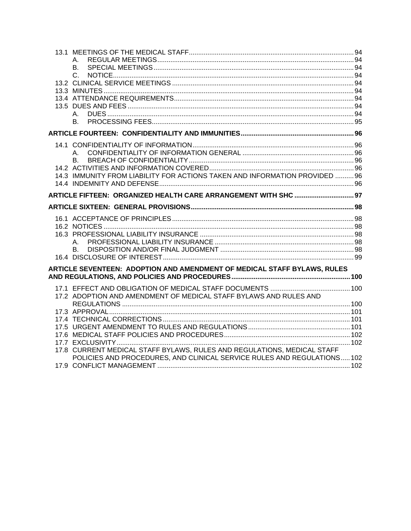| A.                                                                          |  |
|-----------------------------------------------------------------------------|--|
| В.                                                                          |  |
| $C_{-}$                                                                     |  |
|                                                                             |  |
|                                                                             |  |
|                                                                             |  |
|                                                                             |  |
| A.                                                                          |  |
| B.                                                                          |  |
|                                                                             |  |
|                                                                             |  |
| A.                                                                          |  |
|                                                                             |  |
|                                                                             |  |
| 14.3 IMMUNITY FROM LIABILITY FOR ACTIONS TAKEN AND INFORMATION PROVIDED  96 |  |
|                                                                             |  |
|                                                                             |  |
| ARTICLE FIFTEEN: ORGANIZED HEALTH CARE ARRANGEMENT WITH SHC  97             |  |
|                                                                             |  |
|                                                                             |  |
|                                                                             |  |
|                                                                             |  |
| A. .                                                                        |  |
| B.                                                                          |  |
|                                                                             |  |
| ARTICLE SEVENTEEN: ADOPTION AND AMENDMENT OF MEDICAL STAFF BYLAWS, RULES    |  |
|                                                                             |  |
|                                                                             |  |
| 17.2 ADOPTION AND AMENDMENT OF MEDICAL STAFF BYLAWS AND RULES AND           |  |
|                                                                             |  |
|                                                                             |  |
|                                                                             |  |
|                                                                             |  |
|                                                                             |  |
|                                                                             |  |
| 17.8 CURRENT MEDICAL STAFF BYLAWS, RULES AND REGULATIONS, MEDICAL STAFF     |  |
| POLICIES AND PROCEDURES, AND CLINICAL SERVICE RULES AND REGULATIONS102      |  |
|                                                                             |  |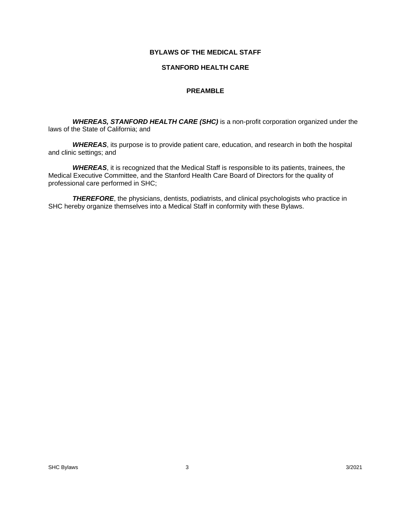## **BYLAWS OF THE MEDICAL STAFF**

#### **STANFORD HEALTH CARE**

### **PREAMBLE**

 *WHEREAS, STANFORD HEALTH CARE (SHC)* is a non-profit corporation organized under the laws of the State of California; and

*WHEREAS*, its purpose is to provide patient care, education, and research in both the hospital and clinic settings; and

*WHEREAS*, it is recognized that the Medical Staff is responsible to its patients, trainees, the Medical Executive Committee, and the Stanford Health Care Board of Directors for the quality of professional care performed in SHC;

**THEREFORE**, the physicians, dentists, podiatrists, and clinical psychologists who practice in SHC hereby organize themselves into a Medical Staff in conformity with these Bylaws.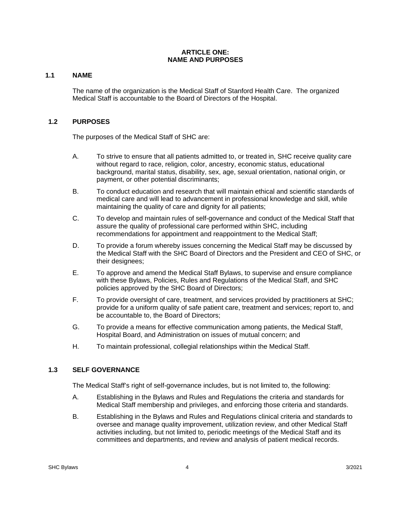#### **ARTICLE ONE: NAME AND PURPOSES**

## **1.1 NAME**

The name of the organization is the Medical Staff of Stanford Health Care. The organized Medical Staff is accountable to the Board of Directors of the Hospital.

## **1.2 PURPOSES**

The purposes of the Medical Staff of SHC are:

- A. To strive to ensure that all patients admitted to, or treated in, SHC receive quality care without regard to race, religion, color, ancestry, economic status, educational background, marital status, disability, sex, age, sexual orientation, national origin, or payment, or other potential discriminants;
- B. To conduct education and research that will maintain ethical and scientific standards of medical care and will lead to advancement in professional knowledge and skill, while maintaining the quality of care and dignity for all patients;
- C. To develop and maintain rules of self-governance and conduct of the Medical Staff that assure the quality of professional care performed within SHC, including recommendations for appointment and reappointment to the Medical Staff;
- D. To provide a forum whereby issues concerning the Medical Staff may be discussed by the Medical Staff with the SHC Board of Directors and the President and CEO of SHC, or their designees;
- E. To approve and amend the Medical Staff Bylaws, to supervise and ensure compliance with these Bylaws, Policies, Rules and Regulations of the Medical Staff, and SHC policies approved by the SHC Board of Directors;
- F. To provide oversight of care, treatment, and services provided by practitioners at SHC; provide for a uniform quality of safe patient care, treatment and services; report to, and be accountable to, the Board of Directors;
- G. To provide a means for effective communication among patients, the Medical Staff, Hospital Board, and Administration on issues of mutual concern; and
- H. To maintain professional, collegial relationships within the Medical Staff.

## **1.3 SELF GOVERNANCE**

The Medical Staff's right of self-governance includes, but is not limited to, the following:

- A. Establishing in the Bylaws and Rules and Regulations the criteria and standards for Medical Staff membership and privileges, and enforcing those criteria and standards.
- B. Establishing in the Bylaws and Rules and Regulations clinical criteria and standards to oversee and manage quality improvement, utilization review, and other Medical Staff activities including, but not limited to, periodic meetings of the Medical Staff and its committees and departments, and review and analysis of patient medical records.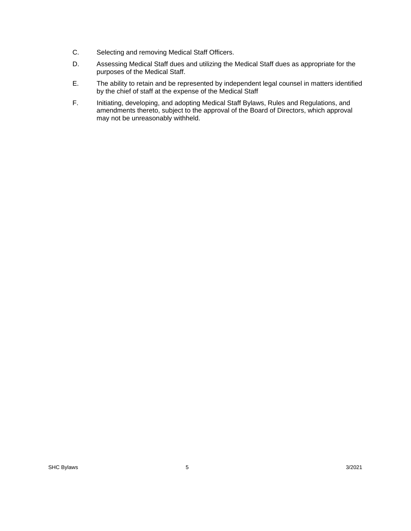- C. Selecting and removing Medical Staff Officers.
- D. Assessing Medical Staff dues and utilizing the Medical Staff dues as appropriate for the purposes of the Medical Staff.
- E. The ability to retain and be represented by independent legal counsel in matters identified by the chief of staff at the expense of the Medical Staff
- F. Initiating, developing, and adopting Medical Staff Bylaws, Rules and Regulations, and amendments thereto, subject to the approval of the Board of Directors, which approval may not be unreasonably withheld.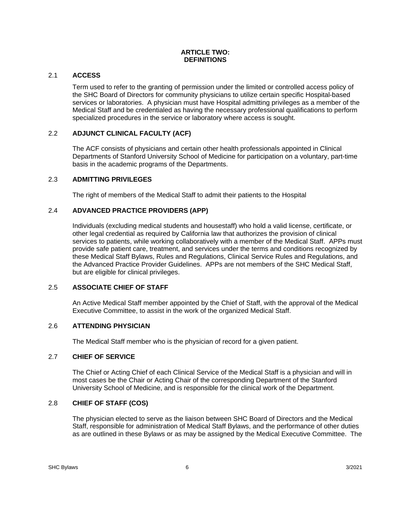#### **ARTICLE TWO: DEFINITIONS**

## 2.1 **ACCESS**

Term used to refer to the granting of permission under the limited or controlled access policy of the SHC Board of Directors for community physicians to utilize certain specific Hospital-based services or laboratories. A physician must have Hospital admitting privileges as a member of the Medical Staff and be credentialed as having the necessary professional qualifications to perform specialized procedures in the service or laboratory where access is sought.

## 2.2 **ADJUNCT CLINICAL FACULTY (ACF)**

The ACF consists of physicians and certain other health professionals appointed in Clinical Departments of Stanford University School of Medicine for participation on a voluntary, part-time basis in the academic programs of the Departments.

### 2.3 **ADMITTING PRIVILEGES**

The right of members of the Medical Staff to admit their patients to the Hospital

## 2.4 **ADVANCED PRACTICE PROVIDERS (APP)**

Individuals (excluding medical students and housestaff) who hold a valid license, certificate, or other legal credential as required by California law that authorizes the provision of clinical services to patients, while working collaboratively with a member of the Medical Staff. APPs must provide safe patient care, treatment, and services under the terms and conditions recognized by these Medical Staff Bylaws, Rules and Regulations, Clinical Service Rules and Regulations, and the Advanced Practice Provider Guidelines. APPs are not members of the SHC Medical Staff, but are eligible for clinical privileges.

## 2.5 **ASSOCIATE CHIEF OF STAFF**

An Active Medical Staff member appointed by the Chief of Staff, with the approval of the Medical Executive Committee, to assist in the work of the organized Medical Staff.

#### 2.6 **ATTENDING PHYSICIAN**

The Medical Staff member who is the physician of record for a given patient.

#### 2.7 **CHIEF OF SERVICE**

The Chief or Acting Chief of each Clinical Service of the Medical Staff is a physician and will in most cases be the Chair or Acting Chair of the corresponding Department of the Stanford University School of Medicine, and is responsible for the clinical work of the Department.

#### 2.8 **CHIEF OF STAFF (COS)**

The physician elected to serve as the liaison between SHC Board of Directors and the Medical Staff, responsible for administration of Medical Staff Bylaws, and the performance of other duties as are outlined in these Bylaws or as may be assigned by the Medical Executive Committee. The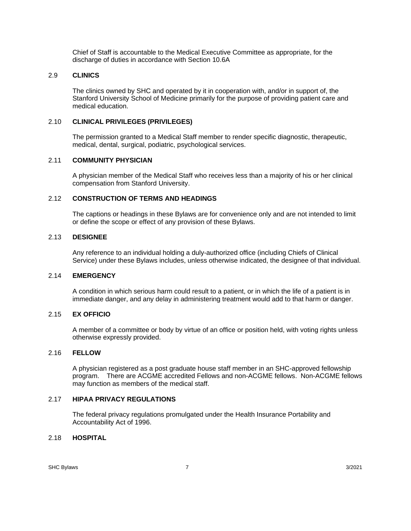Chief of Staff is accountable to the Medical Executive Committee as appropriate, for the discharge of duties in accordance with Section 10.6A

## 2.9 **CLINICS**

The clinics owned by SHC and operated by it in cooperation with, and/or in support of, the Stanford University School of Medicine primarily for the purpose of providing patient care and medical education.

### 2.10 **CLINICAL PRIVILEGES (PRIVILEGES)**

The permission granted to a Medical Staff member to render specific diagnostic, therapeutic, medical, dental, surgical, podiatric, psychological services.

### 2.11 **COMMUNITY PHYSICIAN**

A physician member of the Medical Staff who receives less than a majority of his or her clinical compensation from Stanford University.

#### 2.12 **CONSTRUCTION OF TERMS AND HEADINGS**

The captions or headings in these Bylaws are for convenience only and are not intended to limit or define the scope or effect of any provision of these Bylaws.

#### 2.13 **DESIGNEE**

Any reference to an individual holding a duly-authorized office (including Chiefs of Clinical Service) under these Bylaws includes, unless otherwise indicated, the designee of that individual.

#### 2.14 **EMERGENCY**

A condition in which serious harm could result to a patient, or in which the life of a patient is in immediate danger, and any delay in administering treatment would add to that harm or danger.

#### 2.15 **EX OFFICIO**

A member of a committee or body by virtue of an office or position held, with voting rights unless otherwise expressly provided.

#### 2.16 **FELLOW**

A physician registered as a post graduate house staff member in an SHC-approved fellowship program. There are ACGME accredited Fellows and non-ACGME fellows. Non-ACGME fellows may function as members of the medical staff.

## 2.17 **HIPAA PRIVACY REGULATIONS**

The federal privacy regulations promulgated under the Health Insurance Portability and Accountability Act of 1996.

#### 2.18 **HOSPITAL**

SHC Bylaws 3/2021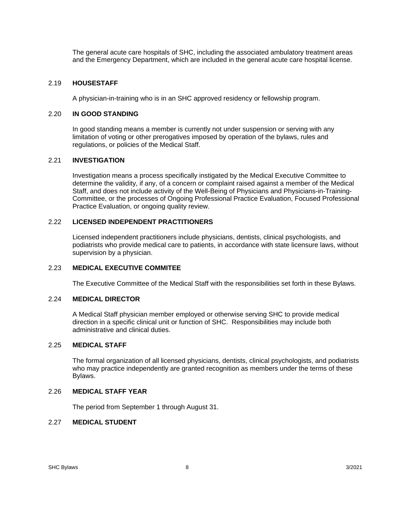The general acute care hospitals of SHC, including the associated ambulatory treatment areas and the Emergency Department, which are included in the general acute care hospital license.

#### 2.19 **HOUSESTAFF**

A physician-in-training who is in an SHC approved residency or fellowship program.

#### 2.20 **IN GOOD STANDING**

In good standing means a member is currently not under suspension or serving with any limitation of voting or other prerogatives imposed by operation of the bylaws, rules and regulations, or policies of the Medical Staff.

## 2.21 **INVESTIGATION**

Investigation means a process specifically instigated by the Medical Executive Committee to determine the validity, if any, of a concern or complaint raised against a member of the Medical Staff, and does not include activity of the Well-Being of Physicians and Physicians-in-Training-Committee, or the processes of Ongoing Professional Practice Evaluation, Focused Professional Practice Evaluation, or ongoing quality review.

## 2.22 **LICENSED INDEPENDENT PRACTITIONERS**

Licensed independent practitioners include physicians, dentists, clinical psychologists, and podiatrists who provide medical care to patients, in accordance with state licensure laws, without supervision by a physician.

#### 2.23 **MEDICAL EXECUTIVE COMMITEE**

The Executive Committee of the Medical Staff with the responsibilities set forth in these Bylaws.

#### 2.24 **MEDICAL DIRECTOR**

A Medical Staff physician member employed or otherwise serving SHC to provide medical direction in a specific clinical unit or function of SHC. Responsibilities may include both administrative and clinical duties.

#### 2.25 **MEDICAL STAFF**

The formal organization of all licensed physicians, dentists, clinical psychologists, and podiatrists who may practice independently are granted recognition as members under the terms of these Bylaws.

#### 2.26 **MEDICAL STAFF YEAR**

The period from September 1 through August 31.

## 2.27 **MEDICAL STUDENT**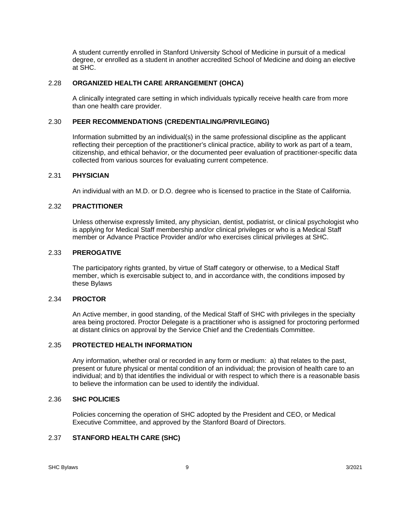A student currently enrolled in Stanford University School of Medicine in pursuit of a medical degree, or enrolled as a student in another accredited School of Medicine and doing an elective at SHC.

#### 2.28 **ORGANIZED HEALTH CARE ARRANGEMENT (OHCA)**

A clinically integrated care setting in which individuals typically receive health care from more than one health care provider.

#### 2.30 **PEER RECOMMENDATIONS (CREDENTIALING/PRIVILEGING)**

Information submitted by an individual(s) in the same professional discipline as the applicant reflecting their perception of the practitioner's clinical practice, ability to work as part of a team, citizenship, and ethical behavior, or the documented peer evaluation of practitioner-specific data collected from various sources for evaluating current competence.

#### 2.31 **PHYSICIAN**

An individual with an M.D. or D.O. degree who is licensed to practice in the State of California.

#### 2.32 **PRACTITIONER**

Unless otherwise expressly limited, any physician, dentist, podiatrist, or clinical psychologist who is applying for Medical Staff membership and/or clinical privileges or who is a Medical Staff member or Advance Practice Provider and/or who exercises clinical privileges at SHC.

#### 2.33 **PREROGATIVE**

The participatory rights granted, by virtue of Staff category or otherwise, to a Medical Staff member, which is exercisable subject to, and in accordance with, the conditions imposed by these Bylaws

#### 2.34 **PROCTOR**

An Active member, in good standing, of the Medical Staff of SHC with privileges in the specialty area being proctored. Proctor Delegate is a practitioner who is assigned for proctoring performed at distant clinics on approval by the Service Chief and the Credentials Committee.

#### 2.35 **PROTECTED HEALTH INFORMATION**

Any information, whether oral or recorded in any form or medium: a) that relates to the past, present or future physical or mental condition of an individual; the provision of health care to an individual; and b) that identifies the individual or with respect to which there is a reasonable basis to believe the information can be used to identify the individual.

#### 2.36 **SHC POLICIES**

Policies concerning the operation of SHC adopted by the President and CEO, or Medical Executive Committee, and approved by the Stanford Board of Directors.

#### 2.37 **STANFORD HEALTH CARE (SHC)**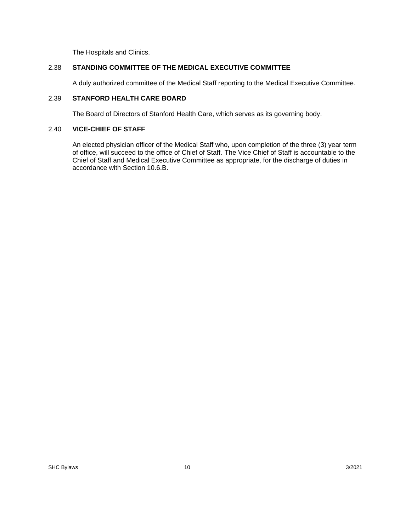The Hospitals and Clinics.

## 2.38 **STANDING COMMITTEE OF THE MEDICAL EXECUTIVE COMMITTEE**

A duly authorized committee of the Medical Staff reporting to the Medical Executive Committee.

## 2.39 **STANFORD HEALTH CARE BOARD**

The Board of Directors of Stanford Health Care, which serves as its governing body.

#### 2.40 **VICE-CHIEF OF STAFF**

An elected physician officer of the Medical Staff who, upon completion of the three (3) year term of office, will succeed to the office of Chief of Staff. The Vice Chief of Staff is accountable to the Chief of Staff and Medical Executive Committee as appropriate, for the discharge of duties in accordance with Section 10.6.B.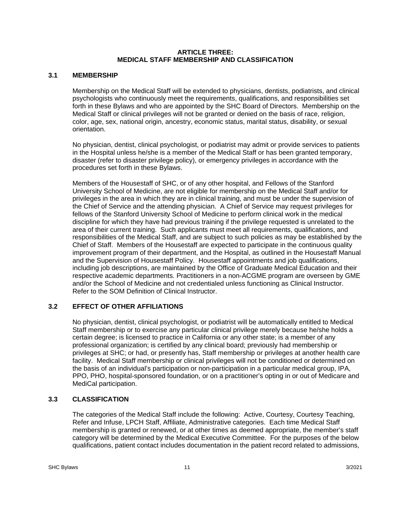#### **ARTICLE THREE: MEDICAL STAFF MEMBERSHIP AND CLASSIFICATION**

## **3.1 MEMBERSHIP**

Membership on the Medical Staff will be extended to physicians, dentists, podiatrists, and clinical psychologists who continuously meet the requirements, qualifications, and responsibilities set forth in these Bylaws and who are appointed by the SHC Board of Directors. Membership on the Medical Staff or clinical privileges will not be granted or denied on the basis of race, religion, color, age, sex, national origin, ancestry, economic status, marital status, disability, or sexual orientation.

No physician, dentist, clinical psychologist, or podiatrist may admit or provide services to patients in the Hospital unless he/she is a member of the Medical Staff or has been granted temporary, disaster (refer to disaster privilege policy), or emergency privileges in accordance with the procedures set forth in these Bylaws.

Members of the Housestaff of SHC, or of any other hospital, and Fellows of the Stanford University School of Medicine, are not eligible for membership on the Medical Staff and/or for privileges in the area in which they are in clinical training, and must be under the supervision of the Chief of Service and the attending physician. A Chief of Service may request privileges for fellows of the Stanford University School of Medicine to perform clinical work in the medical discipline for which they have had previous training if the privilege requested is unrelated to the area of their current training. Such applicants must meet all requirements, qualifications, and responsibilities of the Medical Staff, and are subject to such policies as may be established by the Chief of Staff. Members of the Housestaff are expected to participate in the continuous quality improvement program of their department, and the Hospital, as outlined in the Housestaff Manual and the Supervision of Housestaff Policy. Housestaff appointments and job qualifications, including job descriptions, are maintained by the Office of Graduate Medical Education and their respective academic departments. Practitioners in a non-ACGME program are overseen by GME and/or the School of Medicine and not credentialed unless functioning as Clinical Instructor. Refer to the SOM Definition of Clinical Instructor.

## **3.2 EFFECT OF OTHER AFFILIATIONS**

No physician, dentist, clinical psychologist, or podiatrist will be automatically entitled to Medical Staff membership or to exercise any particular clinical privilege merely because he/she holds a certain degree; is licensed to practice in California or any other state; is a member of any professional organization; is certified by any clinical board; previously had membership or privileges at SHC; or had, or presently has, Staff membership or privileges at another health care facility. Medical Staff membership or clinical privileges will not be conditioned or determined on the basis of an individual's participation or non-participation in a particular medical group, IPA, PPO, PHO, hospital-sponsored foundation, or on a practitioner's opting in or out of Medicare and MediCal participation.

## **3.3 CLASSIFICATION**

The categories of the Medical Staff include the following: Active, Courtesy, Courtesy Teaching, Refer and Infuse, LPCH Staff, Affiliate, Administrative categories. Each time Medical Staff membership is granted or renewed, or at other times as deemed appropriate, the member's staff category will be determined by the Medical Executive Committee. For the purposes of the below qualifications, patient contact includes documentation in the patient record related to admissions,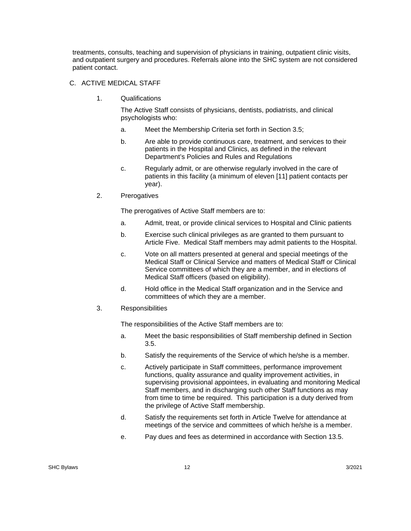treatments, consults, teaching and supervision of physicians in training, outpatient clinic visits, and outpatient surgery and procedures. Referrals alone into the SHC system are not considered patient contact.

#### C. ACTIVE MEDICAL STAFF

1. Qualifications

The Active Staff consists of physicians, dentists, podiatrists, and clinical psychologists who:

- a. Meet the Membership Criteria set forth in Section 3.5;
- b. Are able to provide continuous care, treatment, and services to their patients in the Hospital and Clinics, as defined in the relevant Department's Policies and Rules and Regulations
- c. Regularly admit, or are otherwise regularly involved in the care of patients in this facility (a minimum of eleven [11] patient contacts per year).
- 2. Prerogatives

The prerogatives of Active Staff members are to:

- a. Admit, treat, or provide clinical services to Hospital and Clinic patients
- b. Exercise such clinical privileges as are granted to them pursuant to Article Five. Medical Staff members may admit patients to the Hospital.
- c. Vote on all matters presented at general and special meetings of the Medical Staff or Clinical Service and matters of Medical Staff or Clinical Service committees of which they are a member, and in elections of Medical Staff officers (based on eligibility).
- d. Hold office in the Medical Staff organization and in the Service and committees of which they are a member.
- 3. Responsibilities

The responsibilities of the Active Staff members are to:

- a. Meet the basic responsibilities of Staff membership defined in Section 3.5.
- b. Satisfy the requirements of the Service of which he/she is a member.
- c. Actively participate in Staff committees, performance improvement functions, quality assurance and quality improvement activities, in supervising provisional appointees, in evaluating and monitoring Medical Staff members, and in discharging such other Staff functions as may from time to time be required. This participation is a duty derived from the privilege of Active Staff membership.
- d. Satisfy the requirements set forth in Article Twelve for attendance at meetings of the service and committees of which he/she is a member.
- e. Pay dues and fees as determined in accordance with Section 13.5.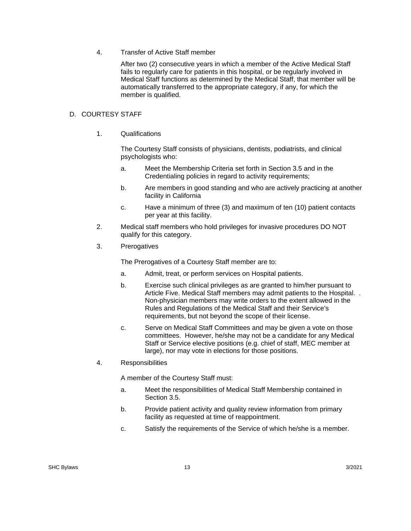4. Transfer of Active Staff member

After two (2) consecutive years in which a member of the Active Medical Staff fails to regularly care for patients in this hospital, or be regularly involved in Medical Staff functions as determined by the Medical Staff, that member will be automatically transferred to the appropriate category, if any, for which the member is qualified.

#### D. COURTESY STAFF

1. Qualifications

The Courtesy Staff consists of physicians, dentists, podiatrists, and clinical psychologists who:

- a. Meet the Membership Criteria set forth in Section 3.5 and in the Credentialing policies in regard to activity requirements;
- b. Are members in good standing and who are actively practicing at another facility in California
- c. Have a minimum of three (3) and maximum of ten (10) patient contacts per year at this facility.
- 2. Medical staff members who hold privileges for invasive procedures DO NOT qualify for this category.
- 3. Prerogatives

The Prerogatives of a Courtesy Staff member are to:

- a. Admit, treat, or perform services on Hospital patients.
- b. Exercise such clinical privileges as are granted to him/her pursuant to Article Five. Medical Staff members may admit patients to the Hospital. . Non-physician members may write orders to the extent allowed in the Rules and Regulations of the Medical Staff and their Service's requirements, but not beyond the scope of their license.
- c. Serve on Medical Staff Committees and may be given a vote on those committees. However, he/she may not be a candidate for any Medical Staff or Service elective positions (e.g. chief of staff, MEC member at large), nor may vote in elections for those positions.
- 4. Responsibilities

A member of the Courtesy Staff must:

- a. Meet the responsibilities of Medical Staff Membership contained in Section 3.5.
- b. Provide patient activity and quality review information from primary facility as requested at time of reappointment.
- c. Satisfy the requirements of the Service of which he/she is a member.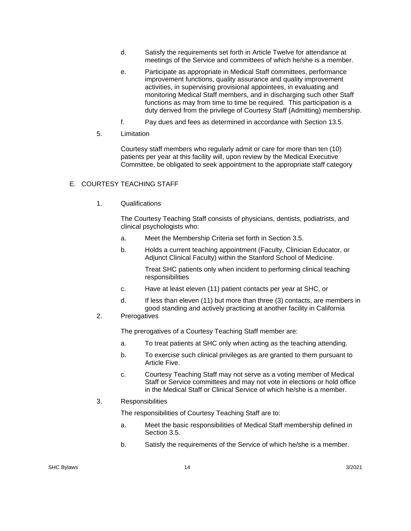- d. Satisfy the requirements set forth in Article Twelve for attendance at meetings of the Service and committees of which he/she is a member.
- e. Participate as appropriate in Medical Staff committees, performance improvement functions, quality assurance and quality improvement activities, in supervising provisional appointees, in evaluating and monitoring Medical Staff members, and in discharging such other Staff functions as may from time to time be required. This participation is a duty derived from the privilege of Courtesy Staff (Admitting) membership.
- f. Pay dues and fees as determined in accordance with Section 13.5.
- 5. Limitation

Courtesy staff members who regularly admit or care for more than ten (10) patients per year at this facility will, upon review by the Medical Executive Committee, be obligated to seek appointment to the appropriate staff category

#### E. COURTESY TEACHING STAFF

1. Qualifications

The Courtesy Teaching Staff consists of physicians, dentists, podiatrists, and clinical psychologists who:

- a. Meet the Membership Criteria set forth in Section 3.5.
- b. Holds a current teaching appointment (Faculty, Clinician Educator, or Adjunct Clinical Faculty) within the Stanford School of Medicine.

Treat SHC patients only when incident to performing clinical teaching responsibilities

- c. Have at least eleven (11) patient contacts per year at SHC, or
- d. If less than eleven (11) but more than three (3) contacts, are members in good standing and actively practicing at another facility in California

### 2. Prerogatives

The prerogatives of a Courtesy Teaching Staff member are:

- a. To treat patients at SHC only when acting as the teaching attending.
- b. To exercise such clinical privileges as are granted to them pursuant to Article Five.
- c. Courtesy Teaching Staff may not serve as a voting member of Medical Staff or Service committees and may not vote in elections or hold office in the Medical Staff or Clinical Service of which he/she is a member.

### 3. Responsibilities

The responsibilities of Courtesy Teaching Staff are to:

- a. Meet the basic responsibilities of Medical Staff membership defined in Section 3.5.
- b. Satisfy the requirements of the Service of which he/she is a member.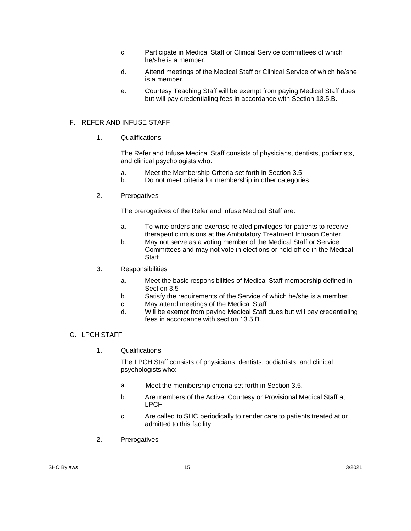- c. Participate in Medical Staff or Clinical Service committees of which he/she is a member.
- d. Attend meetings of the Medical Staff or Clinical Service of which he/she is a member.
- e. Courtesy Teaching Staff will be exempt from paying Medical Staff dues but will pay credentialing fees in accordance with Section 13.5.B.

### F. REFER AND INFUSE STAFF

1. Qualifications

The Refer and Infuse Medical Staff consists of physicians, dentists, podiatrists, and clinical psychologists who:

- a. Meet the Membership Criteria set forth in Section 3.5
- b. Do not meet criteria for membership in other categories
- 2. Prerogatives

The prerogatives of the Refer and Infuse Medical Staff are:

- a. To write orders and exercise related privileges for patients to receive therapeutic infusions at the Ambulatory Treatment Infusion Center.
- b. May not serve as a voting member of the Medical Staff or Service Committees and may not vote in elections or hold office in the Medical **Staff**
- 3. Responsibilities
	- a. Meet the basic responsibilities of Medical Staff membership defined in Section 3.5
	- b. Satisfy the requirements of the Service of which he/she is a member.
	- c. May attend meetings of the Medical Staff
	- d. Will be exempt from paying Medical Staff dues but will pay credentialing fees in accordance with section 13.5.B.
- G. LPCH STAFF
	- 1. Qualifications

The LPCH Staff consists of physicians, dentists, podiatrists, and clinical psychologists who:

- a. Meet the membership criteria set forth in Section 3.5.
- b. Are members of the Active, Courtesy or Provisional Medical Staff at LPCH
- c. Are called to SHC periodically to render care to patients treated at or admitted to this facility.
- 2. Prerogatives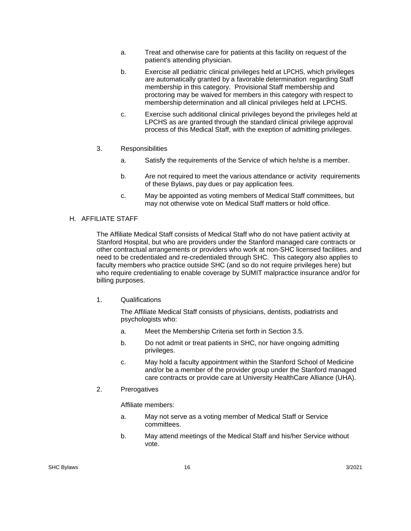- a. Treat and otherwise care for patients at this facility on request of the patient's attending physician.
- b. Exercise all pediatric clinical privileges held at LPCHS, which privileges are automatically granted by a favorable determination regarding Staff membership in this category. Provisional Staff membership and proctoring may be waived for members in this category with respect to membership determination and all clinical privileges held at LPCHS.
- c. Exercise such additional clinical privileges beyond the privileges held at LPCHS as are granted through the standard clinical privilege approval process of this Medical Staff, with the exeption of admitting privileges.
- 3. Responsibilities
	- a. Satisfy the requirements of the Service of which he/she is a member.
	- b. Are not required to meet the various attendance or activity requirements of these Bylaws, pay dues or pay application fees.
	- c. May be appointed as voting members of Medical Staff committees, but may not otherwise vote on Medical Staff matters or hold office.

#### H. AFFILIATE STAFF

The Affiliate Medical Staff consists of Medical Staff who do not have patient activity at Stanford Hospital, but who are providers under the Stanford managed care contracts or other contractual arrangements or providers who work at non-SHC licensed facilities. and need to be credentialed and re-credentialed through SHC. This category also applies to faculty members who practice outside SHC (and so do not require privileges here) but who require credentialing to enable coverage by SUMIT malpractice insurance and/or for billing purposes.

1. Qualifications

The Affiliate Medical Staff consists of physicians, dentists, podiatrists and psychologists who:

- a. Meet the Membership Criteria set forth in Section 3.5.
- b. Do not admit or treat patients in SHC, nor have ongoing admitting privileges.
- c. May hold a faculty appointment within the Stanford School of Medicine and/or be a member of the provider group under the Stanford managed care contracts or provide care at University HealthCare Alliance (UHA).
- 2. Prerogatives

Affiliate members:

- a. May not serve as a voting member of Medical Staff or Service committees.
- b. May attend meetings of the Medical Staff and his/her Service without vote.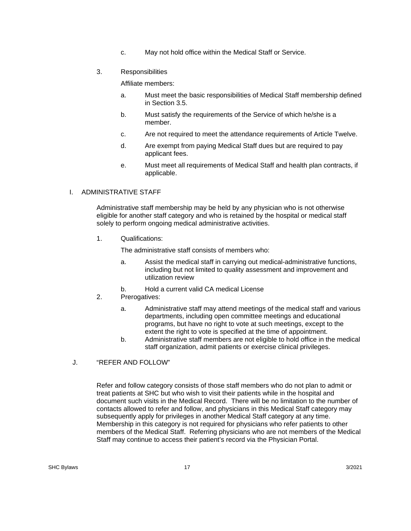- c. May not hold office within the Medical Staff or Service.
- 3. Responsibilities

Affiliate members:

- a. Must meet the basic responsibilities of Medical Staff membership defined in Section 3.5.
- b. Must satisfy the requirements of the Service of which he/she is a member.
- c. Are not required to meet the attendance requirements of Article Twelve.
- d. Are exempt from paying Medical Staff dues but are required to pay applicant fees.
- e. Must meet all requirements of Medical Staff and health plan contracts, if applicable.

### I. ADMINISTRATIVE STAFF

Administrative staff membership may be held by any physician who is not otherwise eligible for another staff category and who is retained by the hospital or medical staff solely to perform ongoing medical administrative activities.

1. Qualifications:

The administrative staff consists of members who:

- a. Assist the medical staff in carrying out medical-administrative functions, including but not limited to quality assessment and improvement and utilization review
- b. Hold a current valid CA medical License
- 2. Prerogatives:
	- a. Administrative staff may attend meetings of the medical staff and various departments, including open committee meetings and educational programs, but have no right to vote at such meetings, except to the extent the right to vote is specified at the time of appointment.
	- b. Administrative staff members are not eligible to hold office in the medical staff organization, admit patients or exercise clinical privileges.

## J. "REFER AND FOLLOW"

Refer and follow category consists of those staff members who do not plan to admit or treat patients at SHC but who wish to visit their patients while in the hospital and document such visits in the Medical Record. There will be no limitation to the number of contacts allowed to refer and follow, and physicians in this Medical Staff category may subsequently apply for privileges in another Medical Staff category at any time. Membership in this category is not required for physicians who refer patients to other members of the Medical Staff. Referring physicians who are not members of the Medical Staff may continue to access their patient's record via the Physician Portal.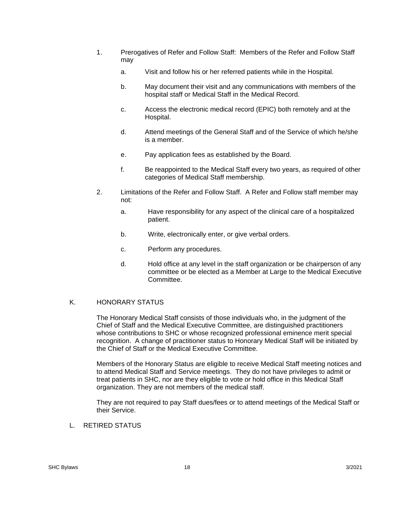- 1. Prerogatives of Refer and Follow Staff: Members of the Refer and Follow Staff may
	- a. Visit and follow his or her referred patients while in the Hospital.
	- b. May document their visit and any communications with members of the hospital staff or Medical Staff in the Medical Record.
	- c. Access the electronic medical record (EPIC) both remotely and at the Hospital.
	- d. Attend meetings of the General Staff and of the Service of which he/she is a member.
	- e. Pay application fees as established by the Board.
	- f. Be reappointed to the Medical Staff every two years, as required of other categories of Medical Staff membership.
- 2. Limitations of the Refer and Follow Staff. A Refer and Follow staff member may not:
	- a. Have responsibility for any aspect of the clinical care of a hospitalized patient.
	- b. Write, electronically enter, or give verbal orders.
	- c. Perform any procedures.
	- d. Hold office at any level in the staff organization or be chairperson of any committee or be elected as a Member at Large to the Medical Executive Committee.

#### K. HONORARY STATUS

The Honorary Medical Staff consists of those individuals who, in the judgment of the Chief of Staff and the Medical Executive Committee, are distinguished practitioners whose contributions to SHC or whose recognized professional eminence merit special recognition. A change of practitioner status to Honorary Medical Staff will be initiated by the Chief of Staff or the Medical Executive Committee.

Members of the Honorary Status are eligible to receive Medical Staff meeting notices and to attend Medical Staff and Service meetings. They do not have privileges to admit or treat patients in SHC, nor are they eligible to vote or hold office in this Medical Staff organization. They are not members of the medical staff.

They are not required to pay Staff dues/fees or to attend meetings of the Medical Staff or their Service.

L. RETIRED STATUS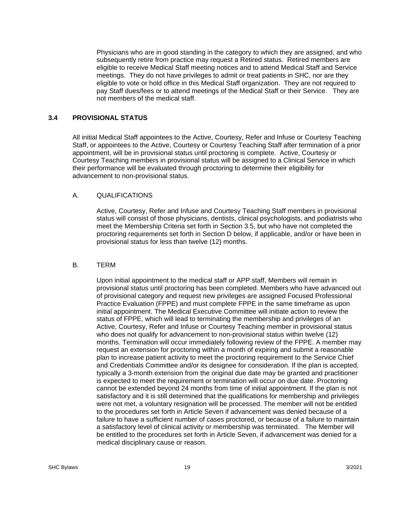Physicians who are in good standing in the category to which they are assigned, and who subsequently retire from practice may request a Retired status. Retired members are eligible to receive Medical Staff meeting notices and to attend Medical Staff and Service meetings. They do not have privileges to admit or treat patients in SHC, nor are they eligible to vote or hold office in this Medical Staff organization. They are not required to pay Staff dues/fees or to attend meetings of the Medical Staff or their Service. They are not members of the medical staff.

### **3.4 PROVISIONAL STATUS**

 All initial Medical Staff appointees to the Active, Courtesy, Refer and Infuse or Courtesy Teaching Staff, or appointees to the Active, Courtesy or Courtesy Teaching Staff after termination of a prior appointment, will be in provisional status until proctoring is complete. Active, Courtesy or Courtesy Teaching members in provisional status will be assigned to a Clinical Service in which their performance will be evaluated through proctoring to determine their eligibility for advancement to non-provisional status.

#### A. QUALIFICATIONS

Active, Courtesy, Refer and Infuse and Courtesy Teaching Staff members in provisional status will consist of those physicians, dentists, clinical psychologists, and podiatrists who meet the Membership Criteria set forth in Section 3.5, but who have not completed the proctoring requirements set forth in Section D below, if applicable, and/or or have been in provisional status for less than twelve (12) months.

#### B. TERM

Upon initial appointment to the medical staff or APP staff, Members will remain in provisional status until proctoring has been completed. Members who have advanced out of provisional category and request new privileges are assigned Focused Professional Practice Evaluation (FPPE) and must complete FPPE in the same timeframe as upon initial appointment. The Medical Executive Committee will initiate action to review the status of FPPE, which will lead to terminating the membership and privileges of an Active, Courtesy, Refer and Infuse or Courtesy Teaching member in provisional status who does not qualify for advancement to non-provisional status within twelve (12) months. Termination will occur immediately following review of the FPPE. A member may request an extension for proctoring within a month of expiring and submit a reasonable plan to increase patient activity to meet the proctoring requirement to the Service Chief and Credentials Committee and/or its designee for consideration. If the plan is accepted, typically a 3-month extension from the original due date may be granted and practitioner is expected to meet the requirement or termination will occur on due date. Proctoring cannot be extended beyond 24 months from time of initial appointment. If the plan is not satisfactory and it is still determined that the qualifications for membership and privileges were not met, a voluntary resignation will be processed. The member will not be entitled to the procedures set forth in Article Seven if advancement was denied because of a failure to have a sufficient number of cases proctored, or because of a failure to maintain a satisfactory level of clinical activity or membership was terminated. The Member will be entitled to the procedures set forth in Article Seven, if advancement was denied for a medical disciplinary cause or reason.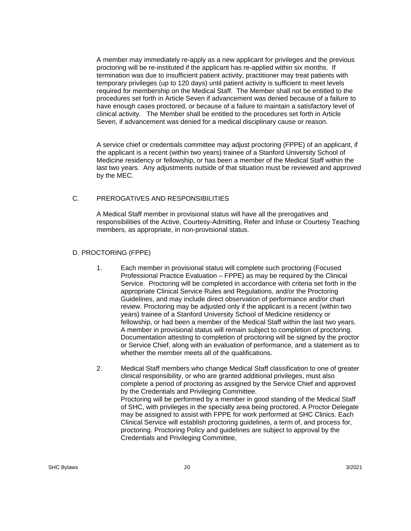A member may immediately re-apply as a new applicant for privileges and the previous proctoring will be re-instituted if the applicant has re-applied within six months. If termination was due to insufficient patient activity, practitioner may treat patients with temporary privileges (up to 120 days) until patient activity is sufficient to meet levels required for membership on the Medical Staff. The Member shall not be entitled to the procedures set forth in Article Seven if advancement was denied because of a failure to have enough cases proctored, or because of a failure to maintain a satisfactory level of clinical activity. The Member shall be entitled to the procedures set forth in Article Seven, if advancement was denied for a medical disciplinary cause or reason.

A service chief or credentials committee may adjust proctoring (FPPE) of an applicant, if the applicant is a recent (within two years) trainee of a Stanford University School of Medicine residency or fellowship, or has been a member of the Medical Staff within the last two years. Any adjustments outside of that situation must be reviewed and approved by the MEC.

### C. PREROGATIVES AND RESPONSIBILITIES

A Medical Staff member in provisional status will have all the prerogatives and responsibilities of the Active, Courtesy-Admitting, Refer and Infuse or Courtesy Teaching members, as appropriate, in non-provisional status.

### D. PROCTORING (FPPE)

- 1. Each member in provisional status will complete such proctoring (Focused Professional Practice Evaluation – FPPE) as may be required by the Clinical Service. Proctoring will be completed in accordance with criteria set forth in the appropriate Clinical Service Rules and Regulations, and/or the Proctoring Guidelines, and may include direct observation of performance and/or chart review. Proctoring may be adjusted only if the applicant is a recent (within two years) trainee of a Stanford University School of Medicine residency or fellowship, or had been a member of the Medical Staff within the last two years. A member in provisional status will remain subject to completion of proctoring. Documentation attesting to completion of proctoring will be signed by the proctor or Service Chief, along with an evaluation of performance, and a statement as to whether the member meets all of the qualifications.
- 2. Medical Staff members who change Medical Staff classification to one of greater clinical responsibility, or who are granted additional privileges, must also complete a period of proctoring as assigned by the Service Chief and approved by the Credentials and Privileging Committee. Proctoring will be performed by a member in good standing of the Medical Staff of SHC, with privileges in the specialty area being proctored. A Proctor Delegate may be assigned to assist with FPPE for work performed at SHC Clinics. Each Clinical Service will establish proctoring guidelines, a term of, and process for, proctoring. Proctoring Policy and guidelines are subject to approval by the Credentials and Privileging Committee,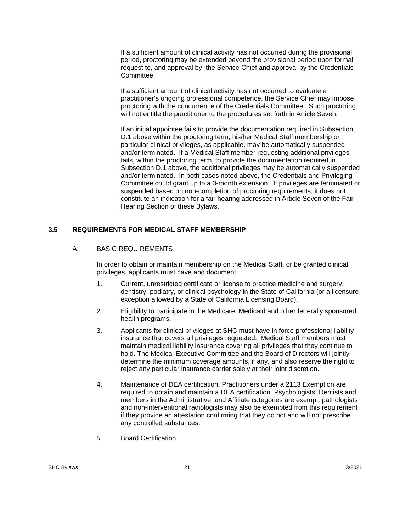If a sufficient amount of clinical activity has not occurred during the provisional period, proctoring may be extended beyond the provisional period upon formal request to, and approval by, the Service Chief and approval by the Credentials Committee.

If a sufficient amount of clinical activity has not occurred to evaluate a practitioner's ongoing professional competence, the Service Chief may impose proctoring with the concurrence of the Credentials Committee. Such proctoring will not entitle the practitioner to the procedures set forth in Article Seven.

If an initial appointee fails to provide the documentation required in Subsection D.1 above within the proctoring term, his/her Medical Staff membership or particular clinical privileges, as applicable, may be automatically suspended and/or terminated. If a Medical Staff member requesting additional privileges fails, within the proctoring term, to provide the documentation required in Subsection D.1 above, the additional privileges may be automatically suspended and/or terminated. In both cases noted above, the Credentials and Privileging Committee could grant up to a 3-month extension. If privileges are terminated or suspended based on non-completion of proctoring requirements, it does not constitute an indication for a fair hearing addressed in Article Seven of the Fair Hearing Section of these Bylaws.

### **3.5 REQUIREMENTS FOR MEDICAL STAFF MEMBERSHIP**

### A. BASIC REQUIREMENTS

In order to obtain or maintain membership on the Medical Staff, or be granted clinical privileges, applicants must have and document:

- 1. Current, unrestricted certificate or license to practice medicine and surgery, dentistry, podiatry, or clinical psychology in the State of California (or a licensure exception allowed by a State of California Licensing Board).
- 2. Eligibility to participate in the Medicare, Medicaid and other federally sponsored health programs.
- 3. Applicants for clinical privileges at SHC must have in force professional liability insurance that covers all privileges requested. Medical Staff members must maintain medical liability insurance covering all privileges that they continue to hold. The Medical Executive Committee and the Board of Directors will jointly determine the minimum coverage amounts, if any, and also reserve the right to reject any particular insurance carrier solely at their joint discretion.
- 4. Maintenance of DEA certification. Practitioners under a 2113 Exemption are required to obtain and maintain a DEA certification. Psychologists, Dentists and members in the Administrative, and Affiliate categories are exempt; pathologists and non-interventional radiologists may also be exempted from this requirement if they provide an attestation confirming that they do not and will not prescribe any controlled substances.
- 5. Board Certification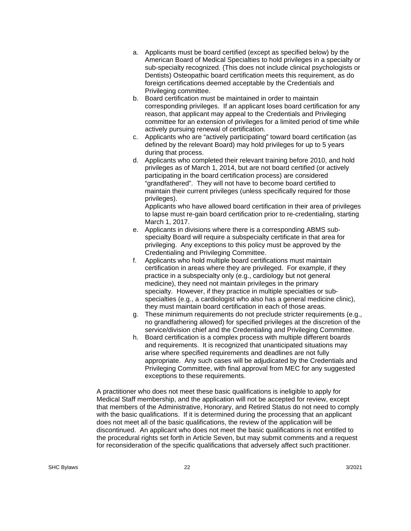- a. Applicants must be board certified (except as specified below) by the American Board of Medical Specialties to hold privileges in a specialty or sub-specialty recognized. (This does not include clinical psychologists or Dentists) Osteopathic board certification meets this requirement, as do foreign certifications deemed acceptable by the Credentials and Privileging committee.
- b. Board certification must be maintained in order to maintain corresponding privileges. If an applicant loses board certification for any reason, that applicant may appeal to the Credentials and Privileging committee for an extension of privileges for a limited period of time while actively pursuing renewal of certification.
- c. Applicants who are "actively participating" toward board certification (as defined by the relevant Board) may hold privileges for up to 5 years during that process.
- d. Applicants who completed their relevant training before 2010, and hold privileges as of March 1, 2014, but are not board certified (or actively participating in the board certification process) are considered "grandfathered". They will not have to become board certified to maintain their current privileges (unless specifically required for those privileges).

 Applicants who have allowed board certification in their area of privileges to lapse must re-gain board certification prior to re-credentialing, starting March 1, 2017.

- e. Applicants in divisions where there is a corresponding ABMS subspecialty Board will require a subspecialty certificate in that area for privileging. Any exceptions to this policy must be approved by the Credentialing and Privileging Committee.
- f. Applicants who hold multiple board certifications must maintain certification in areas where they are privileged. For example, if they practice in a subspecialty only (e.g., cardiology but not general medicine), they need not maintain privileges in the primary specialty. However, if they practice in multiple specialties or subspecialties (e.g., a cardiologist who also has a general medicine clinic), they must maintain board certification in each of those areas.
- g. These minimum requirements do not preclude stricter requirements (e.g., no grandfathering allowed) for specified privileges at the discretion of the service/division chief and the Credentialing and Privileging Committee.
- h. Board certification is a complex process with multiple different boards and requirements. It is recognized that unanticipated situations may arise where specified requirements and deadlines are not fully appropriate. Any such cases will be adjudicated by the Credentials and Privileging Committee, with final approval from MEC for any suggested exceptions to these requirements.

A practitioner who does not meet these basic qualifications is ineligible to apply for Medical Staff membership, and the application will not be accepted for review, except that members of the Administrative, Honorary, and Retired Status do not need to comply with the basic qualifications. If it is determined during the processing that an applicant does not meet all of the basic qualifications, the review of the application will be discontinued. An applicant who does not meet the basic qualifications is not entitled to the procedural rights set forth in Article Seven, but may submit comments and a request for reconsideration of the specific qualifications that adversely affect such practitioner.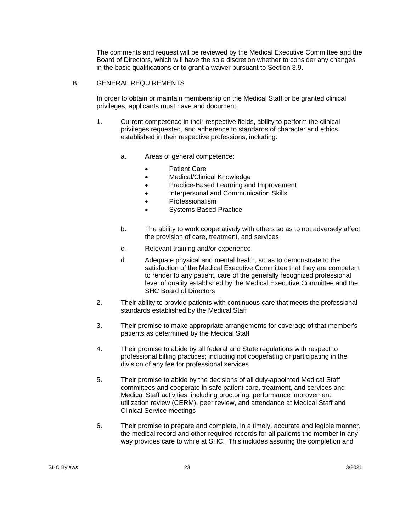The comments and request will be reviewed by the Medical Executive Committee and the Board of Directors, which will have the sole discretion whether to consider any changes in the basic qualifications or to grant a waiver pursuant to Section 3.9.

#### B. GENERAL REQUIREMENTS

In order to obtain or maintain membership on the Medical Staff or be granted clinical privileges, applicants must have and document:

- 1. Current competence in their respective fields, ability to perform the clinical privileges requested, and adherence to standards of character and ethics established in their respective professions; including:
	- a. Areas of general competence:
		- Patient Care
		- Medical/Clinical Knowledge
		- Practice-Based Learning and Improvement
		- Interpersonal and Communication Skills
		- Professionalism
		- Systems-Based Practice
	- b. The ability to work cooperatively with others so as to not adversely affect the provision of care, treatment, and services
	- c. Relevant training and/or experience
	- d. Adequate physical and mental health, so as to demonstrate to the satisfaction of the Medical Executive Committee that they are competent to render to any patient, care of the generally recognized professional level of quality established by the Medical Executive Committee and the SHC Board of Directors
- 2. Their ability to provide patients with continuous care that meets the professional standards established by the Medical Staff
- 3. Their promise to make appropriate arrangements for coverage of that member's patients as determined by the Medical Staff
- 4. Their promise to abide by all federal and State regulations with respect to professional billing practices; including not cooperating or participating in the division of any fee for professional services
- 5. Their promise to abide by the decisions of all duly-appointed Medical Staff committees and cooperate in safe patient care, treatment, and services and Medical Staff activities, including proctoring, performance improvement, utilization review (CERM), peer review, and attendance at Medical Staff and Clinical Service meetings
- 6. Their promise to prepare and complete, in a timely, accurate and legible manner, the medical record and other required records for all patients the member in any way provides care to while at SHC. This includes assuring the completion and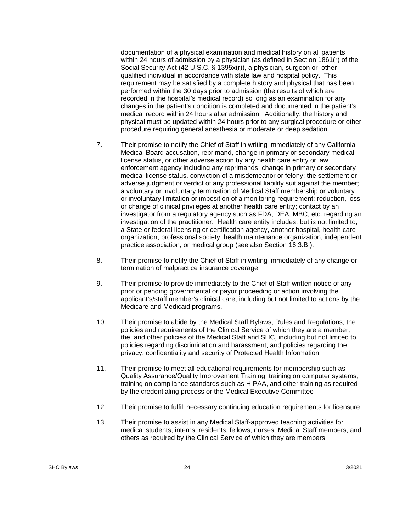documentation of a physical examination and medical history on all patients within 24 hours of admission by a physician (as defined in Section 1861(r) of the Social Security Act (42 U.S.C. § 1395x(r)), a physician, surgeon or other qualified individual in accordance with state law and hospital policy. This requirement may be satisfied by a complete history and physical that has been performed within the 30 days prior to admission (the results of which are recorded in the hospital's medical record) so long as an examination for any changes in the patient's condition is completed and documented in the patient's medical record within 24 hours after admission. Additionally, the history and physical must be updated within 24 hours prior to any surgical procedure or other procedure requiring general anesthesia or moderate or deep sedation.

- 7. Their promise to notify the Chief of Staff in writing immediately of any California Medical Board accusation, reprimand, change in primary or secondary medical license status, or other adverse action by any health care entity or law enforcement agency including any reprimands, change in primary or secondary medical license status, conviction of a misdemeanor or felony; the settlement or adverse judgment or verdict of any professional liability suit against the member; a voluntary or involuntary termination of Medical Staff membership or voluntary or involuntary limitation or imposition of a monitoring requirement; reduction, loss or change of clinical privileges at another health care entity; contact by an investigator from a regulatory agency such as FDA, DEA, MBC, etc. regarding an investigation of the practitioner. Health care entity includes, but is not limited to, a State or federal licensing or certification agency, another hospital, health care organization, professional society, health maintenance organization, independent practice association, or medical group (see also Section 16.3.B.).
- 8. Their promise to notify the Chief of Staff in writing immediately of any change or termination of malpractice insurance coverage
- 9. Their promise to provide immediately to the Chief of Staff written notice of any prior or pending governmental or payor proceeding or action involving the applicant's/staff member's clinical care, including but not limited to actions by the Medicare and Medicaid programs.
- 10. Their promise to abide by the Medical Staff Bylaws, Rules and Regulations; the policies and requirements of the Clinical Service of which they are a member, the, and other policies of the Medical Staff and SHC, including but not limited to policies regarding discrimination and harassment; and policies regarding the privacy, confidentiality and security of Protected Health Information
- 11. Their promise to meet all educational requirements for membership such as Quality Assurance/Quality Improvement Training, training on computer systems, training on compliance standards such as HIPAA, and other training as required by the credentialing process or the Medical Executive Committee
- 12. Their promise to fulfill necessary continuing education requirements for licensure
- 13. Their promise to assist in any Medical Staff-approved teaching activities for medical students, interns, residents, fellows, nurses, Medical Staff members, and others as required by the Clinical Service of which they are members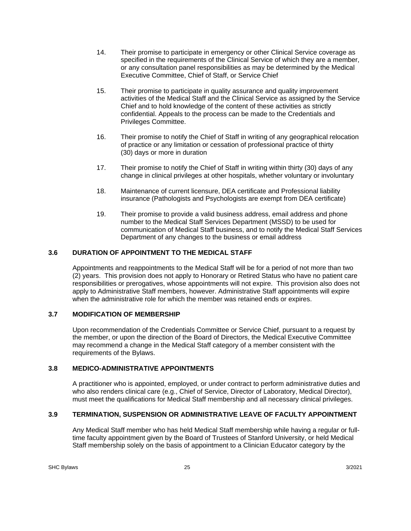- 14. Their promise to participate in emergency or other Clinical Service coverage as specified in the requirements of the Clinical Service of which they are a member, or any consultation panel responsibilities as may be determined by the Medical Executive Committee, Chief of Staff, or Service Chief
- 15. Their promise to participate in quality assurance and quality improvement activities of the Medical Staff and the Clinical Service as assigned by the Service Chief and to hold knowledge of the content of these activities as strictly confidential. Appeals to the process can be made to the Credentials and Privileges Committee.
- 16. Their promise to notify the Chief of Staff in writing of any geographical relocation of practice or any limitation or cessation of professional practice of thirty (30) days or more in duration
- 17. Their promise to notify the Chief of Staff in writing within thirty (30) days of any change in clinical privileges at other hospitals, whether voluntary or involuntary
- 18. Maintenance of current licensure, DEA certificate and Professional liability insurance (Pathologists and Psychologists are exempt from DEA certificate)
- 19. Their promise to provide a valid business address, email address and phone number to the Medical Staff Services Department (MSSD) to be used for communication of Medical Staff business, and to notify the Medical Staff Services Department of any changes to the business or email address

## **3.6 DURATION OF APPOINTMENT TO THE MEDICAL STAFF**

Appointments and reappointments to the Medical Staff will be for a period of not more than two (2) years. This provision does not apply to Honorary or Retired Status who have no patient care responsibilities or prerogatives, whose appointments will not expire. This provision also does not apply to Administrative Staff members, however. Administrative Staff appointments will expire when the administrative role for which the member was retained ends or expires.

#### **3.7 MODIFICATION OF MEMBERSHIP**

Upon recommendation of the Credentials Committee or Service Chief, pursuant to a request by the member, or upon the direction of the Board of Directors, the Medical Executive Committee may recommend a change in the Medical Staff category of a member consistent with the requirements of the Bylaws.

#### **3.8 MEDICO-ADMINISTRATIVE APPOINTMENTS**

A practitioner who is appointed, employed, or under contract to perform administrative duties and who also renders clinical care (e.g., Chief of Service, Director of Laboratory, Medical Director), must meet the qualifications for Medical Staff membership and all necessary clinical privileges.

## **3.9 TERMINATION, SUSPENSION OR ADMINISTRATIVE LEAVE OF FACULTY APPOINTMENT**

Any Medical Staff member who has held Medical Staff membership while having a regular or fulltime faculty appointment given by the Board of Trustees of Stanford University, or held Medical Staff membership solely on the basis of appointment to a Clinician Educator category by the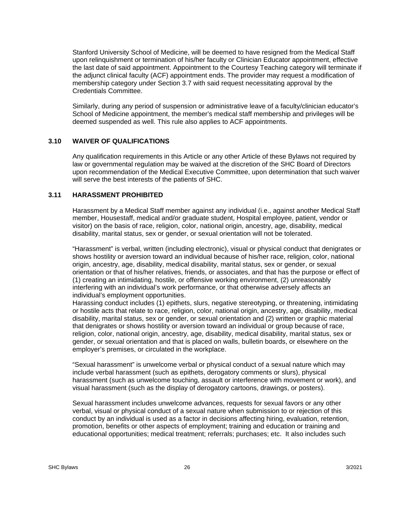Stanford University School of Medicine, will be deemed to have resigned from the Medical Staff upon relinquishment or termination of his/her faculty or Clinician Educator appointment, effective the last date of said appointment. Appointment to the Courtesy Teaching category will terminate if the adjunct clinical faculty (ACF) appointment ends. The provider may request a modification of membership category under Section 3.7 with said request necessitating approval by the Credentials Committee.

Similarly, during any period of suspension or administrative leave of a faculty/clinician educator's School of Medicine appointment, the member's medical staff membership and privileges will be deemed suspended as well. This rule also applies to ACF appointments.

#### **3.10 WAIVER OF QUALIFICATIONS**

Any qualification requirements in this Article or any other Article of these Bylaws not required by law or governmental regulation may be waived at the discretion of the SHC Board of Directors upon recommendation of the Medical Executive Committee, upon determination that such waiver will serve the best interests of the patients of SHC.

#### **3.11 HARASSMENT PROHIBITED**

Harassment by a Medical Staff member against any individual (i.e., against another Medical Staff member, Housestaff, medical and/or graduate student, Hospital employee, patient, vendor or visitor) on the basis of race, religion, color, national origin, ancestry, age, disability, medical disability, marital status, sex or gender, or sexual orientation will not be tolerated.

"Harassment" is verbal, written (including electronic), visual or physical conduct that denigrates or shows hostility or aversion toward an individual because of his/her race, religion, color, national origin, ancestry, age, disability, medical disability, marital status, sex or gender, or sexual orientation or that of his/her relatives, friends, or associates, and that has the purpose or effect of (1) creating an intimidating, hostile, or offensive working environment, (2) unreasonably interfering with an individual's work performance, or that otherwise adversely affects an individual's employment opportunities.

Harassing conduct includes (1) epithets, slurs, negative stereotyping, or threatening, intimidating or hostile acts that relate to race, religion, color, national origin, ancestry, age, disability, medical disability, marital status, sex or gender, or sexual orientation and (2) written or graphic material that denigrates or shows hostility or aversion toward an individual or group because of race, religion, color, national origin, ancestry, age, disability, medical disability, marital status, sex or gender, or sexual orientation and that is placed on walls, bulletin boards, or elsewhere on the employer's premises, or circulated in the workplace.

"Sexual harassment" is unwelcome verbal or physical conduct of a sexual nature which may include verbal harassment (such as epithets, derogatory comments or slurs), physical harassment (such as unwelcome touching, assault or interference with movement or work), and visual harassment (such as the display of derogatory cartoons, drawings, or posters).

Sexual harassment includes unwelcome advances, requests for sexual favors or any other verbal, visual or physical conduct of a sexual nature when submission to or rejection of this conduct by an individual is used as a factor in decisions affecting hiring, evaluation, retention, promotion, benefits or other aspects of employment; training and education or training and educational opportunities; medical treatment; referrals; purchases; etc. It also includes such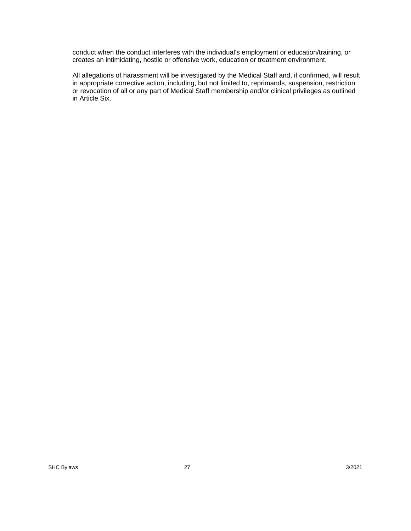conduct when the conduct interferes with the individual's employment or education/training, or creates an intimidating, hostile or offensive work, education or treatment environment.

All allegations of harassment will be investigated by the Medical Staff and, if confirmed, will result in appropriate corrective action, including, but not limited to, reprimands, suspension, restriction or revocation of all or any part of Medical Staff membership and/or clinical privileges as outlined in Article Six.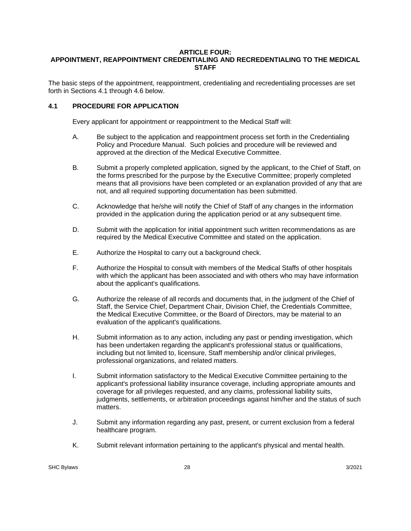#### **ARTICLE FOUR: APPOINTMENT, REAPPOINTMENT CREDENTIALING AND RECREDENTIALING TO THE MEDICAL STAFF**

The basic steps of the appointment, reappointment, credentialing and recredentialing processes are set forth in Sections 4.1 through 4.6 below.

#### **4.1 PROCEDURE FOR APPLICATION**

Every applicant for appointment or reappointment to the Medical Staff will:

- A. Be subject to the application and reappointment process set forth in the Credentialing Policy and Procedure Manual. Such policies and procedure will be reviewed and approved at the direction of the Medical Executive Committee.
- B. Submit a properly completed application, signed by the applicant, to the Chief of Staff, on the forms prescribed for the purpose by the Executive Committee; properly completed means that all provisions have been completed or an explanation provided of any that are not, and all required supporting documentation has been submitted.
- C. Acknowledge that he/she will notify the Chief of Staff of any changes in the information provided in the application during the application period or at any subsequent time.
- D. Submit with the application for initial appointment such written recommendations as are required by the Medical Executive Committee and stated on the application.
- E. Authorize the Hospital to carry out a background check.
- F. Authorize the Hospital to consult with members of the Medical Staffs of other hospitals with which the applicant has been associated and with others who may have information about the applicant's qualifications.
- G. Authorize the release of all records and documents that, in the judgment of the Chief of Staff, the Service Chief, Department Chair, Division Chief, the Credentials Committee, the Medical Executive Committee, or the Board of Directors, may be material to an evaluation of the applicant's qualifications.
- H. Submit information as to any action, including any past or pending investigation, which has been undertaken regarding the applicant's professional status or qualifications, including but not limited to, licensure, Staff membership and/or clinical privileges, professional organizations, and related matters.
- I. Submit information satisfactory to the Medical Executive Committee pertaining to the applicant's professional liability insurance coverage, including appropriate amounts and coverage for all privileges requested, and any claims, professional liability suits, judgments, settlements, or arbitration proceedings against him/her and the status of such matters.
- J. Submit any information regarding any past, present, or current exclusion from a federal healthcare program.
- K. Submit relevant information pertaining to the applicant's physical and mental health.

SHC Bylaws 228 3/2021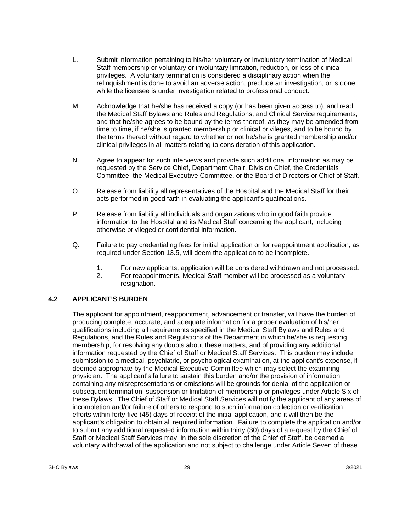- L. Submit information pertaining to his/her voluntary or involuntary termination of Medical Staff membership or voluntary or involuntary limitation, reduction, or loss of clinical privileges. A voluntary termination is considered a disciplinary action when the relinquishment is done to avoid an adverse action, preclude an investigation, or is done while the licensee is under investigation related to professional conduct.
- M. Acknowledge that he/she has received a copy (or has been given access to), and read the Medical Staff Bylaws and Rules and Regulations, and Clinical Service requirements, and that he/she agrees to be bound by the terms thereof, as they may be amended from time to time, if he/she is granted membership or clinical privileges, and to be bound by the terms thereof without regard to whether or not he/she is granted membership and/or clinical privileges in all matters relating to consideration of this application.
- N. Agree to appear for such interviews and provide such additional information as may be requested by the Service Chief, Department Chair, Division Chief, the Credentials Committee, the Medical Executive Committee, or the Board of Directors or Chief of Staff.
- O. Release from liability all representatives of the Hospital and the Medical Staff for their acts performed in good faith in evaluating the applicant's qualifications.
- P. Release from liability all individuals and organizations who in good faith provide information to the Hospital and its Medical Staff concerning the applicant, including otherwise privileged or confidential information.
- Q. Failure to pay credentialing fees for initial application or for reappointment application, as required under Section 13.5, will deem the application to be incomplete.
	- 1. For new applicants, application will be considered withdrawn and not processed.
	- 2. For reappointments, Medical Staff member will be processed as a voluntary resignation.

## **4.2 APPLICANT'S BURDEN**

 The applicant for appointment, reappointment, advancement or transfer, will have the burden of producing complete, accurate, and adequate information for a proper evaluation of his/her qualifications including all requirements specified in the Medical Staff Bylaws and Rules and Regulations, and the Rules and Regulations of the Department in which he/she is requesting membership, for resolving any doubts about these matters, and of providing any additional information requested by the Chief of Staff or Medical Staff Services. This burden may include submission to a medical, psychiatric, or psychological examination, at the applicant's expense, if deemed appropriate by the Medical Executive Committee which may select the examining physician. The applicant's failure to sustain this burden and/or the provision of information containing any misrepresentations or omissions will be grounds for denial of the application or subsequent termination, suspension or limitation of membership or privileges under Article Six of these Bylaws. The Chief of Staff or Medical Staff Services will notify the applicant of any areas of incompletion and/or failure of others to respond to such information collection or verification efforts within forty-five (45) days of receipt of the initial application, and it will then be the applicant's obligation to obtain all required information. Failure to complete the application and/or to submit any additional requested information within thirty (30) days of a request by the Chief of Staff or Medical Staff Services may, in the sole discretion of the Chief of Staff, be deemed a voluntary withdrawal of the application and not subject to challenge under Article Seven of these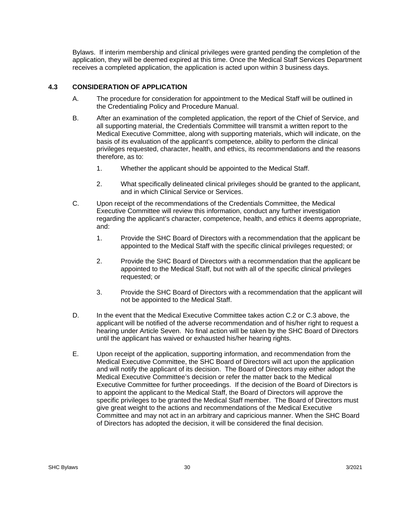Bylaws. If interim membership and clinical privileges were granted pending the completion of the application, they will be deemed expired at this time. Once the Medical Staff Services Department receives a completed application, the application is acted upon within 3 business days.

## **4.3 CONSIDERATION OF APPLICATION**

- A. The procedure for consideration for appointment to the Medical Staff will be outlined in the Credentialing Policy and Procedure Manual.
- B. After an examination of the completed application, the report of the Chief of Service, and all supporting material, the Credentials Committee will transmit a written report to the Medical Executive Committee, along with supporting materials, which will indicate, on the basis of its evaluation of the applicant's competence, ability to perform the clinical privileges requested, character, health, and ethics, its recommendations and the reasons therefore, as to:
	- 1. Whether the applicant should be appointed to the Medical Staff.
	- 2. What specifically delineated clinical privileges should be granted to the applicant, and in which Clinical Service or Services.
- C. Upon receipt of the recommendations of the Credentials Committee, the Medical Executive Committee will review this information, conduct any further investigation regarding the applicant's character, competence, health, and ethics it deems appropriate, and:
	- 1. Provide the SHC Board of Directors with a recommendation that the applicant be appointed to the Medical Staff with the specific clinical privileges requested; or
	- 2. Provide the SHC Board of Directors with a recommendation that the applicant be appointed to the Medical Staff, but not with all of the specific clinical privileges requested; or
	- 3. Provide the SHC Board of Directors with a recommendation that the applicant will not be appointed to the Medical Staff.
- D. In the event that the Medical Executive Committee takes action C.2 or C.3 above, the applicant will be notified of the adverse recommendation and of his/her right to request a hearing under Article Seven. No final action will be taken by the SHC Board of Directors until the applicant has waived or exhausted his/her hearing rights.
- E. Upon receipt of the application, supporting information, and recommendation from the Medical Executive Committee, the SHC Board of Directors will act upon the application and will notify the applicant of its decision. The Board of Directors may either adopt the Medical Executive Committee's decision or refer the matter back to the Medical Executive Committee for further proceedings. If the decision of the Board of Directors is to appoint the applicant to the Medical Staff, the Board of Directors will approve the specific privileges to be granted the Medical Staff member. The Board of Directors must give great weight to the actions and recommendations of the Medical Executive Committee and may not act in an arbitrary and capricious manner. When the SHC Board of Directors has adopted the decision, it will be considered the final decision.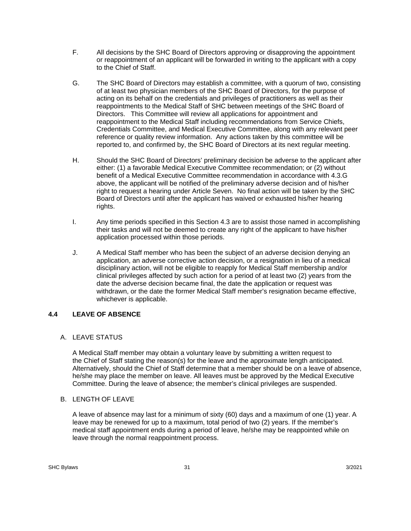- F. All decisions by the SHC Board of Directors approving or disapproving the appointment or reappointment of an applicant will be forwarded in writing to the applicant with a copy to the Chief of Staff.
- G. The SHC Board of Directors may establish a committee, with a quorum of two, consisting of at least two physician members of the SHC Board of Directors, for the purpose of acting on its behalf on the credentials and privileges of practitioners as well as their reappointments to the Medical Staff of SHC between meetings of the SHC Board of Directors. This Committee will review all applications for appointment and reappointment to the Medical Staff including recommendations from Service Chiefs, Credentials Committee, and Medical Executive Committee, along with any relevant peer reference or quality review information. Any actions taken by this committee will be reported to, and confirmed by, the SHC Board of Directors at its next regular meeting.
- H. Should the SHC Board of Directors' preliminary decision be adverse to the applicant after either: (1) a favorable Medical Executive Committee recommendation; or (2) without benefit of a Medical Executive Committee recommendation in accordance with 4.3.G above, the applicant will be notified of the preliminary adverse decision and of his/her right to request a hearing under Article Seven. No final action will be taken by the SHC Board of Directors until after the applicant has waived or exhausted his/her hearing rights.
- I. Any time periods specified in this Section 4.3 are to assist those named in accomplishing their tasks and will not be deemed to create any right of the applicant to have his/her application processed within those periods.
- J. A Medical Staff member who has been the subject of an adverse decision denying an application, an adverse corrective action decision, or a resignation in lieu of a medical disciplinary action, will not be eligible to reapply for Medical Staff membership and/or clinical privileges affected by such action for a period of at least two (2) years from the date the adverse decision became final, the date the application or request was withdrawn, or the date the former Medical Staff member's resignation became effective, whichever is applicable.

## **4.4 LEAVE OF ABSENCE**

## A. LEAVE STATUS

 A Medical Staff member may obtain a voluntary leave by submitting a written request to the Chief of Staff stating the reason(s) for the leave and the approximate length anticipated. Alternatively, should the Chief of Staff determine that a member should be on a leave of absence, he/she may place the member on leave. All leaves must be approved by the Medical Executive Committee. During the leave of absence; the member's clinical privileges are suspended.

## B. LENGTH OF LEAVE

A leave of absence may last for a minimum of sixty (60) days and a maximum of one (1) year. A leave may be renewed for up to a maximum, total period of two (2) years. If the member's medical staff appointment ends during a period of leave, he/she may be reappointed while on leave through the normal reappointment process.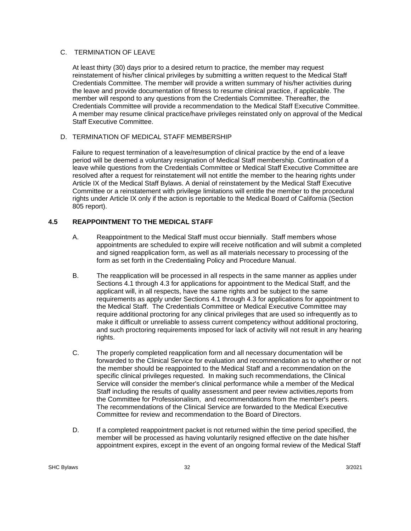### C. TERMINATION OF LEAVE

At least thirty (30) days prior to a desired return to practice, the member may request reinstatement of his/her clinical privileges by submitting a written request to the Medical Staff Credentials Committee. The member will provide a written summary of his/her activities during the leave and provide documentation of fitness to resume clinical practice, if applicable. The member will respond to any questions from the Credentials Committee. Thereafter, the Credentials Committee will provide a recommendation to the Medical Staff Executive Committee. A member may resume clinical practice/have privileges reinstated only on approval of the Medical Staff Executive Committee.

### D. TERMINATION OF MEDICAL STAFF MEMBERSHIP

Failure to request termination of a leave/resumption of clinical practice by the end of a leave period will be deemed a voluntary resignation of Medical Staff membership. Continuation of a leave while questions from the Credentials Committee or Medical Staff Executive Committee are resolved after a request for reinstatement will not entitle the member to the hearing rights under Article IX of the Medical Staff Bylaws. A denial of reinstatement by the Medical Staff Executive Committee or a reinstatement with privilege limitations will entitle the member to the procedural rights under Article IX only if the action is reportable to the Medical Board of California (Section 805 report).

## **4.5 REAPPOINTMENT TO THE MEDICAL STAFF**

- A. Reappointment to the Medical Staff must occur biennially. Staff members whose appointments are scheduled to expire will receive notification and will submit a completed and signed reapplication form, as well as all materials necessary to processing of the form as set forth in the Credentialing Policy and Procedure Manual.
- B. The reapplication will be processed in all respects in the same manner as applies under Sections 4.1 through 4.3 for applications for appointment to the Medical Staff, and the applicant will, in all respects, have the same rights and be subject to the same requirements as apply under Sections 4.1 through 4.3 for applications for appointment to the Medical Staff. The Credentials Committee or Medical Executive Committee may require additional proctoring for any clinical privileges that are used so infrequently as to make it difficult or unreliable to assess current competency without additional proctoring, and such proctoring requirements imposed for lack of activity will not result in any hearing rights.
- C. The properly completed reapplication form and all necessary documentation will be forwarded to the Clinical Service for evaluation and recommendation as to whether or not the member should be reappointed to the Medical Staff and a recommendation on the specific clinical privileges requested. In making such recommendations, the Clinical Service will consider the member's clinical performance while a member of the Medical Staff including the results of quality assessment and peer review activities,reports from the Committee for Professionalism, and recommendations from the member's peers. The recommendations of the Clinical Service are forwarded to the Medical Executive Committee for review and recommendation to the Board of Directors.
- D. If a completed reappointment packet is not returned within the time period specified, the member will be processed as having voluntarily resigned effective on the date his/her appointment expires, except in the event of an ongoing formal review of the Medical Staff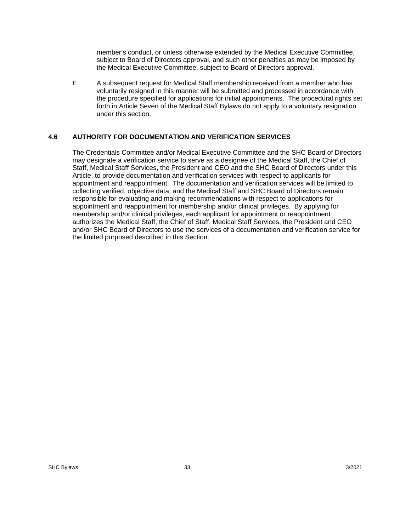member's conduct, or unless otherwise extended by the Medical Executive Committee, subject to Board of Directors approval, and such other penalties as may be imposed by the Medical Executive Committee, subject to Board of Directors approval.

E. A subsequent request for Medical Staff membership received from a member who has voluntarily resigned in this manner will be submitted and processed in accordance with the procedure specified for applications for initial appointments. The procedural rights set forth in Article Seven of the Medical Staff Bylaws do not apply to a voluntary resignation under this section.

## **4.6 AUTHORITY FOR DOCUMENTATION AND VERIFICATION SERVICES**

The Credentials Committee and/or Medical Executive Committee and the SHC Board of Directors may designate a verification service to serve as a designee of the Medical Staff, the Chief of Staff, Medical Staff Services, the President and CEO and the SHC Board of Directors under this Article, to provide documentation and verification services with respect to applicants for appointment and reappointment. The documentation and verification services will be limited to collecting verified, objective data, and the Medical Staff and SHC Board of Directors remain responsible for evaluating and making recommendations with respect to applications for appointment and reappointment for membership and/or clinical privileges. By applying for membership and/or clinical privileges, each applicant for appointment or reappointment authorizes the Medical Staff, the Chief of Staff, Medical Staff Services, the President and CEO and/or SHC Board of Directors to use the services of a documentation and verification service for the limited purposed described in this Section.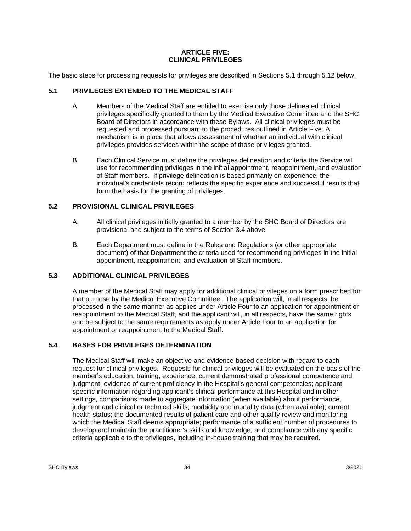### **ARTICLE FIVE: CLINICAL PRIVILEGES**

The basic steps for processing requests for privileges are described in Sections 5.1 through 5.12 below.

# **5.1 PRIVILEGES EXTENDED TO THE MEDICAL STAFF**

- A. Members of the Medical Staff are entitled to exercise only those delineated clinical privileges specifically granted to them by the Medical Executive Committee and the SHC Board of Directors in accordance with these Bylaws. All clinical privileges must be requested and processed pursuant to the procedures outlined in Article Five. A mechanism is in place that allows assessment of whether an individual with clinical privileges provides services within the scope of those privileges granted.
- B. Each Clinical Service must define the privileges delineation and criteria the Service will use for recommending privileges in the initial appointment, reappointment, and evaluation of Staff members. If privilege delineation is based primarily on experience, the individual's credentials record reflects the specific experience and successful results that form the basis for the granting of privileges.

# **5.2 PROVISIONAL CLINICAL PRIVILEGES**

- A. All clinical privileges initially granted to a member by the SHC Board of Directors are provisional and subject to the terms of Section 3.4 above.
- B. Each Department must define in the Rules and Regulations (or other appropriate document) of that Department the criteria used for recommending privileges in the initial appointment, reappointment, and evaluation of Staff members.

## **5.3 ADDITIONAL CLINICAL PRIVILEGES**

A member of the Medical Staff may apply for additional clinical privileges on a form prescribed for that purpose by the Medical Executive Committee. The application will, in all respects, be processed in the same manner as applies under Article Four to an application for appointment or reappointment to the Medical Staff, and the applicant will, in all respects, have the same rights and be subject to the same requirements as apply under Article Four to an application for appointment or reappointment to the Medical Staff.

# **5.4 BASES FOR PRIVILEGES DETERMINATION**

The Medical Staff will make an objective and evidence-based decision with regard to each request for clinical privileges. Requests for clinical privileges will be evaluated on the basis of the member's education, training, experience, current demonstrated professional competence and judgment, evidence of current proficiency in the Hospital's general competencies; applicant specific information regarding applicant's clinical performance at this Hospital and in other settings, comparisons made to aggregate information (when available) about performance, judgment and clinical or technical skills; morbidity and mortality data (when available); current health status; the documented results of patient care and other quality review and monitoring which the Medical Staff deems appropriate; performance of a sufficient number of procedures to develop and maintain the practitioner's skills and knowledge; and compliance with any specific criteria applicable to the privileges, including in-house training that may be required.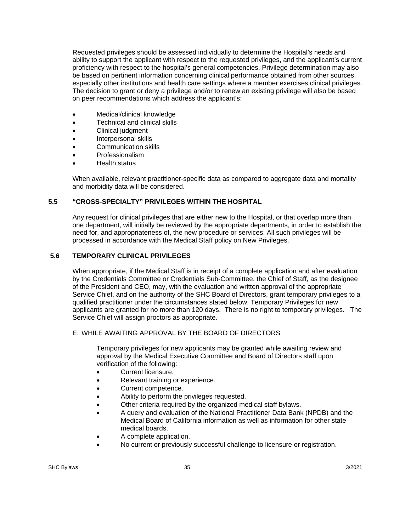Requested privileges should be assessed individually to determine the Hospital's needs and ability to support the applicant with respect to the requested privileges, and the applicant's current proficiency with respect to the hospital's general competencies. Privilege determination may also be based on pertinent information concerning clinical performance obtained from other sources, especially other institutions and health care settings where a member exercises clinical privileges. The decision to grant or deny a privilege and/or to renew an existing privilege will also be based on peer recommendations which address the applicant's:

- Medical/clinical knowledge
- Technical and clinical skills
- Clinical judgment
- Interpersonal skills
- Communication skills
- Professionalism
- Health status

When available, relevant practitioner-specific data as compared to aggregate data and mortality and morbidity data will be considered.

## **5.5 "CROSS-SPECIALTY" PRIVILEGES WITHIN THE HOSPITAL**

Any request for clinical privileges that are either new to the Hospital, or that overlap more than one department, will initially be reviewed by the appropriate departments, in order to establish the need for, and appropriateness of, the new procedure or services. All such privileges will be processed in accordance with the Medical Staff policy on New Privileges.

### **5.6 TEMPORARY CLINICAL PRIVILEGES**

When appropriate, if the Medical Staff is in receipt of a complete application and after evaluation by the Credentials Committee or Credentials Sub-Committee, the Chief of Staff, as the designee of the President and CEO, may, with the evaluation and written approval of the appropriate Service Chief, and on the authority of the SHC Board of Directors, grant temporary privileges to a qualified practitioner under the circumstances stated below. Temporary Privileges for new applicants are granted for no more than 120 days. There is no right to temporary privileges. The Service Chief will assign proctors as appropriate.

### E. WHILE AWAITING APPROVAL BY THE BOARD OF DIRECTORS

Temporary privileges for new applicants may be granted while awaiting review and approval by the Medical Executive Committee and Board of Directors staff upon verification of the following:

- Current licensure.
- Relevant training or experience.
- Current competence.
- Ability to perform the privileges requested.
- Other criteria required by the organized medical staff bylaws.
- A query and evaluation of the National Practitioner Data Bank (NPDB) and the Medical Board of California information as well as information for other state medical boards.
- A complete application.
- No current or previously successful challenge to licensure or registration.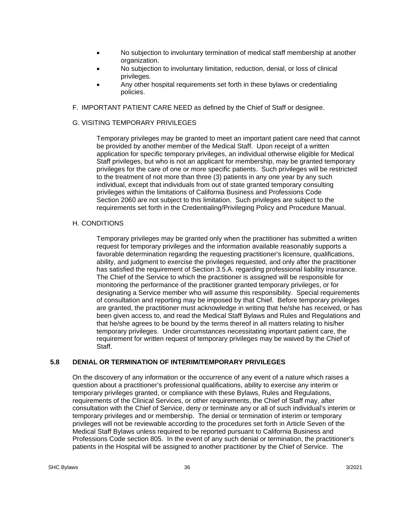- No subjection to involuntary termination of medical staff membership at another organization.
- No subjection to involuntary limitation, reduction, denial, or loss of clinical privileges.
- Any other hospital requirements set forth in these bylaws or credentialing policies.
- F. IMPORTANT PATIENT CARE NEED as defined by the Chief of Staff or designee.

## G. VISITING TEMPORARY PRIVILEGES

Temporary privileges may be granted to meet an important patient care need that cannot be provided by another member of the Medical Staff. Upon receipt of a written application for specific temporary privileges, an individual otherwise eligible for Medical Staff privileges, but who is not an applicant for membership, may be granted temporary privileges for the care of one or more specific patients. Such privileges will be restricted to the treatment of not more than three (3) patients in any one year by any such individual, except that individuals from out of state granted temporary consulting privileges within the limitations of California Business and Professions Code Section 2060 are not subject to this limitation. Such privileges are subject to the requirements set forth in the Credentialing/Privileging Policy and Procedure Manual.

## H. CONDITIONS

Temporary privileges may be granted only when the practitioner has submitted a written request for temporary privileges and the information available reasonably supports a favorable determination regarding the requesting practitioner's licensure, qualifications, ability, and judgment to exercise the privileges requested, and only after the practitioner has satisfied the requirement of Section 3.5.A. regarding professional liability insurance. The Chief of the Service to which the practitioner is assigned will be responsible for monitoring the performance of the practitioner granted temporary privileges, or for designating a Service member who will assume this responsibility. Special requirements of consultation and reporting may be imposed by that Chief. Before temporary privileges are granted, the practitioner must acknowledge in writing that he/she has received, or has been given access to, and read the Medical Staff Bylaws and Rules and Regulations and that he/she agrees to be bound by the terms thereof in all matters relating to his/her temporary privileges. Under circumstances necessitating important patient care, the requirement for written request of temporary privileges may be waived by the Chief of Staff.

## **5.8 DENIAL OR TERMINATION OF INTERIM/TEMPORARY PRIVILEGES**

On the discovery of any information or the occurrence of any event of a nature which raises a question about a practitioner's professional qualifications, ability to exercise any interim or temporary privileges granted, or compliance with these Bylaws, Rules and Regulations, requirements of the Clinical Services, or other requirements, the Chief of Staff may, after consultation with the Chief of Service, deny or terminate any or all of such individual's interim or temporary privileges and or membership. The denial or termination of interim or temporary privileges will not be reviewable according to the procedures set forth in Article Seven of the Medical Staff Bylaws unless required to be reported pursuant to California Business and Professions Code section 805. In the event of any such denial or termination, the practitioner's patients in the Hospital will be assigned to another practitioner by the Chief of Service. The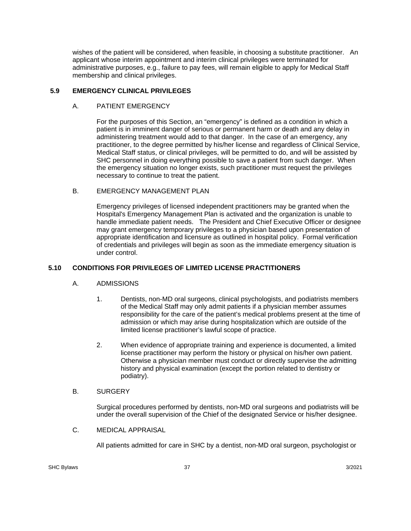wishes of the patient will be considered, when feasible, in choosing a substitute practitioner. An applicant whose interim appointment and interim clinical privileges were terminated for administrative purposes, e.g., failure to pay fees, will remain eligible to apply for Medical Staff membership and clinical privileges.

## **5.9 EMERGENCY CLINICAL PRIVILEGES**

### A. PATIENT EMERGENCY

For the purposes of this Section, an "emergency" is defined as a condition in which a patient is in imminent danger of serious or permanent harm or death and any delay in administering treatment would add to that danger. In the case of an emergency, any practitioner, to the degree permitted by his/her license and regardless of Clinical Service, Medical Staff status, or clinical privileges, will be permitted to do, and will be assisted by SHC personnel in doing everything possible to save a patient from such danger. When the emergency situation no longer exists, such practitioner must request the privileges necessary to continue to treat the patient.

### B. EMERGENCY MANAGEMENT PLAN

Emergency privileges of licensed independent practitioners may be granted when the Hospital's Emergency Management Plan is activated and the organization is unable to handle immediate patient needs. The President and Chief Executive Officer or designee may grant emergency temporary privileges to a physician based upon presentation of appropriate identification and licensure as outlined in hospital policy. Formal verification of credentials and privileges will begin as soon as the immediate emergency situation is under control.

## **5.10 CONDITIONS FOR PRIVILEGES OF LIMITED LICENSE PRACTITIONERS**

### A. ADMISSIONS

- 1. Dentists, non-MD oral surgeons, clinical psychologists, and podiatrists members of the Medical Staff may only admit patients if a physician member assumes responsibility for the care of the patient's medical problems present at the time of admission or which may arise during hospitalization which are outside of the limited license practitioner's lawful scope of practice.
- 2. When evidence of appropriate training and experience is documented, a limited license practitioner may perform the history or physical on his/her own patient. Otherwise a physician member must conduct or directly supervise the admitting history and physical examination (except the portion related to dentistry or podiatry).

### B. SURGERY

Surgical procedures performed by dentists, non-MD oral surgeons and podiatrists will be under the overall supervision of the Chief of the designated Service or his/her designee.

C. MEDICAL APPRAISAL

All patients admitted for care in SHC by a dentist, non-MD oral surgeon, psychologist or

SHC Bylaws 3/2021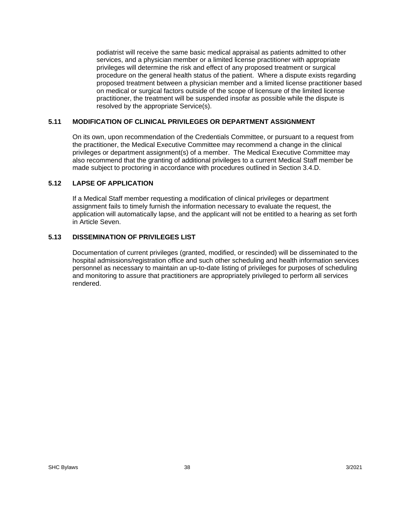podiatrist will receive the same basic medical appraisal as patients admitted to other services, and a physician member or a limited license practitioner with appropriate privileges will determine the risk and effect of any proposed treatment or surgical procedure on the general health status of the patient. Where a dispute exists regarding proposed treatment between a physician member and a limited license practitioner based on medical or surgical factors outside of the scope of licensure of the limited license practitioner, the treatment will be suspended insofar as possible while the dispute is resolved by the appropriate Service(s).

## **5.11 MODIFICATION OF CLINICAL PRIVILEGES OR DEPARTMENT ASSIGNMENT**

On its own, upon recommendation of the Credentials Committee, or pursuant to a request from the practitioner, the Medical Executive Committee may recommend a change in the clinical privileges or department assignment(s) of a member. The Medical Executive Committee may also recommend that the granting of additional privileges to a current Medical Staff member be made subject to proctoring in accordance with procedures outlined in Section 3.4.D.

## **5.12 LAPSE OF APPLICATION**

If a Medical Staff member requesting a modification of clinical privileges or department assignment fails to timely furnish the information necessary to evaluate the request, the application will automatically lapse, and the applicant will not be entitled to a hearing as set forth in Article Seven.

## **5.13 DISSEMINATION OF PRIVILEGES LIST**

Documentation of current privileges (granted, modified, or rescinded) will be disseminated to the hospital admissions/registration office and such other scheduling and health information services personnel as necessary to maintain an up-to-date listing of privileges for purposes of scheduling and monitoring to assure that practitioners are appropriately privileged to perform all services rendered.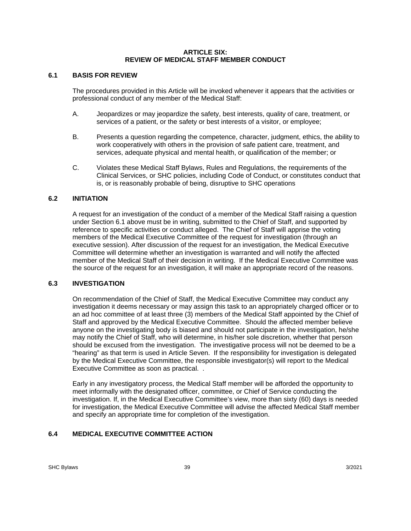### **ARTICLE SIX: REVIEW OF MEDICAL STAFF MEMBER CONDUCT**

## **6.1 BASIS FOR REVIEW**

The procedures provided in this Article will be invoked whenever it appears that the activities or professional conduct of any member of the Medical Staff:

- A. Jeopardizes or may jeopardize the safety, best interests, quality of care, treatment, or services of a patient, or the safety or best interests of a visitor, or employee;
- B. Presents a question regarding the competence, character, judgment, ethics, the ability to work cooperatively with others in the provision of safe patient care, treatment, and services, adequate physical and mental health, or qualification of the member; or
- C. Violates these Medical Staff Bylaws, Rules and Regulations, the requirements of the Clinical Services, or SHC policies, including Code of Conduct, or constitutes conduct that is, or is reasonably probable of being, disruptive to SHC operations

## **6.2 INITIATION**

A request for an investigation of the conduct of a member of the Medical Staff raising a question under Section 6.1 above must be in writing, submitted to the Chief of Staff, and supported by reference to specific activities or conduct alleged. The Chief of Staff will apprise the voting members of the Medical Executive Committee of the request for investigation (through an executive session). After discussion of the request for an investigation, the Medical Executive Committee will determine whether an investigation is warranted and will notify the affected member of the Medical Staff of their decision in writing. If the Medical Executive Committee was the source of the request for an investigation, it will make an appropriate record of the reasons.

### **6.3 INVESTIGATION**

On recommendation of the Chief of Staff, the Medical Executive Committee may conduct any investigation it deems necessary or may assign this task to an appropriately charged officer or to an ad hoc committee of at least three (3) members of the Medical Staff appointed by the Chief of Staff and approved by the Medical Executive Committee. Should the affected member believe anyone on the investigating body is biased and should not participate in the investigation, he/she may notify the Chief of Staff, who will determine, in his/her sole discretion, whether that person should be excused from the investigation. The investigative process will not be deemed to be a "hearing" as that term is used in Article Seven. If the responsibility for investigation is delegated by the Medical Executive Committee, the responsible investigator(s) will report to the Medical Executive Committee as soon as practical. .

Early in any investigatory process, the Medical Staff member will be afforded the opportunity to meet informally with the designated officer, committee, or Chief of Service conducting the investigation. If, in the Medical Executive Committee's view, more than sixty (60) days is needed for investigation, the Medical Executive Committee will advise the affected Medical Staff member and specify an appropriate time for completion of the investigation.

## **6.4 MEDICAL EXECUTIVE COMMITTEE ACTION**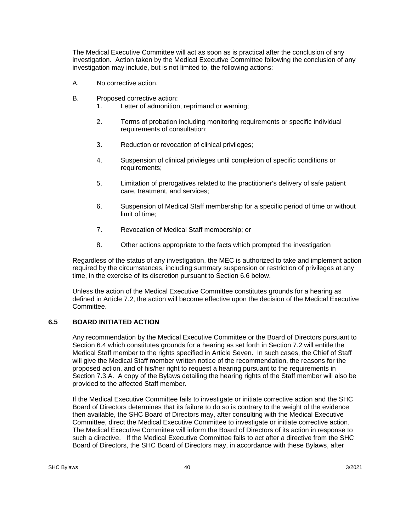The Medical Executive Committee will act as soon as is practical after the conclusion of any investigation. Action taken by the Medical Executive Committee following the conclusion of any investigation may include, but is not limited to, the following actions:

- A. No corrective action.
- B. Proposed corrective action:
	- 1. Letter of admonition, reprimand or warning;
	- 2. Terms of probation including monitoring requirements or specific individual requirements of consultation;
	- 3. Reduction or revocation of clinical privileges;
	- 4. Suspension of clinical privileges until completion of specific conditions or requirements;
	- 5. Limitation of prerogatives related to the practitioner's delivery of safe patient care, treatment, and services;
	- 6. Suspension of Medical Staff membership for a specific period of time or without limit of time;
	- 7. Revocation of Medical Staff membership; or
	- 8. Other actions appropriate to the facts which prompted the investigation

Regardless of the status of any investigation, the MEC is authorized to take and implement action required by the circumstances, including summary suspension or restriction of privileges at any time, in the exercise of its discretion pursuant to Section 6.6 below.

Unless the action of the Medical Executive Committee constitutes grounds for a hearing as defined in Article 7.2, the action will become effective upon the decision of the Medical Executive Committee.

## **6.5 BOARD INITIATED ACTION**

Any recommendation by the Medical Executive Committee or the Board of Directors pursuant to Section 6.4 which constitutes grounds for a hearing as set forth in Section 7.2 will entitle the Medical Staff member to the rights specified in Article Seven. In such cases, the Chief of Staff will give the Medical Staff member written notice of the recommendation, the reasons for the proposed action, and of his/her right to request a hearing pursuant to the requirements in Section 7.3.A. A copy of the Bylaws detailing the hearing rights of the Staff member will also be provided to the affected Staff member.

If the Medical Executive Committee fails to investigate or initiate corrective action and the SHC Board of Directors determines that its failure to do so is contrary to the weight of the evidence then available, the SHC Board of Directors may, after consulting with the Medical Executive Committee, direct the Medical Executive Committee to investigate or initiate corrective action. The Medical Executive Committee will inform the Board of Directors of its action in response to such a directive. If the Medical Executive Committee fails to act after a directive from the SHC Board of Directors, the SHC Board of Directors may, in accordance with these Bylaws, after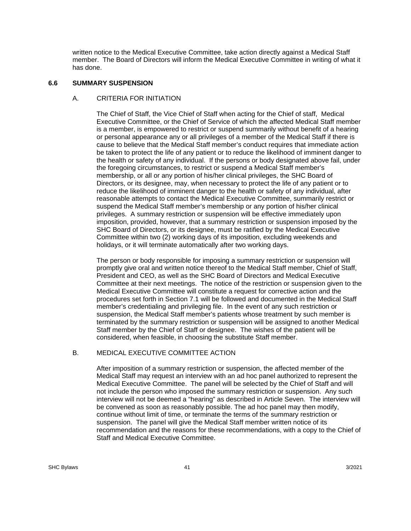written notice to the Medical Executive Committee, take action directly against a Medical Staff member. The Board of Directors will inform the Medical Executive Committee in writing of what it has done.

#### **6.6 SUMMARY SUSPENSION**

#### A. CRITERIA FOR INITIATION

The Chief of Staff, the Vice Chief of Staff when acting for the Chief of staff, Medical Executive Committee, or the Chief of Service of which the affected Medical Staff member is a member, is empowered to restrict or suspend summarily without benefit of a hearing or personal appearance any or all privileges of a member of the Medical Staff if there is cause to believe that the Medical Staff member's conduct requires that immediate action be taken to protect the life of any patient or to reduce the likelihood of imminent danger to the health or safety of any individual. If the persons or body designated above fail, under the foregoing circumstances, to restrict or suspend a Medical Staff member's membership, or all or any portion of his/her clinical privileges, the SHC Board of Directors, or its designee, may, when necessary to protect the life of any patient or to reduce the likelihood of imminent danger to the health or safety of any individual, after reasonable attempts to contact the Medical Executive Committee, summarily restrict or suspend the Medical Staff member's membership or any portion of his/her clinical privileges. A summary restriction or suspension will be effective immediately upon imposition, provided, however, that a summary restriction or suspension imposed by the SHC Board of Directors, or its designee, must be ratified by the Medical Executive Committee within two (2) working days of its imposition, excluding weekends and holidays, or it will terminate automatically after two working days.

The person or body responsible for imposing a summary restriction or suspension will promptly give oral and written notice thereof to the Medical Staff member, Chief of Staff, President and CEO, as well as the SHC Board of Directors and Medical Executive Committee at their next meetings. The notice of the restriction or suspension given to the Medical Executive Committee will constitute a request for corrective action and the procedures set forth in Section 7.1 will be followed and documented in the Medical Staff member's credentialing and privileging file. In the event of any such restriction or suspension, the Medical Staff member's patients whose treatment by such member is terminated by the summary restriction or suspension will be assigned to another Medical Staff member by the Chief of Staff or designee. The wishes of the patient will be considered, when feasible, in choosing the substitute Staff member.

### B. MEDICAL EXECUTIVE COMMITTEE ACTION

After imposition of a summary restriction or suspension, the affected member of the Medical Staff may request an interview with an ad hoc panel authorized to represent the Medical Executive Committee. The panel will be selected by the Chief of Staff and will not include the person who imposed the summary restriction or suspension. Any such interview will not be deemed a "hearing" as described in Article Seven. The interview will be convened as soon as reasonably possible. The ad hoc panel may then modify, continue without limit of time, or terminate the terms of the summary restriction or suspension. The panel will give the Medical Staff member written notice of its recommendation and the reasons for these recommendations, with a copy to the Chief of Staff and Medical Executive Committee.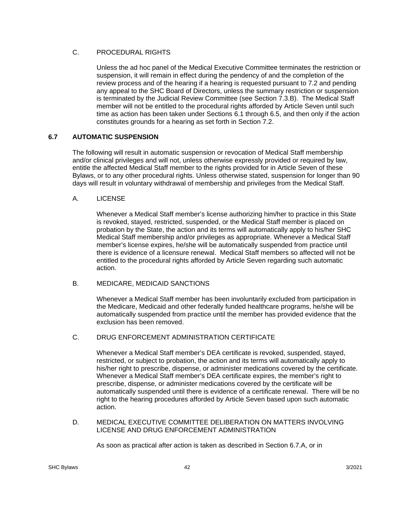## C. PROCEDURAL RIGHTS

Unless the ad hoc panel of the Medical Executive Committee terminates the restriction or suspension, it will remain in effect during the pendency of and the completion of the review process and of the hearing if a hearing is requested pursuant to 7.2 and pending any appeal to the SHC Board of Directors, unless the summary restriction or suspension is terminated by the Judicial Review Committee (see Section 7.3.B). The Medical Staff member will not be entitled to the procedural rights afforded by Article Seven until such time as action has been taken under Sections 6.1 through 6.5, and then only if the action constitutes grounds for a hearing as set forth in Section 7.2.

## **6.7 AUTOMATIC SUSPENSION**

 The following will result in automatic suspension or revocation of Medical Staff membership and/or clinical privileges and will not, unless otherwise expressly provided or required by law, entitle the affected Medical Staff member to the rights provided for in Article Seven of these Bylaws, or to any other procedural rights. Unless otherwise stated, suspension for longer than 90 days will result in voluntary withdrawal of membership and privileges from the Medical Staff.

## A. LICENSE

Whenever a Medical Staff member's license authorizing him/her to practice in this State is revoked, stayed, restricted, suspended, or the Medical Staff member is placed on probation by the State, the action and its terms will automatically apply to his/her SHC Medical Staff membership and/or privileges as appropriate. Whenever a Medical Staff member's license expires, he/she will be automatically suspended from practice until there is evidence of a licensure renewal. Medical Staff members so affected will not be entitled to the procedural rights afforded by Article Seven regarding such automatic action.

### B. MEDICARE, MEDICAID SANCTIONS

Whenever a Medical Staff member has been involuntarily excluded from participation in the Medicare, Medicaid and other federally funded healthcare programs, he/she will be automatically suspended from practice until the member has provided evidence that the exclusion has been removed.

## C. DRUG ENFORCEMENT ADMINISTRATION CERTIFICATE

Whenever a Medical Staff member's DEA certificate is revoked, suspended, stayed, restricted, or subject to probation, the action and its terms will automatically apply to his/her right to prescribe, dispense, or administer medications covered by the certificate. Whenever a Medical Staff member's DEA certificate expires, the member's right to prescribe, dispense, or administer medications covered by the certificate will be automatically suspended until there is evidence of a certificate renewal. There will be no right to the hearing procedures afforded by Article Seven based upon such automatic action.

### D. MEDICAL EXECUTIVE COMMITTEE DELIBERATION ON MATTERS INVOLVING LICENSE AND DRUG ENFORCEMENT ADMINISTRATION

As soon as practical after action is taken as described in Section 6.7.A, or in

SHC Bylaws 3/2021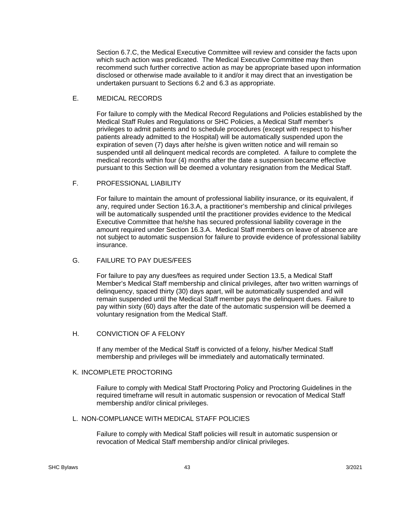Section 6.7.C, the Medical Executive Committee will review and consider the facts upon which such action was predicated. The Medical Executive Committee may then recommend such further corrective action as may be appropriate based upon information disclosed or otherwise made available to it and/or it may direct that an investigation be undertaken pursuant to Sections 6.2 and 6.3 as appropriate.

### E. MEDICAL RECORDS

For failure to comply with the Medical Record Regulations and Policies established by the Medical Staff Rules and Regulations or SHC Policies, a Medical Staff member's privileges to admit patients and to schedule procedures (except with respect to his/her patients already admitted to the Hospital) will be automatically suspended upon the expiration of seven (7) days after he/she is given written notice and will remain so suspended until all delinquent medical records are completed. A failure to complete the medical records within four (4) months after the date a suspension became effective pursuant to this Section will be deemed a voluntary resignation from the Medical Staff.

## F. PROFESSIONAL LIABILITY

For failure to maintain the amount of professional liability insurance, or its equivalent, if any, required under Section 16.3.A, a practitioner's membership and clinical privileges will be automatically suspended until the practitioner provides evidence to the Medical Executive Committee that he/she has secured professional liability coverage in the amount required under Section 16.3.A. Medical Staff members on leave of absence are not subject to automatic suspension for failure to provide evidence of professional liability insurance.

## G. FAILURE TO PAY DUES/FEES

For failure to pay any dues/fees as required under Section 13.5, a Medical Staff Member's Medical Staff membership and clinical privileges, after two written warnings of delinquency, spaced thirty (30) days apart, will be automatically suspended and will remain suspended until the Medical Staff member pays the delinquent dues. Failure to pay within sixty (60) days after the date of the automatic suspension will be deemed a voluntary resignation from the Medical Staff.

## H. CONVICTION OF A FELONY

If any member of the Medical Staff is convicted of a felony, his/her Medical Staff membership and privileges will be immediately and automatically terminated.

### K. INCOMPLETE PROCTORING

Failure to comply with Medical Staff Proctoring Policy and Proctoring Guidelines in the required timeframe will result in automatic suspension or revocation of Medical Staff membership and/or clinical privileges.

### L. NON-COMPLIANCE WITH MEDICAL STAFF POLICIES

Failure to comply with Medical Staff policies will result in automatic suspension or revocation of Medical Staff membership and/or clinical privileges.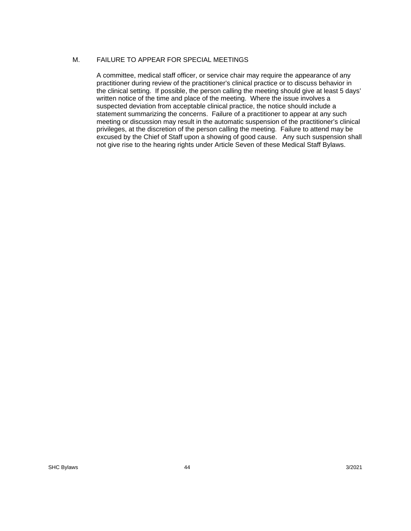### M. FAILURE TO APPEAR FOR SPECIAL MEETINGS

A committee, medical staff officer, or service chair may require the appearance of any practitioner during review of the practitioner's clinical practice or to discuss behavior in the clinical setting. If possible, the person calling the meeting should give at least 5 days' written notice of the time and place of the meeting. Where the issue involves a suspected deviation from acceptable clinical practice, the notice should include a statement summarizing the concerns. Failure of a practitioner to appear at any such meeting or discussion may result in the automatic suspension of the practitioner's clinical privileges, at the discretion of the person calling the meeting. Failure to attend may be excused by the Chief of Staff upon a showing of good cause. Any such suspension shall not give rise to the hearing rights under Article Seven of these Medical Staff Bylaws.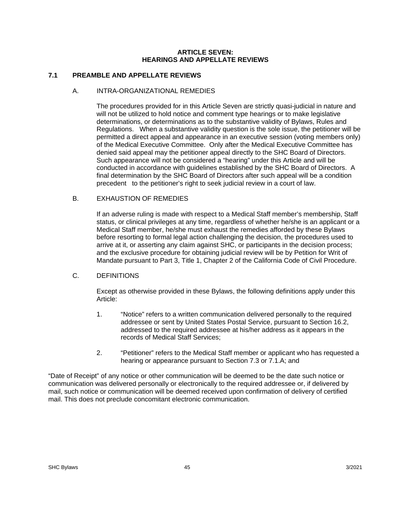#### **ARTICLE SEVEN: HEARINGS AND APPELLATE REVIEWS**

## **7.1 PREAMBLE AND APPELLATE REVIEWS**

### A. INTRA-ORGANIZATIONAL REMEDIES

The procedures provided for in this Article Seven are strictly quasi-judicial in nature and will not be utilized to hold notice and comment type hearings or to make legislative determinations, or determinations as to the substantive validity of Bylaws, Rules and Regulations. When a substantive validity question is the sole issue, the petitioner will be permitted a direct appeal and appearance in an executive session (voting members only) of the Medical Executive Committee. Only after the Medical Executive Committee has denied said appeal may the petitioner appeal directly to the SHC Board of Directors. Such appearance will not be considered a "hearing" under this Article and will be conducted in accordance with guidelines established by the SHC Board of Directors. A final determination by the SHC Board of Directors after such appeal will be a condition precedent to the petitioner's right to seek judicial review in a court of law.

## B. EXHAUSTION OF REMEDIES

If an adverse ruling is made with respect to a Medical Staff member's membership, Staff status, or clinical privileges at any time, regardless of whether he/she is an applicant or a Medical Staff member, he/she must exhaust the remedies afforded by these Bylaws before resorting to formal legal action challenging the decision, the procedures used to arrive at it, or asserting any claim against SHC, or participants in the decision process; and the exclusive procedure for obtaining judicial review will be by Petition for Writ of Mandate pursuant to Part 3, Title 1, Chapter 2 of the California Code of Civil Procedure.

### C. DEFINITIONS

Except as otherwise provided in these Bylaws, the following definitions apply under this Article:

- 1. "Notice" refers to a written communication delivered personally to the required addressee or sent by United States Postal Service, pursuant to Section 16.2, addressed to the required addressee at his/her address as it appears in the records of Medical Staff Services;
- 2. "Petitioner" refers to the Medical Staff member or applicant who has requested a hearing or appearance pursuant to Section 7.3 or 7.1.A; and

"Date of Receipt" of any notice or other communication will be deemed to be the date such notice or communication was delivered personally or electronically to the required addressee or, if delivered by mail, such notice or communication will be deemed received upon confirmation of delivery of certified mail. This does not preclude concomitant electronic communication.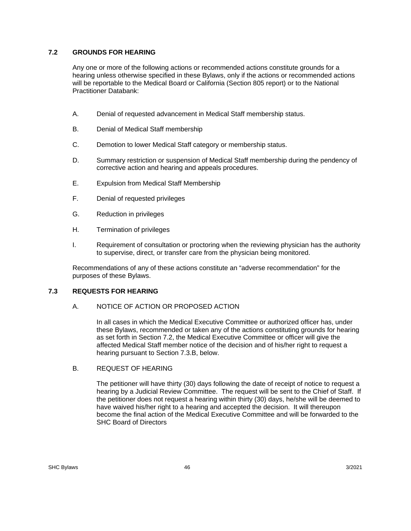## **7.2 GROUNDS FOR HEARING**

Any one or more of the following actions or recommended actions constitute grounds for a hearing unless otherwise specified in these Bylaws, only if the actions or recommended actions will be reportable to the Medical Board or California (Section 805 report) or to the National Practitioner Databank:

- A. Denial of requested advancement in Medical Staff membership status.
- B. Denial of Medical Staff membership
- C. Demotion to lower Medical Staff category or membership status.
- D. Summary restriction or suspension of Medical Staff membership during the pendency of corrective action and hearing and appeals procedures.
- E. Expulsion from Medical Staff Membership
- F. Denial of requested privileges
- G. Reduction in privileges
- H. Termination of privileges
- I. Requirement of consultation or proctoring when the reviewing physician has the authority to supervise, direct, or transfer care from the physician being monitored.

Recommendations of any of these actions constitute an "adverse recommendation" for the purposes of these Bylaws.

# **7.3 REQUESTS FOR HEARING**

### A. NOTICE OF ACTION OR PROPOSED ACTION

In all cases in which the Medical Executive Committee or authorized officer has, under these Bylaws, recommended or taken any of the actions constituting grounds for hearing as set forth in Section 7.2, the Medical Executive Committee or officer will give the affected Medical Staff member notice of the decision and of his/her right to request a hearing pursuant to Section 7.3.B, below.

### B. REQUEST OF HEARING

The petitioner will have thirty (30) days following the date of receipt of notice to request a hearing by a Judicial Review Committee. The request will be sent to the Chief of Staff. If the petitioner does not request a hearing within thirty (30) days, he/she will be deemed to have waived his/her right to a hearing and accepted the decision. It will thereupon become the final action of the Medical Executive Committee and will be forwarded to the SHC Board of Directors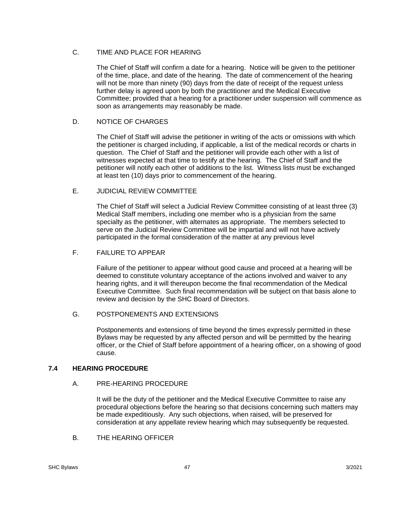## C. TIME AND PLACE FOR HEARING

The Chief of Staff will confirm a date for a hearing. Notice will be given to the petitioner of the time, place, and date of the hearing. The date of commencement of the hearing will not be more than ninety (90) days from the date of receipt of the request unless further delay is agreed upon by both the practitioner and the Medical Executive Committee; provided that a hearing for a practitioner under suspension will commence as soon as arrangements may reasonably be made.

## D. NOTICE OF CHARGES

The Chief of Staff will advise the petitioner in writing of the acts or omissions with which the petitioner is charged including, if applicable, a list of the medical records or charts in question. The Chief of Staff and the petitioner will provide each other with a list of witnesses expected at that time to testify at the hearing. The Chief of Staff and the petitioner will notify each other of additions to the list. Witness lists must be exchanged at least ten (10) days prior to commencement of the hearing.

## E. JUDICIAL REVIEW COMMITTEE

The Chief of Staff will select a Judicial Review Committee consisting of at least three (3) Medical Staff members, including one member who is a physician from the same specialty as the petitioner, with alternates as appropriate. The members selected to serve on the Judicial Review Committee will be impartial and will not have actively participated in the formal consideration of the matter at any previous level

## F. FAILURE TO APPEAR

Failure of the petitioner to appear without good cause and proceed at a hearing will be deemed to constitute voluntary acceptance of the actions involved and waiver to any hearing rights, and it will thereupon become the final recommendation of the Medical Executive Committee. Such final recommendation will be subject on that basis alone to review and decision by the SHC Board of Directors.

## G. POSTPONEMENTS AND EXTENSIONS

Postponements and extensions of time beyond the times expressly permitted in these Bylaws may be requested by any affected person and will be permitted by the hearing officer, or the Chief of Staff before appointment of a hearing officer, on a showing of good cause.

## **7.4 HEARING PROCEDURE**

## A. PRE-HEARING PROCEDURE

It will be the duty of the petitioner and the Medical Executive Committee to raise any procedural objections before the hearing so that decisions concerning such matters may be made expeditiously. Any such objections, when raised, will be preserved for consideration at any appellate review hearing which may subsequently be requested.

B. THE HEARING OFFICER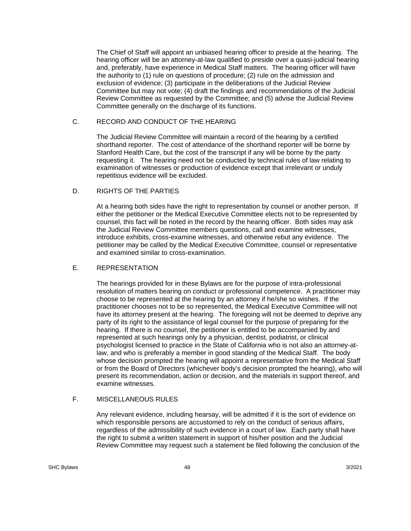The Chief of Staff will appoint an unbiased hearing officer to preside at the hearing. The hearing officer will be an attorney-at-law qualified to preside over a quasi-judicial hearing and, preferably, have experience in Medical Staff matters. The hearing officer will have the authority to (1) rule on questions of procedure; (2) rule on the admission and exclusion of evidence; (3) participate in the deliberations of the Judicial Review Committee but may not vote; (4) draft the findings and recommendations of the Judicial Review Committee as requested by the Committee; and (5) advise the Judicial Review Committee generally on the discharge of its functions.

## C. RECORD AND CONDUCT OF THE HEARING

The Judicial Review Committee will maintain a record of the hearing by a certified shorthand reporter. The cost of attendance of the shorthand reporter will be borne by Stanford Health Care, but the cost of the transcript if any will be borne by the party requesting it. The hearing need not be conducted by technical rules of law relating to examination of witnesses or production of evidence except that irrelevant or unduly repetitious evidence will be excluded.

### D. RIGHTS OF THE PARTIES

At a hearing both sides have the right to representation by counsel or another person. If either the petitioner or the Medical Executive Committee elects not to be represented by counsel, this fact will be noted in the record by the hearing officer. Both sides may ask the Judicial Review Committee members questions, call and examine witnesses, introduce exhibits, cross-examine witnesses, and otherwise rebut any evidence. The petitioner may be called by the Medical Executive Committee, counsel or representative and examined similar to cross-examination.

### E. REPRESENTATION

The hearings provided for in these Bylaws are for the purpose of intra-professional resolution of matters bearing on conduct or professional competence. A practitioner may choose to be represented at the hearing by an attorney if he/she so wishes. If the practitioner chooses not to be so represented, the Medical Executive Committee will not have its attorney present at the hearing. The foregoing will not be deemed to deprive any party of its right to the assistance of legal counsel for the purpose of preparing for the hearing. If there is no counsel, the petitioner is entitled to be accompanied by and represented at such hearings only by a physician, dentist, podiatrist, or clinical psychologist licensed to practice in the State of California who is not also an attorney-atlaw, and who is preferably a member in good standing of the Medical Staff. The body whose decision prompted the hearing will appoint a representative from the Medical Staff or from the Board of Directors (whichever body's decision prompted the hearing), who will present its recommendation, action or decision, and the materials in support thereof, and examine witnesses.

## F. MISCELLANEOUS RULES

Any relevant evidence, including hearsay, will be admitted if it is the sort of evidence on which responsible persons are accustomed to rely on the conduct of serious affairs, regardless of the admissibility of such evidence in a court of law. Each party shall have the right to submit a written statement in support of his/her position and the Judicial Review Committee may request such a statement be filed following the conclusion of the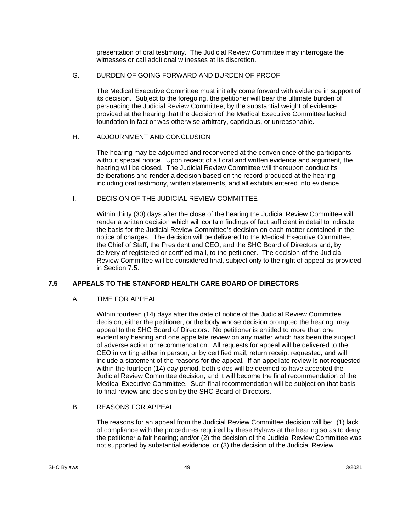presentation of oral testimony. The Judicial Review Committee may interrogate the witnesses or call additional witnesses at its discretion.

## G. BURDEN OF GOING FORWARD AND BURDEN OF PROOF

The Medical Executive Committee must initially come forward with evidence in support of its decision. Subject to the foregoing, the petitioner will bear the ultimate burden of persuading the Judicial Review Committee, by the substantial weight of evidence provided at the hearing that the decision of the Medical Executive Committee lacked foundation in fact or was otherwise arbitrary, capricious, or unreasonable.

## H. ADJOURNMENT AND CONCLUSION

The hearing may be adjourned and reconvened at the convenience of the participants without special notice. Upon receipt of all oral and written evidence and argument, the hearing will be closed. The Judicial Review Committee will thereupon conduct its deliberations and render a decision based on the record produced at the hearing including oral testimony, written statements, and all exhibits entered into evidence.

## I. DECISION OF THE JUDICIAL REVIEW COMMITTEE

Within thirty (30) days after the close of the hearing the Judicial Review Committee will render a written decision which will contain findings of fact sufficient in detail to indicate the basis for the Judicial Review Committee's decision on each matter contained in the notice of charges. The decision will be delivered to the Medical Executive Committee, the Chief of Staff, the President and CEO, and the SHC Board of Directors and, by delivery of registered or certified mail, to the petitioner. The decision of the Judicial Review Committee will be considered final, subject only to the right of appeal as provided in Section 7.5.

## **7.5 APPEALS TO THE STANFORD HEALTH CARE BOARD OF DIRECTORS**

### A. TIME FOR APPEAL

Within fourteen (14) days after the date of notice of the Judicial Review Committee decision, either the petitioner, or the body whose decision prompted the hearing, may appeal to the SHC Board of Directors. No petitioner is entitled to more than one evidentiary hearing and one appellate review on any matter which has been the subject of adverse action or recommendation. All requests for appeal will be delivered to the CEO in writing either in person, or by certified mail, return receipt requested, and will include a statement of the reasons for the appeal. If an appellate review is not requested within the fourteen (14) day period, both sides will be deemed to have accepted the Judicial Review Committee decision, and it will become the final recommendation of the Medical Executive Committee. Such final recommendation will be subject on that basis to final review and decision by the SHC Board of Directors.

### B. REASONS FOR APPEAL

The reasons for an appeal from the Judicial Review Committee decision will be: (1) lack of compliance with the procedures required by these Bylaws at the hearing so as to deny the petitioner a fair hearing; and/or (2) the decision of the Judicial Review Committee was not supported by substantial evidence, or (3) the decision of the Judicial Review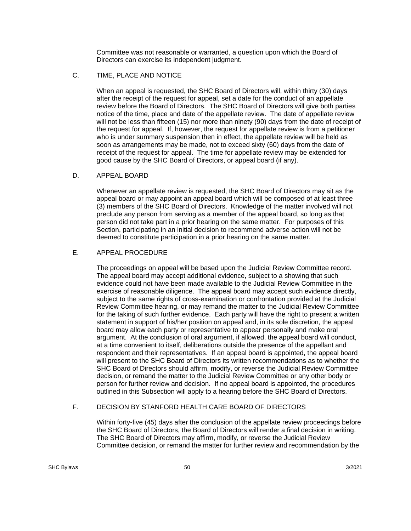Committee was not reasonable or warranted, a question upon which the Board of Directors can exercise its independent judgment.

## C. TIME, PLACE AND NOTICE

When an appeal is requested, the SHC Board of Directors will, within thirty (30) days after the receipt of the request for appeal, set a date for the conduct of an appellate review before the Board of Directors. The SHC Board of Directors will give both parties notice of the time, place and date of the appellate review. The date of appellate review will not be less than fifteen (15) nor more than ninety (90) days from the date of receipt of the request for appeal. If, however, the request for appellate review is from a petitioner who is under summary suspension then in effect, the appellate review will be held as soon as arrangements may be made, not to exceed sixty (60) days from the date of receipt of the request for appeal. The time for appellate review may be extended for good cause by the SHC Board of Directors, or appeal board (if any).

## D. APPEAL BOARD

Whenever an appellate review is requested, the SHC Board of Directors may sit as the appeal board or may appoint an appeal board which will be composed of at least three (3) members of the SHC Board of Directors. Knowledge of the matter involved will not preclude any person from serving as a member of the appeal board, so long as that person did not take part in a prior hearing on the same matter. For purposes of this Section, participating in an initial decision to recommend adverse action will not be deemed to constitute participation in a prior hearing on the same matter.

## E. APPEAL PROCEDURE

The proceedings on appeal will be based upon the Judicial Review Committee record. The appeal board may accept additional evidence, subject to a showing that such evidence could not have been made available to the Judicial Review Committee in the exercise of reasonable diligence. The appeal board may accept such evidence directly, subject to the same rights of cross-examination or confrontation provided at the Judicial Review Committee hearing, or may remand the matter to the Judicial Review Committee for the taking of such further evidence. Each party will have the right to present a written statement in support of his/her position on appeal and, in its sole discretion, the appeal board may allow each party or representative to appear personally and make oral argument. At the conclusion of oral argument, if allowed, the appeal board will conduct, at a time convenient to itself, deliberations outside the presence of the appellant and respondent and their representatives. If an appeal board is appointed, the appeal board will present to the SHC Board of Directors its written recommendations as to whether the SHC Board of Directors should affirm, modify, or reverse the Judicial Review Committee decision, or remand the matter to the Judicial Review Committee or any other body or person for further review and decision. If no appeal board is appointed, the procedures outlined in this Subsection will apply to a hearing before the SHC Board of Directors.

# F. DECISION BY STANFORD HEALTH CARE BOARD OF DIRECTORS

Within forty-five (45) days after the conclusion of the appellate review proceedings before the SHC Board of Directors, the Board of Directors will render a final decision in writing. The SHC Board of Directors may affirm, modify, or reverse the Judicial Review Committee decision, or remand the matter for further review and recommendation by the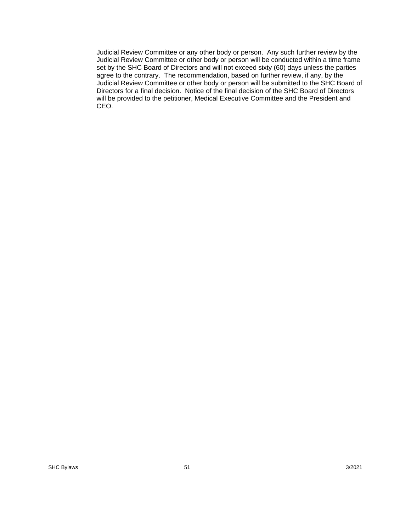Judicial Review Committee or any other body or person. Any such further review by the Judicial Review Committee or other body or person will be conducted within a time frame set by the SHC Board of Directors and will not exceed sixty (60) days unless the parties agree to the contrary. The recommendation, based on further review, if any, by the Judicial Review Committee or other body or person will be submitted to the SHC Board of Directors for a final decision. Notice of the final decision of the SHC Board of Directors will be provided to the petitioner, Medical Executive Committee and the President and CEO.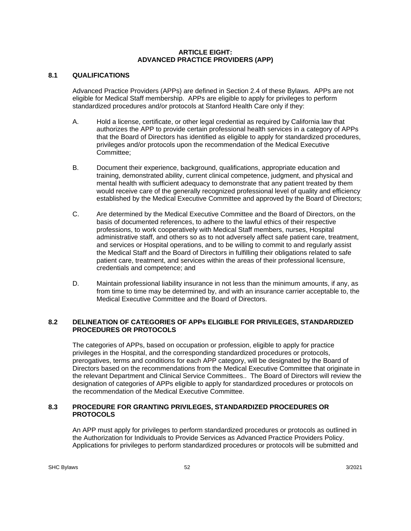#### **ARTICLE EIGHT: ADVANCED PRACTICE PROVIDERS (APP)**

## **8.1 QUALIFICATIONS**

 Advanced Practice Providers (APPs) are defined in Section 2.4 of these Bylaws. APPs are not eligible for Medical Staff membership. APPs are eligible to apply for privileges to perform standardized procedures and/or protocols at Stanford Health Care only if they:

- A. Hold a license, certificate, or other legal credential as required by California law that authorizes the APP to provide certain professional health services in a category of APPs that the Board of Directors has identified as eligible to apply for standardized procedures, privileges and/or protocols upon the recommendation of the Medical Executive Committee;
- B. Document their experience, background, qualifications, appropriate education and training, demonstrated ability, current clinical competence, judgment, and physical and mental health with sufficient adequacy to demonstrate that any patient treated by them would receive care of the generally recognized professional level of quality and efficiency established by the Medical Executive Committee and approved by the Board of Directors;
- C. Are determined by the Medical Executive Committee and the Board of Directors, on the basis of documented references, to adhere to the lawful ethics of their respective professions, to work cooperatively with Medical Staff members, nurses, Hospital administrative staff, and others so as to not adversely affect safe patient care, treatment, and services or Hospital operations, and to be willing to commit to and regularly assist the Medical Staff and the Board of Directors in fulfilling their obligations related to safe patient care, treatment, and services within the areas of their professional licensure, credentials and competence; and
- D. Maintain professional liability insurance in not less than the minimum amounts, if any, as from time to time may be determined by, and with an insurance carrier acceptable to, the Medical Executive Committee and the Board of Directors.

## **8.2 DELINEATION OF CATEGORIES OF APPs ELIGIBLE FOR PRIVILEGES, STANDARDIZED PROCEDURES OR PROTOCOLS**

 The categories of APPs, based on occupation or profession, eligible to apply for practice privileges in the Hospital, and the corresponding standardized procedures or protocols, prerogatives, terms and conditions for each APP category, will be designated by the Board of Directors based on the recommendations from the Medical Executive Committee that originate in the relevant Department and Clinical Service Committees.. The Board of Directors will review the designation of categories of APPs eligible to apply for standardized procedures or protocols on the recommendation of the Medical Executive Committee.

## **8.3 PROCEDURE FOR GRANTING PRIVILEGES, STANDARDIZED PROCEDURES OR PROTOCOLS**

 An APP must apply for privileges to perform standardized procedures or protocols as outlined in the Authorization for Individuals to Provide Services as Advanced Practice Providers Policy. Applications for privileges to perform standardized procedures or protocols will be submitted and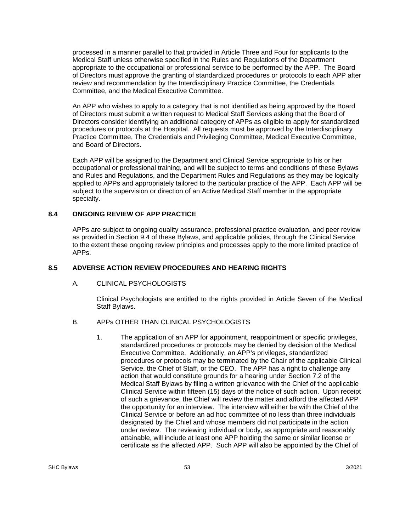processed in a manner parallel to that provided in Article Three and Four for applicants to the Medical Staff unless otherwise specified in the Rules and Regulations of the Department appropriate to the occupational or professional service to be performed by the APP. The Board of Directors must approve the granting of standardized procedures or protocols to each APP after review and recommendation by the Interdisciplinary Practice Committee, the Credentials Committee, and the Medical Executive Committee.

 An APP who wishes to apply to a category that is not identified as being approved by the Board of Directors must submit a written request to Medical Staff Services asking that the Board of Directors consider identifying an additional category of APPs as eligible to apply for standardized procedures or protocols at the Hospital. All requests must be approved by the Interdisciplinary Practice Committee, The Credentials and Privileging Committee, Medical Executive Committee, and Board of Directors.

 Each APP will be assigned to the Department and Clinical Service appropriate to his or her occupational or professional training, and will be subject to terms and conditions of these Bylaws and Rules and Regulations, and the Department Rules and Regulations as they may be logically applied to APPs and appropriately tailored to the particular practice of the APP. Each APP will be subject to the supervision or direction of an Active Medical Staff member in the appropriate specialty.

## **8.4 ONGOING REVIEW OF APP PRACTICE**

APPs are subject to ongoing quality assurance, professional practice evaluation, and peer review as provided in Section 9.4 of these Bylaws, and applicable policies, through the Clinical Service to the extent these ongoing review principles and processes apply to the more limited practice of APPs.

### **8.5 ADVERSE ACTION REVIEW PROCEDURES AND HEARING RIGHTS**

### A. CLINICAL PSYCHOLOGISTS

Clinical Psychologists are entitled to the rights provided in Article Seven of the Medical Staff Bylaws.

### B. APPs OTHER THAN CLINICAL PSYCHOLOGISTS

1. The application of an APP for appointment, reappointment or specific privileges, standardized procedures or protocols may be denied by decision of the Medical Executive Committee. Additionally, an APP's privileges, standardized procedures or protocols may be terminated by the Chair of the applicable Clinical Service, the Chief of Staff, or the CEO. The APP has a right to challenge any action that would constitute grounds for a hearing under Section 7.2 of the Medical Staff Bylaws by filing a written grievance with the Chief of the applicable Clinical Service within fifteen (15) days of the notice of such action. Upon receipt of such a grievance, the Chief will review the matter and afford the affected APP the opportunity for an interview. The interview will either be with the Chief of the Clinical Service or before an ad hoc committee of no less than three individuals designated by the Chief and whose members did not participate in the action under review. The reviewing individual or body, as appropriate and reasonably attainable, will include at least one APP holding the same or similar license or certificate as the affected APP. Such APP will also be appointed by the Chief of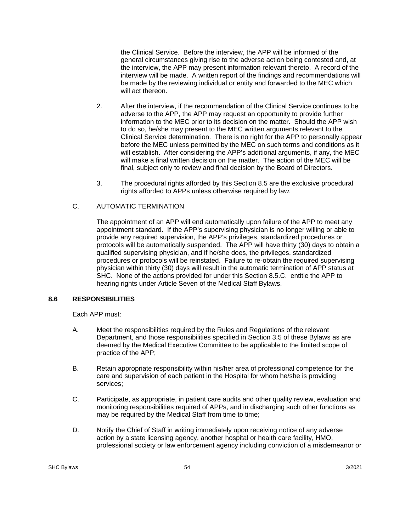the Clinical Service. Before the interview, the APP will be informed of the general circumstances giving rise to the adverse action being contested and, at the interview, the APP may present information relevant thereto. A record of the interview will be made. A written report of the findings and recommendations will be made by the reviewing individual or entity and forwarded to the MEC which will act thereon.

- 2. After the interview, if the recommendation of the Clinical Service continues to be adverse to the APP, the APP may request an opportunity to provide further information to the MEC prior to its decision on the matter. Should the APP wish to do so, he/she may present to the MEC written arguments relevant to the Clinical Service determination. There is no right for the APP to personally appear before the MEC unless permitted by the MEC on such terms and conditions as it will establish. After considering the APP's additional arguments, if any, the MEC will make a final written decision on the matter. The action of the MEC will be final, subject only to review and final decision by the Board of Directors.
- 3. The procedural rights afforded by this Section 8.5 are the exclusive procedural rights afforded to APPs unless otherwise required by law.

## C. AUTOMATIC TERMINATION

The appointment of an APP will end automatically upon failure of the APP to meet any appointment standard. If the APP's supervising physician is no longer willing or able to provide any required supervision, the APP's privileges, standardized procedures or protocols will be automatically suspended. The APP will have thirty (30) days to obtain a qualified supervising physician, and if he/she does, the privileges, standardized procedures or protocols will be reinstated. Failure to re-obtain the required supervising physician within thirty (30) days will result in the automatic termination of APP status at SHC. None of the actions provided for under this Section 8.5.C. entitle the APP to hearing rights under Article Seven of the Medical Staff Bylaws.

### **8.6 RESPONSIBILITIES**

Each APP must:

- A. Meet the responsibilities required by the Rules and Regulations of the relevant Department, and those responsibilities specified in Section 3.5 of these Bylaws as are deemed by the Medical Executive Committee to be applicable to the limited scope of practice of the APP;
- B. Retain appropriate responsibility within his/her area of professional competence for the care and supervision of each patient in the Hospital for whom he/she is providing services;
- C. Participate, as appropriate, in patient care audits and other quality review, evaluation and monitoring responsibilities required of APPs, and in discharging such other functions as may be required by the Medical Staff from time to time;
- D. Notify the Chief of Staff in writing immediately upon receiving notice of any adverse action by a state licensing agency, another hospital or health care facility, HMO, professional society or law enforcement agency including conviction of a misdemeanor or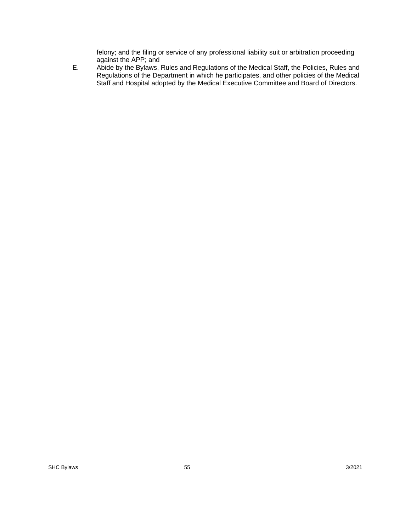felony; and the filing or service of any professional liability suit or arbitration proceeding against the APP; and

E. Abide by the Bylaws, Rules and Regulations of the Medical Staff, the Policies, Rules and Regulations of the Department in which he participates, and other policies of the Medical Staff and Hospital adopted by the Medical Executive Committee and Board of Directors.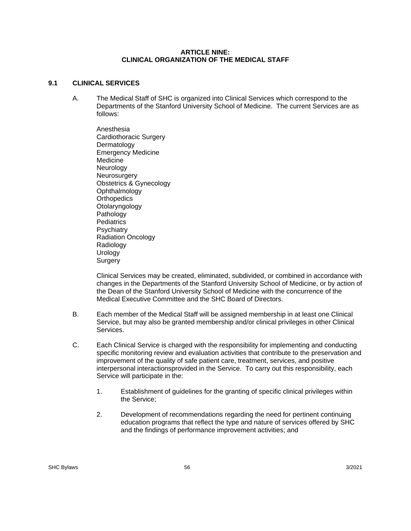#### **ARTICLE NINE: CLINICAL ORGANIZATION OF THE MEDICAL STAFF**

### **9.1 CLINICAL SERVICES**

A. The Medical Staff of SHC is organized into Clinical Services which correspond to the Departments of the Stanford University School of Medicine. The current Services are as follows:

 Anesthesia Cardiothoracic Surgery Dermatology Emergency Medicine **Medicine Neurology Neurosurgery** Obstetrics & Gynecology **Ophthalmology Orthopedics**  Otolaryngology Pathology **Pediatrics Psychiatry**  Radiation Oncology Radiology Urology **Surgery** 

Clinical Services may be created, eliminated, subdivided, or combined in accordance with changes in the Departments of the Stanford University School of Medicine, or by action of the Dean of the Stanford University School of Medicine with the concurrence of the Medical Executive Committee and the SHC Board of Directors.

- B. Each member of the Medical Staff will be assigned membership in at least one Clinical Service, but may also be granted membership and/or clinical privileges in other Clinical Services.
- C. Each Clinical Service is charged with the responsibility for implementing and conducting specific monitoring review and evaluation activities that contribute to the preservation and improvement of the quality of safe patient care, treatment, services, and positive interpersonal interactionsprovided in the Service. To carry out this responsibility, each Service will participate in the:
	- 1. Establishment of guidelines for the granting of specific clinical privileges within the Service;
	- 2. Development of recommendations regarding the need for pertinent continuing education programs that reflect the type and nature of services offered by SHC and the findings of performance improvement activities; and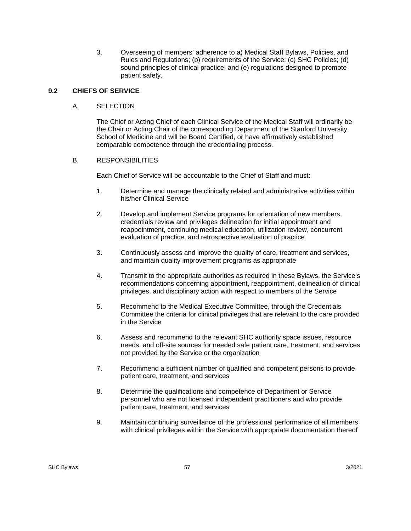3. Overseeing of members' adherence to a) Medical Staff Bylaws, Policies, and Rules and Regulations; (b) requirements of the Service; (c) SHC Policies; (d) sound principles of clinical practice; and (e) regulations designed to promote patient safety.

## **9.2 CHIEFS OF SERVICE**

### A. SELECTION

The Chief or Acting Chief of each Clinical Service of the Medical Staff will ordinarily be the Chair or Acting Chair of the corresponding Department of the Stanford University School of Medicine and will be Board Certified, or have affirmatively established comparable competence through the credentialing process.

## B. RESPONSIBILITIES

Each Chief of Service will be accountable to the Chief of Staff and must:

- 1. Determine and manage the clinically related and administrative activities within his/her Clinical Service
- 2. Develop and implement Service programs for orientation of new members, credentials review and privileges delineation for initial appointment and reappointment, continuing medical education, utilization review, concurrent evaluation of practice, and retrospective evaluation of practice
- 3. Continuously assess and improve the quality of care, treatment and services, and maintain quality improvement programs as appropriate
- 4. Transmit to the appropriate authorities as required in these Bylaws, the Service's recommendations concerning appointment, reappointment, delineation of clinical privileges, and disciplinary action with respect to members of the Service
- 5. Recommend to the Medical Executive Committee, through the Credentials Committee the criteria for clinical privileges that are relevant to the care provided in the Service
- 6. Assess and recommend to the relevant SHC authority space issues, resource needs, and off-site sources for needed safe patient care, treatment, and services not provided by the Service or the organization
- 7. Recommend a sufficient number of qualified and competent persons to provide patient care, treatment, and services
- 8. Determine the qualifications and competence of Department or Service personnel who are not licensed independent practitioners and who provide patient care, treatment, and services
- 9. Maintain continuing surveillance of the professional performance of all members with clinical privileges within the Service with appropriate documentation thereof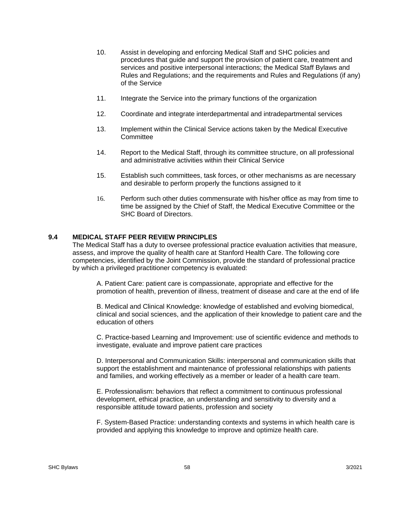- 10. Assist in developing and enforcing Medical Staff and SHC policies and procedures that guide and support the provision of patient care, treatment and services and positive interpersonal interactions; the Medical Staff Bylaws and Rules and Regulations; and the requirements and Rules and Regulations (if any) of the Service
- 11. Integrate the Service into the primary functions of the organization
- 12. Coordinate and integrate interdepartmental and intradepartmental services
- 13. Implement within the Clinical Service actions taken by the Medical Executive **Committee**
- 14. Report to the Medical Staff, through its committee structure, on all professional and administrative activities within their Clinical Service
- 15. Establish such committees, task forces, or other mechanisms as are necessary and desirable to perform properly the functions assigned to it
- 16. Perform such other duties commensurate with his/her office as may from time to time be assigned by the Chief of Staff, the Medical Executive Committee or the SHC Board of Directors.

### **9.4 MEDICAL STAFF PEER REVIEW PRINCIPLES**

The Medical Staff has a duty to oversee professional practice evaluation activities that measure, assess, and improve the quality of health care at Stanford Health Care. The following core competencies, identified by the Joint Commission, provide the standard of professional practice by which a privileged practitioner competency is evaluated:

A. Patient Care: patient care is compassionate, appropriate and effective for the promotion of health, prevention of illness, treatment of disease and care at the end of life

B. Medical and Clinical Knowledge: knowledge of established and evolving biomedical, clinical and social sciences, and the application of their knowledge to patient care and the education of others

C. Practice-based Learning and Improvement: use of scientific evidence and methods to investigate, evaluate and improve patient care practices

D. Interpersonal and Communication Skills: interpersonal and communication skills that support the establishment and maintenance of professional relationships with patients and families, and working effectively as a member or leader of a health care team.

E. Professionalism: behaviors that reflect a commitment to continuous professional development, ethical practice, an understanding and sensitivity to diversity and a responsible attitude toward patients, profession and society

F. System-Based Practice: understanding contexts and systems in which health care is provided and applying this knowledge to improve and optimize health care.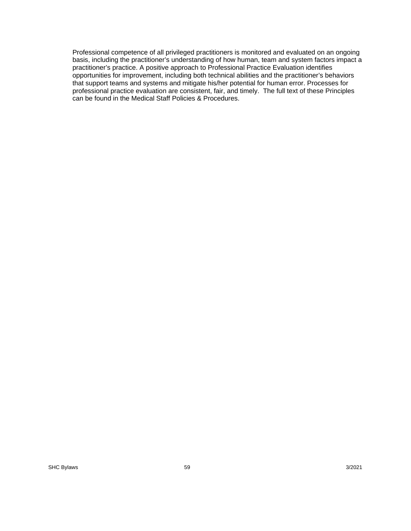Professional competence of all privileged practitioners is monitored and evaluated on an ongoing basis, including the practitioner's understanding of how human, team and system factors impact a practitioner's practice. A positive approach to Professional Practice Evaluation identifies opportunities for improvement, including both technical abilities and the practitioner's behaviors that support teams and systems and mitigate his/her potential for human error. Processes for professional practice evaluation are consistent, fair, and timely. The full text of these Principles can be found in the Medical Staff Policies & Procedures.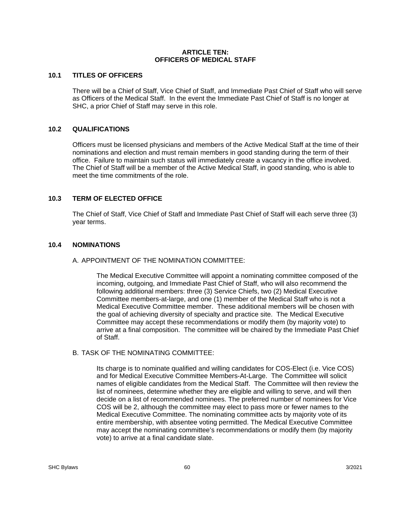#### **ARTICLE TEN: OFFICERS OF MEDICAL STAFF**

### **10.1 TITLES OF OFFICERS**

There will be a Chief of Staff, Vice Chief of Staff, and Immediate Past Chief of Staff who will serve as Officers of the Medical Staff. In the event the Immediate Past Chief of Staff is no longer at SHC, a prior Chief of Staff may serve in this role.

## **10.2 QUALIFICATIONS**

Officers must be licensed physicians and members of the Active Medical Staff at the time of their nominations and election and must remain members in good standing during the term of their office. Failure to maintain such status will immediately create a vacancy in the office involved. The Chief of Staff will be a member of the Active Medical Staff, in good standing, who is able to meet the time commitments of the role.

## **10.3 TERM OF ELECTED OFFICE**

The Chief of Staff, Vice Chief of Staff and Immediate Past Chief of Staff will each serve three (3) year terms.

### **10.4 NOMINATIONS**

### A. APPOINTMENT OF THE NOMINATION COMMITTEE:

The Medical Executive Committee will appoint a nominating committee composed of the incoming, outgoing, and Immediate Past Chief of Staff, who will also recommend the following additional members: three (3) Service Chiefs, two (2) Medical Executive Committee members-at-large, and one (1) member of the Medical Staff who is not a Medical Executive Committee member. These additional members will be chosen with the goal of achieving diversity of specialty and practice site. The Medical Executive Committee may accept these recommendations or modify them (by majority vote) to arrive at a final composition. The committee will be chaired by the Immediate Past Chief of Staff.

### B. TASK OF THE NOMINATING COMMITTEE:

Its charge is to nominate qualified and willing candidates for COS-Elect (i.e. Vice COS) and for Medical Executive Committee Members-At-Large. The Committee will solicit names of eligible candidates from the Medical Staff. The Committee will then review the list of nominees, determine whether they are eligible and willing to serve, and will then decide on a list of recommended nominees. The preferred number of nominees for Vice COS will be 2, although the committee may elect to pass more or fewer names to the Medical Executive Committee. The nominating committee acts by majority vote of its entire membership, with absentee voting permitted. The Medical Executive Committee may accept the nominating committee's recommendations or modify them (by majority vote) to arrive at a final candidate slate.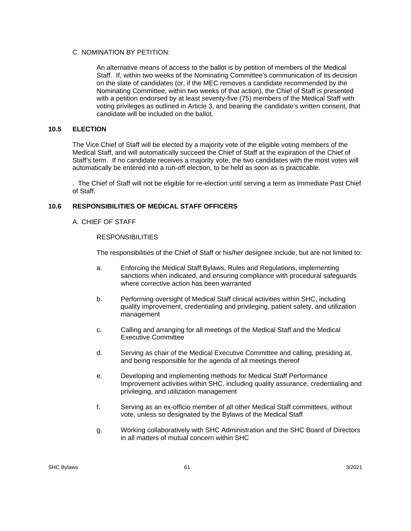### C. NOMINATION BY PETITION:

An alternative means of access to the ballot is by petition of members of the Medical Staff. If, within two weeks of the Nominating Committee's communication of its decision on the slate of candidates (or, if the MEC removes a candidate recommended by the Nominating Committee, within two weeks of that action), the Chief of Staff is presented with a petition endorsed by at least seventy-five (75) members of the Medical Staff with voting privileges as outlined in Article 3, and bearing the candidate's written consent, that candidate will be included on the ballot.

### **10.5 ELECTION**

The Vice Chief of Staff will be elected by a majority vote of the eligible voting members of the Medical Staff, and will automatically succeed the Chief of Staff at the expiration of the Chief of Staff's term. If no candidate receives a majority vote, the two candidates with the most votes will automatically be entered into a run-off election, to be held as soon as is practicable.

. The Chief of Staff will not be eligible for re-election until serving a term as Immediate Past Chief of Staff.

## **10.6 RESPONSIBILITIES OF MEDICAL STAFF OFFICERS**

A. CHIEF OF STAFF

#### **RESPONSIBILITIES**

The responsibilities of the Chief of Staff or his/her designee include, but are not limited to:

- a. Enforcing the Medical Staff Bylaws, Rules and Regulations, implementing sanctions when indicated, and ensuring compliance with procedural safeguards where corrective action has been warranted
- b. Performing oversight of Medical Staff clinical activities within SHC, including quality improvement, credentialing and privileging, patient safety, and utilization management
- c. Calling and arranging for all meetings of the Medical Staff and the Medical Executive Committee
- d. Serving as chair of the Medical Executive Committee and calling, presiding at, and being responsible for the agenda of all meetings thereof
- e. Developing and implementing methods for Medical Staff Performance Improvement activities within SHC, including quality assurance, credentialing and privileging, and utilization management
- f. Serving as an ex-officio member of all other Medical Staff committees, without vote, unless so designated by the Bylaws of the Medical Staff
- g. Working collaboratively with SHC Administration and the SHC Board of Directors in all matters of mutual concern within SHC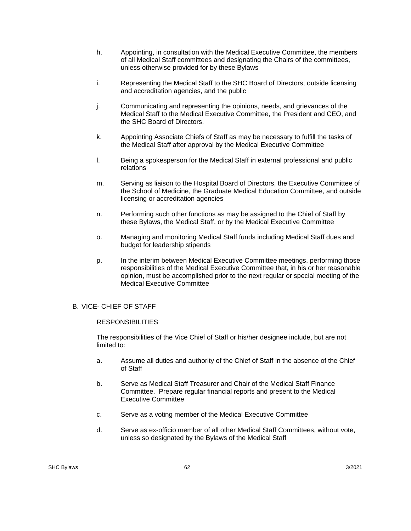- h. Appointing, in consultation with the Medical Executive Committee, the members of all Medical Staff committees and designating the Chairs of the committees, unless otherwise provided for by these Bylaws
- i. Representing the Medical Staff to the SHC Board of Directors, outside licensing and accreditation agencies, and the public
- j. Communicating and representing the opinions, needs, and grievances of the Medical Staff to the Medical Executive Committee, the President and CEO, and the SHC Board of Directors.
- k. Appointing Associate Chiefs of Staff as may be necessary to fulfill the tasks of the Medical Staff after approval by the Medical Executive Committee
- l. Being a spokesperson for the Medical Staff in external professional and public relations
- m. Serving as liaison to the Hospital Board of Directors, the Executive Committee of the School of Medicine, the Graduate Medical Education Committee, and outside licensing or accreditation agencies
- n. Performing such other functions as may be assigned to the Chief of Staff by these Bylaws, the Medical Staff, or by the Medical Executive Committee
- o. Managing and monitoring Medical Staff funds including Medical Staff dues and budget for leadership stipends
- p. In the interim between Medical Executive Committee meetings, performing those responsibilities of the Medical Executive Committee that, in his or her reasonable opinion, must be accomplished prior to the next regular or special meeting of the Medical Executive Committee

### B. VICE- CHIEF OF STAFF

#### **RESPONSIBILITIES**

The responsibilities of the Vice Chief of Staff or his/her designee include, but are not limited to:

- a. Assume all duties and authority of the Chief of Staff in the absence of the Chief of Staff
- b. Serve as Medical Staff Treasurer and Chair of the Medical Staff Finance Committee. Prepare regular financial reports and present to the Medical Executive Committee
- c. Serve as a voting member of the Medical Executive Committee
- d. Serve as ex-officio member of all other Medical Staff Committees, without vote, unless so designated by the Bylaws of the Medical Staff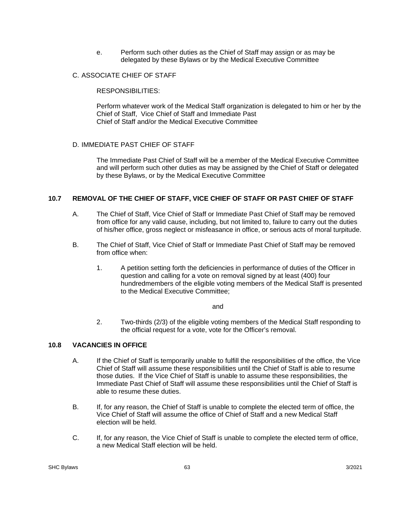e. Perform such other duties as the Chief of Staff may assign or as may be delegated by these Bylaws or by the Medical Executive Committee

### C. ASSOCIATE CHIEF OF STAFF

RESPONSIBILITIES:

Perform whatever work of the Medical Staff organization is delegated to him or her by the Chief of Staff, Vice Chief of Staff and Immediate Past Chief of Staff and/or the Medical Executive Committee

## D. IMMEDIATE PAST CHIEF OF STAFF

The Immediate Past Chief of Staff will be a member of the Medical Executive Committee and will perform such other duties as may be assigned by the Chief of Staff or delegated by these Bylaws, or by the Medical Executive Committee

## **10.7 REMOVAL OF THE CHIEF OF STAFF, VICE CHIEF OF STAFF OR PAST CHIEF OF STAFF**

- A. The Chief of Staff, Vice Chief of Staff or Immediate Past Chief of Staff may be removed from office for any valid cause, including, but not limited to, failure to carry out the duties of his/her office, gross neglect or misfeasance in office, or serious acts of moral turpitude.
- B. The Chief of Staff, Vice Chief of Staff or Immediate Past Chief of Staff may be removed from office when:
	- 1. A petition setting forth the deficiencies in performance of duties of the Officer in question and calling for a vote on removal signed by at least (400) four hundredmembers of the eligible voting members of the Medical Staff is presented to the Medical Executive Committee;

and the contract of the contract of the contract of the contract of the contract of the contract of the contract of the contract of the contract of the contract of the contract of the contract of the contract of the contra

2. Two-thirds (2/3) of the eligible voting members of the Medical Staff responding to the official request for a vote, vote for the Officer's removal.

## **10.8 VACANCIES IN OFFICE**

- A. If the Chief of Staff is temporarily unable to fulfill the responsibilities of the office, the Vice Chief of Staff will assume these responsibilities until the Chief of Staff is able to resume those duties. If the Vice Chief of Staff is unable to assume these responsibilities, the Immediate Past Chief of Staff will assume these responsibilities until the Chief of Staff is able to resume these duties.
- B. If, for any reason, the Chief of Staff is unable to complete the elected term of office, the Vice Chief of Staff will assume the office of Chief of Staff and a new Medical Staff election will be held.
- C. If, for any reason, the Vice Chief of Staff is unable to complete the elected term of office, a new Medical Staff election will be held.

 $SL(2)$  SHC Bylaws  $3/2021$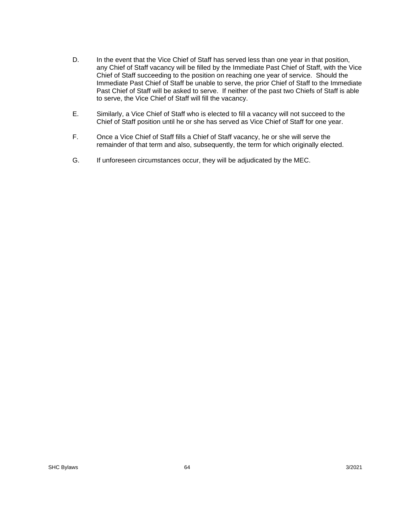- D. In the event that the Vice Chief of Staff has served less than one year in that position, any Chief of Staff vacancy will be filled by the Immediate Past Chief of Staff, with the Vice Chief of Staff succeeding to the position on reaching one year of service. Should the Immediate Past Chief of Staff be unable to serve, the prior Chief of Staff to the Immediate Past Chief of Staff will be asked to serve. If neither of the past two Chiefs of Staff is able to serve, the Vice Chief of Staff will fill the vacancy.
- E. Similarly, a Vice Chief of Staff who is elected to fill a vacancy will not succeed to the Chief of Staff position until he or she has served as Vice Chief of Staff for one year.
- F. Once a Vice Chief of Staff fills a Chief of Staff vacancy, he or she will serve the remainder of that term and also, subsequently, the term for which originally elected.
- G. If unforeseen circumstances occur, they will be adjudicated by the MEC.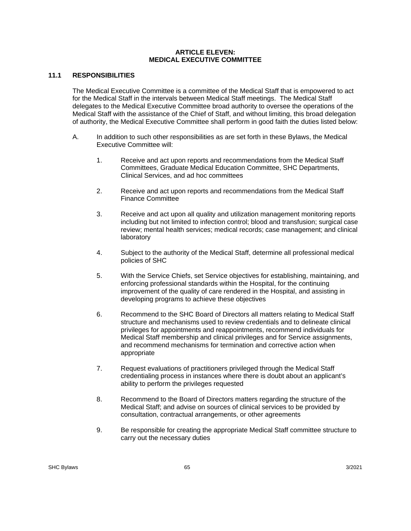#### **ARTICLE ELEVEN: MEDICAL EXECUTIVE COMMITTEE**

## **11.1 RESPONSIBILITIES**

The Medical Executive Committee is a committee of the Medical Staff that is empowered to act for the Medical Staff in the intervals between Medical Staff meetings. The Medical Staff delegates to the Medical Executive Committee broad authority to oversee the operations of the Medical Staff with the assistance of the Chief of Staff, and without limiting, this broad delegation of authority, the Medical Executive Committee shall perform in good faith the duties listed below:

- A. In addition to such other responsibilities as are set forth in these Bylaws, the Medical Executive Committee will:
	- 1. Receive and act upon reports and recommendations from the Medical Staff Committees, Graduate Medical Education Committee, SHC Departments, Clinical Services, and ad hoc committees
	- 2. Receive and act upon reports and recommendations from the Medical Staff Finance Committee
	- 3. Receive and act upon all quality and utilization management monitoring reports including but not limited to infection control; blood and transfusion; surgical case review; mental health services; medical records; case management; and clinical laboratory
	- 4. Subject to the authority of the Medical Staff, determine all professional medical policies of SHC
	- 5. With the Service Chiefs, set Service objectives for establishing, maintaining, and enforcing professional standards within the Hospital, for the continuing improvement of the quality of care rendered in the Hospital, and assisting in developing programs to achieve these objectives
	- 6. Recommend to the SHC Board of Directors all matters relating to Medical Staff structure and mechanisms used to review credentials and to delineate clinical privileges for appointments and reappointments, recommend individuals for Medical Staff membership and clinical privileges and for Service assignments, and recommend mechanisms for termination and corrective action when appropriate
	- 7. Request evaluations of practitioners privileged through the Medical Staff credentialing process in instances where there is doubt about an applicant's ability to perform the privileges requested
	- 8. Recommend to the Board of Directors matters regarding the structure of the Medical Staff; and advise on sources of clinical services to be provided by consultation, contractual arrangements, or other agreements
	- 9. Be responsible for creating the appropriate Medical Staff committee structure to carry out the necessary duties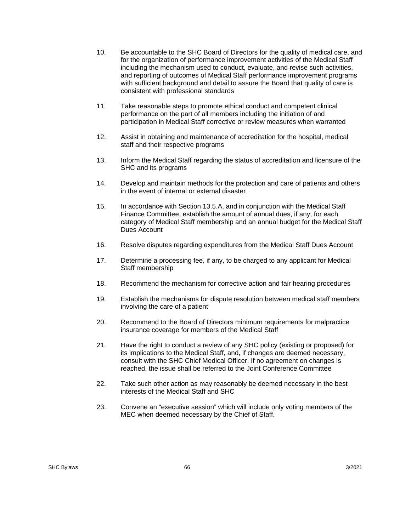- 10. Be accountable to the SHC Board of Directors for the quality of medical care, and for the organization of performance improvement activities of the Medical Staff including the mechanism used to conduct, evaluate, and revise such activities, and reporting of outcomes of Medical Staff performance improvement programs with sufficient background and detail to assure the Board that quality of care is consistent with professional standards
- 11. Take reasonable steps to promote ethical conduct and competent clinical performance on the part of all members including the initiation of and participation in Medical Staff corrective or review measures when warranted
- 12. Assist in obtaining and maintenance of accreditation for the hospital, medical staff and their respective programs
- 13. Inform the Medical Staff regarding the status of accreditation and licensure of the SHC and its programs
- 14. Develop and maintain methods for the protection and care of patients and others in the event of internal or external disaster
- 15. In accordance with Section 13.5.A, and in conjunction with the Medical Staff Finance Committee, establish the amount of annual dues, if any, for each category of Medical Staff membership and an annual budget for the Medical Staff Dues Account
- 16. Resolve disputes regarding expenditures from the Medical Staff Dues Account
- 17. Determine a processing fee, if any, to be charged to any applicant for Medical Staff membership
- 18. Recommend the mechanism for corrective action and fair hearing procedures
- 19. Establish the mechanisms for dispute resolution between medical staff members involving the care of a patient
- 20. Recommend to the Board of Directors minimum requirements for malpractice insurance coverage for members of the Medical Staff
- 21. Have the right to conduct a review of any SHC policy (existing or proposed) for its implications to the Medical Staff, and, if changes are deemed necessary, consult with the SHC Chief Medical Officer. If no agreement on changes is reached, the issue shall be referred to the Joint Conference Committee
- 22. Take such other action as may reasonably be deemed necessary in the best interests of the Medical Staff and SHC
- 23. Convene an "executive session" which will include only voting members of the MEC when deemed necessary by the Chief of Staff.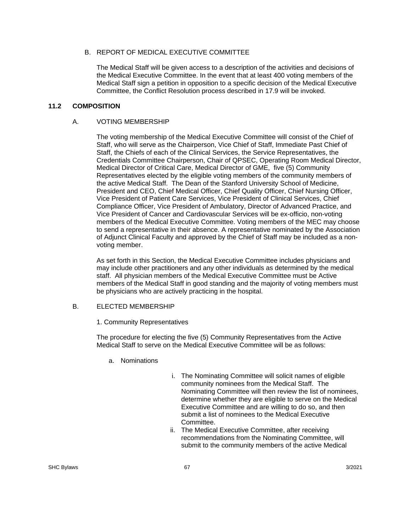## B. REPORT OF MEDICAL EXECUTIVE COMMITTEE

The Medical Staff will be given access to a description of the activities and decisions of the Medical Executive Committee. In the event that at least 400 voting members of the Medical Staff sign a petition in opposition to a specific decision of the Medical Executive Committee, the Conflict Resolution process described in 17.9 will be invoked.

#### **11.2 COMPOSITION**

#### A. VOTING MEMBERSHIP

The voting membership of the Medical Executive Committee will consist of the Chief of Staff, who will serve as the Chairperson, Vice Chief of Staff, Immediate Past Chief of Staff, the Chiefs of each of the Clinical Services, the Service Representatives, the Credentials Committee Chairperson, Chair of QPSEC, Operating Room Medical Director, Medical Director of Critical Care, Medical Director of GME, five (5) Community Representatives elected by the eligible voting members of the community members of the active Medical Staff. The Dean of the Stanford University School of Medicine, President and CEO, Chief Medical Officer, Chief Quality Officer, Chief Nursing Officer, Vice President of Patient Care Services, Vice President of Clinical Services, Chief Compliance Officer, Vice President of Ambulatory, Director of Advanced Practice, and Vice President of Cancer and Cardiovascular Services will be ex-officio, non-voting members of the Medical Executive Committee. Voting members of the MEC may choose to send a representative in their absence. A representative nominated by the Association of Adjunct Clinical Faculty and approved by the Chief of Staff may be included as a nonvoting member.

As set forth in this Section, the Medical Executive Committee includes physicians and may include other practitioners and any other individuals as determined by the medical staff. All physician members of the Medical Executive Committee must be Active members of the Medical Staff in good standing and the majority of voting members must be physicians who are actively practicing in the hospital.

### B. ELECTED MEMBERSHIP

1. Community Representatives

The procedure for electing the five (5) Community Representatives from the Active Medical Staff to serve on the Medical Executive Committee will be as follows:

- a. Nominations
- i. The Nominating Committee will solicit names of eligible community nominees from the Medical Staff. The Nominating Committee will then review the list of nominees, determine whether they are eligible to serve on the Medical Executive Committee and are willing to do so, and then submit a list of nominees to the Medical Executive Committee.
- ii. The Medical Executive Committee, after receiving recommendations from the Nominating Committee, will submit to the community members of the active Medical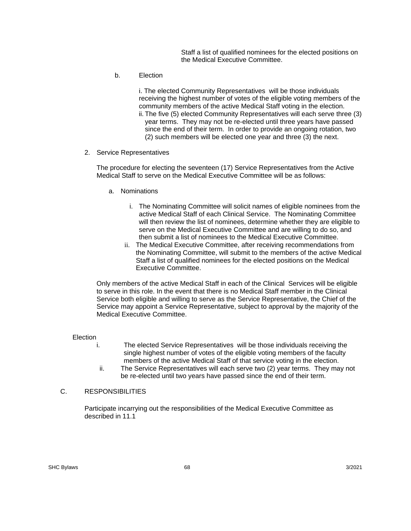Staff a list of qualified nominees for the elected positions on the Medical Executive Committee.

b. Election

i. The elected Community Representatives will be those individuals receiving the highest number of votes of the eligible voting members of the community members of the active Medical Staff voting in the election. ii. The five (5) elected Community Representatives will each serve three (3) year terms. They may not be re-elected until three years have passed since the end of their term. In order to provide an ongoing rotation, two (2) such members will be elected one year and three (3) the next.

2. Service Representatives

The procedure for electing the seventeen (17) Service Representatives from the Active Medical Staff to serve on the Medical Executive Committee will be as follows:

- a. Nominations
	- i. The Nominating Committee will solicit names of eligible nominees from the active Medical Staff of each Clinical Service. The Nominating Committee will then review the list of nominees, determine whether they are eligible to serve on the Medical Executive Committee and are willing to do so, and then submit a list of nominees to the Medical Executive Committee.
	- ii. The Medical Executive Committee, after receiving recommendations from the Nominating Committee, will submit to the members of the active Medical Staff a list of qualified nominees for the elected positions on the Medical Executive Committee.

Only members of the active Medical Staff in each of the Clinical Services will be eligible to serve in this role. In the event that there is no Medical Staff member in the Clinical Service both eligible and willing to serve as the Service Representative, the Chief of the Service may appoint a Service Representative, subject to approval by the majority of the Medical Executive Committee.

Election

- i. The elected Service Representatives will be those individuals receiving the single highest number of votes of the eligible voting members of the faculty members of the active Medical Staff of that service voting in the election.
- ii. The Service Representatives will each serve two (2) year terms. They may not be re-elected until two years have passed since the end of their term.

#### C. RESPONSIBILITIES

Participate incarrying out the responsibilities of the Medical Executive Committee as described in 11.1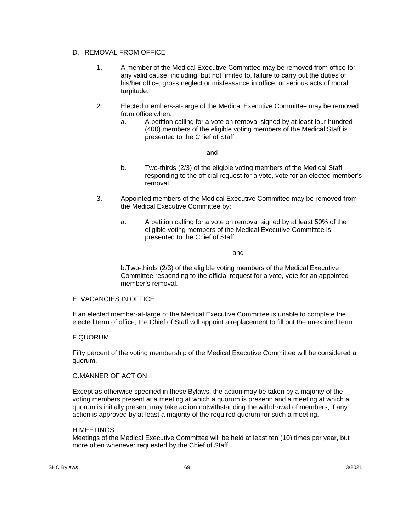## D. REMOVAL FROM OFFICE

- 1. A member of the Medical Executive Committee may be removed from office for any valid cause, including, but not limited to, failure to carry out the duties of his/her office, gross neglect or misfeasance in office, or serious acts of moral turpitude.
- 2. Elected members-at-large of the Medical Executive Committee may be removed from office when:
	- a. A petition calling for a vote on removal signed by at least four hundred (400) members of the eligible voting members of the Medical Staff is presented to the Chief of Staff;

and

- b. Two-thirds (2/3) of the eligible voting members of the Medical Staff responding to the official request for a vote, vote for an elected member's removal.
- 3. Appointed members of the Medical Executive Committee may be removed from the Medical Executive Committee by:
	- a. A petition calling for a vote on removal signed by at least 50% of the eligible voting members of the Medical Executive Committee is presented to the Chief of Staff.

and

 b.Two-thirds (2/3) of the eligible voting members of the Medical Executive Committee responding to the official request for a vote, vote for an appointed member's removal.

## E. VACANCIES IN OFFICE

If an elected member-at-large of the Medical Executive Committee is unable to complete the elected term of office, the Chief of Staff will appoint a replacement to fill out the unexpired term.

## F.QUORUM

Fifty percent of the voting membership of the Medical Executive Committee will be considered a quorum.

### G.MANNER OF ACTION

Except as otherwise specified in these Bylaws, the action may be taken by a majority of the voting members present at a meeting at which a quorum is present; and a meeting at which a quorum is initially present may take action notwithstanding the withdrawal of members, if any action is approved by at least a majority of the required quorum for such a meeting.

#### H.MEETINGS

Meetings of the Medical Executive Committee will be held at least ten (10) times per year, but more often whenever requested by the Chief of Staff.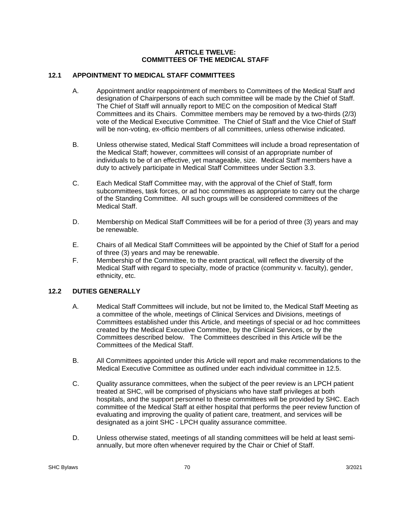#### **ARTICLE TWELVE: COMMITTEES OF THE MEDICAL STAFF**

# **12.1 APPOINTMENT TO MEDICAL STAFF COMMITTEES**

- A. Appointment and/or reappointment of members to Committees of the Medical Staff and designation of Chairpersons of each such committee will be made by the Chief of Staff. The Chief of Staff will annually report to MEC on the composition of Medical Staff Committees and its Chairs. Committee members may be removed by a two-thirds (2/3) vote of the Medical Executive Committee. The Chief of Staff and the Vice Chief of Staff will be non-voting, ex-officio members of all committees, unless otherwise indicated.
- B. Unless otherwise stated, Medical Staff Committees will include a broad representation of the Medical Staff; however, committees will consist of an appropriate number of individuals to be of an effective, yet manageable, size. Medical Staff members have a duty to actively participate in Medical Staff Committees under Section 3.3.
- C. Each Medical Staff Committee may, with the approval of the Chief of Staff, form subcommittees, task forces, or ad hoc committees as appropriate to carry out the charge of the Standing Committee. All such groups will be considered committees of the Medical Staff.
- D. Membership on Medical Staff Committees will be for a period of three (3) years and may be renewable.
- E. Chairs of all Medical Staff Committees will be appointed by the Chief of Staff for a period of three (3) years and may be renewable.
- F. Membership of the Committee, to the extent practical, will reflect the diversity of the Medical Staff with regard to specialty, mode of practice (community v. faculty), gender, ethnicity, etc.

# **12.2 DUTIES GENERALLY**

- A. Medical Staff Committees will include, but not be limited to, the Medical Staff Meeting as a committee of the whole, meetings of Clinical Services and Divisions, meetings of Committees established under this Article, and meetings of special or ad hoc committees created by the Medical Executive Committee, by the Clinical Services, or by the Committees described below. The Committees described in this Article will be the Committees of the Medical Staff.
- B. All Committees appointed under this Article will report and make recommendations to the Medical Executive Committee as outlined under each individual committee in 12.5.
- C. Quality assurance committees, when the subject of the peer review is an LPCH patient treated at SHC, will be comprised of physicians who have staff privileges at both hospitals, and the support personnel to these committees will be provided by SHC. Each committee of the Medical Staff at either hospital that performs the peer review function of evaluating and improving the quality of patient care, treatment, and services will be designated as a joint SHC - LPCH quality assurance committee.
- D. Unless otherwise stated, meetings of all standing committees will be held at least semiannually, but more often whenever required by the Chair or Chief of Staff.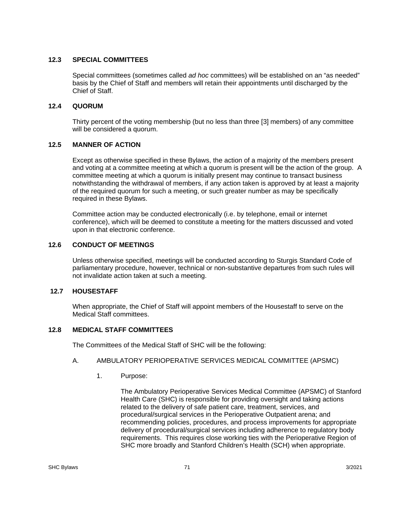## **12.3 SPECIAL COMMITTEES**

Special committees (sometimes called *ad hoc* committees) will be established on an "as needed" basis by the Chief of Staff and members will retain their appointments until discharged by the Chief of Staff.

## **12.4 QUORUM**

 Thirty percent of the voting membership (but no less than three [3] members) of any committee will be considered a quorum.

# **12.5 MANNER OF ACTION**

 Except as otherwise specified in these Bylaws, the action of a majority of the members present and voting at a committee meeting at which a quorum is present will be the action of the group. A committee meeting at which a quorum is initially present may continue to transact business notwithstanding the withdrawal of members, if any action taken is approved by at least a majority of the required quorum for such a meeting, or such greater number as may be specifically required in these Bylaws.

Committee action may be conducted electronically (i.e. by telephone, email or internet conference), which will be deemed to constitute a meeting for the matters discussed and voted upon in that electronic conference.

# **12.6 CONDUCT OF MEETINGS**

Unless otherwise specified, meetings will be conducted according to Sturgis Standard Code of parliamentary procedure, however, technical or non-substantive departures from such rules will not invalidate action taken at such a meeting.

## **12.7 HOUSESTAFF**

When appropriate, the Chief of Staff will appoint members of the Housestaff to serve on the Medical Staff committees.

## **12.8 MEDICAL STAFF COMMITTEES**

The Committees of the Medical Staff of SHC will be the following:

## A. AMBULATORY PERIOPERATIVE SERVICES MEDICAL COMMITTEE (APSMC)

1. Purpose:

The Ambulatory Perioperative Services Medical Committee (APSMC) of Stanford Health Care (SHC) is responsible for providing oversight and taking actions related to the delivery of safe patient care, treatment, services, and procedural/surgical services in the Perioperative Outpatient arena; and recommending policies, procedures, and process improvements for appropriate delivery of procedural/surgical services including adherence to regulatory body requirements. This requires close working ties with the Perioperative Region of SHC more broadly and Stanford Children's Health (SCH) when appropriate.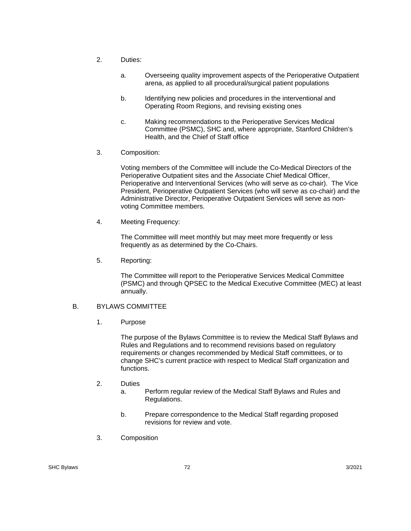- 2. Duties:
	- a. Overseeing quality improvement aspects of the Perioperative Outpatient arena, as applied to all procedural/surgical patient populations
	- b. Identifying new policies and procedures in the interventional and Operating Room Regions, and revising existing ones
	- c. Making recommendations to the Perioperative Services Medical Committee (PSMC), SHC and, where appropriate, Stanford Children's Health, and the Chief of Staff office
- 3. Composition:

Voting members of the Committee will include the Co-Medical Directors of the Perioperative Outpatient sites and the Associate Chief Medical Officer, Perioperative and Interventional Services (who will serve as co-chair). The Vice President, Perioperative Outpatient Services (who will serve as co-chair) and the Administrative Director, Perioperative Outpatient Services will serve as nonvoting Committee members.

4. Meeting Frequency:

The Committee will meet monthly but may meet more frequently or less frequently as as determined by the Co-Chairs.

5. Reporting:

The Committee will report to the Perioperative Services Medical Committee (PSMC) and through QPSEC to the Medical Executive Committee (MEC) at least annually.

# B. BYLAWS COMMITTEE

1. Purpose

The purpose of the Bylaws Committee is to review the Medical Staff Bylaws and Rules and Regulations and to recommend revisions based on regulatory requirements or changes recommended by Medical Staff committees, or to change SHC's current practice with respect to Medical Staff organization and functions.

- 2. Duties
	- a. Perform regular review of the Medical Staff Bylaws and Rules and Regulations.
	- b. Prepare correspondence to the Medical Staff regarding proposed revisions for review and vote.
- 3. Composition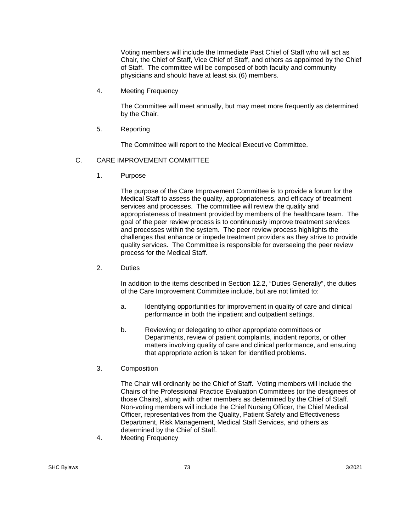Voting members will include the Immediate Past Chief of Staff who will act as Chair, the Chief of Staff, Vice Chief of Staff, and others as appointed by the Chief of Staff. The committee will be composed of both faculty and community physicians and should have at least six (6) members.

4. Meeting Frequency

The Committee will meet annually, but may meet more frequently as determined by the Chair.

5. Reporting

The Committee will report to the Medical Executive Committee.

## C. CARE IMPROVEMENT COMMITTEE

1. Purpose

The purpose of the Care Improvement Committee is to provide a forum for the Medical Staff to assess the quality, appropriateness, and efficacy of treatment services and processes. The committee will review the quality and appropriateness of treatment provided by members of the healthcare team. The goal of the peer review process is to continuously improve treatment services and processes within the system. The peer review process highlights the challenges that enhance or impede treatment providers as they strive to provide quality services. The Committee is responsible for overseeing the peer review process for the Medical Staff.

2. Duties

In addition to the items described in Section 12.2, "Duties Generally", the duties of the Care Improvement Committee include, but are not limited to:

- a. Identifying opportunities for improvement in quality of care and clinical performance in both the inpatient and outpatient settings.
- b. Reviewing or delegating to other appropriate committees or Departments, review of patient complaints, incident reports, or other matters involving quality of care and clinical performance, and ensuring that appropriate action is taken for identified problems.
- 3. Composition

The Chair will ordinarily be the Chief of Staff. Voting members will include the Chairs of the Professional Practice Evaluation Committees (or the designees of those Chairs), along with other members as determined by the Chief of Staff. Non-voting members will include the Chief Nursing Officer, the Chief Medical Officer, representatives from the Quality, Patient Safety and Effectiveness Department, Risk Management, Medical Staff Services, and others as determined by the Chief of Staff.

4. Meeting Frequency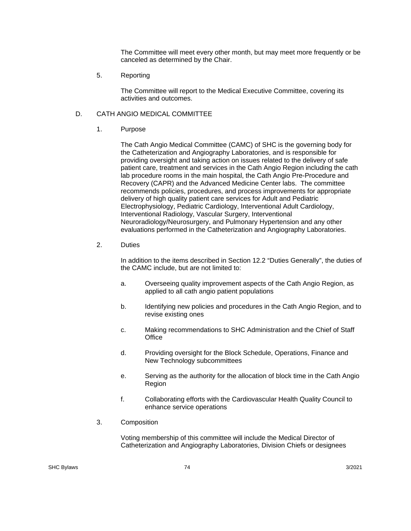The Committee will meet every other month, but may meet more frequently or be canceled as determined by the Chair.

5. Reporting

The Committee will report to the Medical Executive Committee, covering its activities and outcomes.

## D. CATH ANGIO MEDICAL COMMITTEE

1. Purpose

The Cath Angio Medical Committee (CAMC) of SHC is the governing body for the Catheterization and Angiography Laboratories, and is responsible for providing oversight and taking action on issues related to the delivery of safe patient care, treatment and services in the Cath Angio Region including the cath lab procedure rooms in the main hospital, the Cath Angio Pre-Procedure and Recovery (CAPR) and the Advanced Medicine Center labs. The committee recommends policies, procedures, and process improvements for appropriate delivery of high quality patient care services for Adult and Pediatric Electrophysiology, Pediatric Cardiology, Interventional Adult Cardiology, Interventional Radiology, Vascular Surgery, Interventional Neuroradiology/Neurosurgery, and Pulmonary Hypertension and any other evaluations performed in the Catheterization and Angiography Laboratories.

2. Duties

In addition to the items described in Section 12.2 "Duties Generally", the duties of the CAMC include, but are not limited to:

- a. Overseeing quality improvement aspects of the Cath Angio Region, as applied to all cath angio patient populations
- b. Identifying new policies and procedures in the Cath Angio Region, and to revise existing ones
- c. Making recommendations to SHC Administration and the Chief of Staff **Office**
- d. Providing oversight for the Block Schedule, Operations, Finance and New Technology subcommittees
- e. Serving as the authority for the allocation of block time in the Cath Angio Region
- f. Collaborating efforts with the Cardiovascular Health Quality Council to enhance service operations
- 3. Composition

Voting membership of this committee will include the Medical Director of Catheterization and Angiography Laboratories, Division Chiefs or designees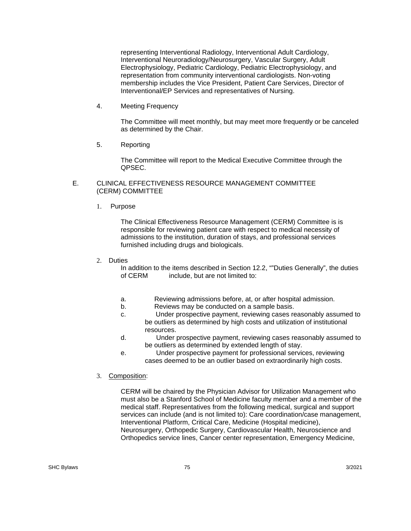representing Interventional Radiology, Interventional Adult Cardiology, Interventional Neuroradiology/Neurosurgery, Vascular Surgery, Adult Electrophysiology, Pediatric Cardiology, Pediatric Electrophysiology, and representation from community interventional cardiologists. Non-voting membership includes the Vice President, Patient Care Services, Director of Interventional/EP Services and representatives of Nursing.

4. Meeting Frequency

The Committee will meet monthly, but may meet more frequently or be canceled as determined by the Chair.

5. Reporting

The Committee will report to the Medical Executive Committee through the QPSEC.

#### E. CLINICAL EFFECTIVENESS RESOURCE MANAGEMENT COMMITTEE (CERM) COMMITTEE

1. Purpose

The Clinical Effectiveness Resource Management (CERM) Committee is is responsible for reviewing patient care with respect to medical necessity of admissions to the institution, duration of stays, and professional services furnished including drugs and biologicals.

2. Duties

 In addition to the items described in Section 12.2, ""Duties Generally", the duties of CERM include, but are not limited to:

- a. Reviewing admissions before, at, or after hospital admission.
- b. Reviews may be conducted on a sample basis.
- c. Under prospective payment, reviewing cases reasonably assumed to be outliers as determined by high costs and utilization of institutional resources.
- d. Under prospective payment, reviewing cases reasonably assumed to be outliers as determined by extended length of stay.
- e. Under prospective payment for professional services, reviewing cases deemed to be an outlier based on extraordinarily high costs.
- 3. Composition:

CERM will be chaired by the Physician Advisor for Utilization Management who must also be a Stanford School of Medicine faculty member and a member of the medical staff. Representatives from the following medical, surgical and support services can include (and is not limited to): Care coordination/case management, Interventional Platform, Critical Care, Medicine (Hospital medicine), Neurosurgery, Orthopedic Surgery, Cardiovascular Health, Neuroscience and Orthopedics service lines, Cancer center representation, Emergency Medicine,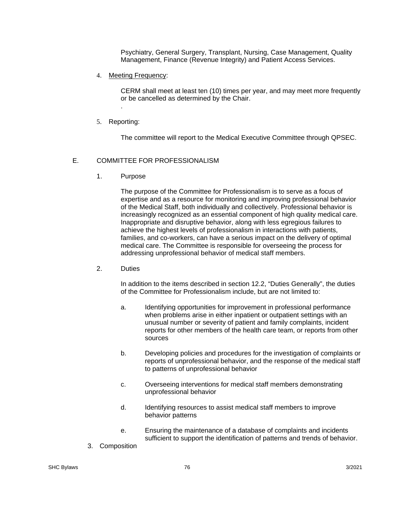Psychiatry, General Surgery, Transplant, Nursing, Case Management, Quality Management, Finance (Revenue Integrity) and Patient Access Services.

4. Meeting Frequency:

CERM shall meet at least ten (10) times per year, and may meet more frequently or be cancelled as determined by the Chair.

5. Reporting:

.

The committee will report to the Medical Executive Committee through QPSEC.

# E. COMMITTEE FOR PROFESSIONALISM

1. Purpose

The purpose of the Committee for Professionalism is to serve as a focus of expertise and as a resource for monitoring and improving professional behavior of the Medical Staff, both individually and collectively. Professional behavior is increasingly recognized as an essential component of high quality medical care. Inappropriate and disruptive behavior, along with less egregious failures to achieve the highest levels of professionalism in interactions with patients, families, and co-workers, can have a serious impact on the delivery of optimal medical care. The Committee is responsible for overseeing the process for addressing unprofessional behavior of medical staff members.

## 2. Duties

In addition to the items described in section 12.2, "Duties Generally", the duties of the Committee for Professionalism include, but are not limited to:

- a. Identifying opportunities for improvement in professional performance when problems arise in either inpatient or outpatient settings with an unusual number or severity of patient and family complaints, incident reports for other members of the health care team, or reports from other sources
- b. Developing policies and procedures for the investigation of complaints or reports of unprofessional behavior, and the response of the medical staff to patterns of unprofessional behavior
- c. Overseeing interventions for medical staff members demonstrating unprofessional behavior
- d. Identifying resources to assist medical staff members to improve behavior patterns
- e. Ensuring the maintenance of a database of complaints and incidents sufficient to support the identification of patterns and trends of behavior.
- 3. Composition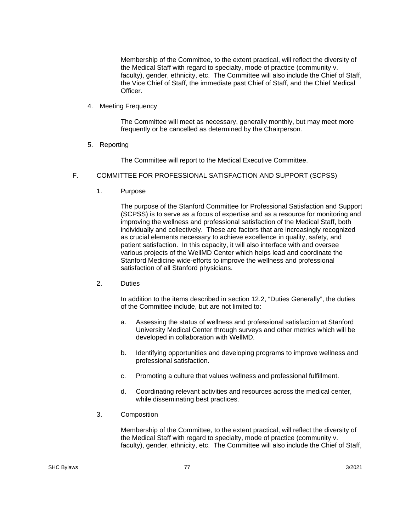Membership of the Committee, to the extent practical, will reflect the diversity of the Medical Staff with regard to specialty, mode of practice (community v. faculty), gender, ethnicity, etc. The Committee will also include the Chief of Staff, the Vice Chief of Staff, the immediate past Chief of Staff, and the Chief Medical Officer.

4. Meeting Frequency

The Committee will meet as necessary, generally monthly, but may meet more frequently or be cancelled as determined by the Chairperson.

5. Reporting

The Committee will report to the Medical Executive Committee.

- F. COMMITTEE FOR PROFESSIONAL SATISFACTION AND SUPPORT (SCPSS)
	- 1. Purpose

The purpose of the Stanford Committee for Professional Satisfaction and Support (SCPSS) is to serve as a focus of expertise and as a resource for monitoring and improving the wellness and professional satisfaction of the Medical Staff, both individually and collectively. These are factors that are increasingly recognized as crucial elements necessary to achieve excellence in quality, safety, and patient satisfaction. In this capacity, it will also interface with and oversee various projects of the WellMD Center which helps lead and coordinate the Stanford Medicine wide-efforts to improve the wellness and professional satisfaction of all Stanford physicians.

2. Duties

In addition to the items described in section 12.2, "Duties Generally", the duties of the Committee include, but are not limited to:

- a. Assessing the status of wellness and professional satisfaction at Stanford University Medical Center through surveys and other metrics which will be developed in collaboration with WellMD.
- b. Identifying opportunities and developing programs to improve wellness and professional satisfaction.
- c. Promoting a culture that values wellness and professional fulfillment.
- d. Coordinating relevant activities and resources across the medical center, while disseminating best practices.
- 3. Composition

Membership of the Committee, to the extent practical, will reflect the diversity of the Medical Staff with regard to specialty, mode of practice (community v. faculty), gender, ethnicity, etc. The Committee will also include the Chief of Staff,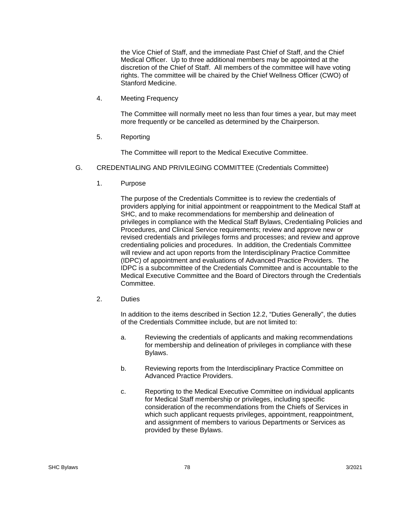the Vice Chief of Staff, and the immediate Past Chief of Staff, and the Chief Medical Officer. Up to three additional members may be appointed at the discretion of the Chief of Staff. All members of the committee will have voting rights. The committee will be chaired by the Chief Wellness Officer (CWO) of Stanford Medicine.

4. Meeting Frequency

The Committee will normally meet no less than four times a year, but may meet more frequently or be cancelled as determined by the Chairperson.

5. Reporting

The Committee will report to the Medical Executive Committee.

- G. CREDENTIALING AND PRIVILEGING COMMITTEE (Credentials Committee)
	- 1. Purpose

The purpose of the Credentials Committee is to review the credentials of providers applying for initial appointment or reappointment to the Medical Staff at SHC, and to make recommendations for membership and delineation of privileges in compliance with the Medical Staff Bylaws, Credentialing Policies and Procedures, and Clinical Service requirements; review and approve new or revised credentials and privileges forms and processes; and review and approve credentialing policies and procedures. In addition, the Credentials Committee will review and act upon reports from the Interdisciplinary Practice Committee (IDPC) of appointment and evaluations of Advanced Practice Providers. The IDPC is a subcommittee of the Credentials Committee and is accountable to the Medical Executive Committee and the Board of Directors through the Credentials Committee.

2. Duties

In addition to the items described in Section 12.2, "Duties Generally", the duties of the Credentials Committee include, but are not limited to:

- a. Reviewing the credentials of applicants and making recommendations for membership and delineation of privileges in compliance with these Bylaws.
- b. Reviewing reports from the Interdisciplinary Practice Committee on Advanced Practice Providers.
- c. Reporting to the Medical Executive Committee on individual applicants for Medical Staff membership or privileges, including specific consideration of the recommendations from the Chiefs of Services in which such applicant requests privileges, appointment, reappointment, and assignment of members to various Departments or Services as provided by these Bylaws.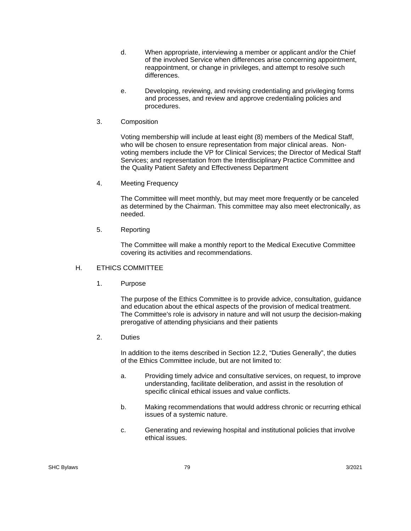- d. When appropriate, interviewing a member or applicant and/or the Chief of the involved Service when differences arise concerning appointment, reappointment, or change in privileges, and attempt to resolve such differences.
- e. Developing, reviewing, and revising credentialing and privileging forms and processes, and review and approve credentialing policies and procedures.
- 3. Composition

Voting membership will include at least eight (8) members of the Medical Staff, who will be chosen to ensure representation from major clinical areas. Nonvoting members include the VP for Clinical Services; the Director of Medical Staff Services; and representation from the Interdisciplinary Practice Committee and the Quality Patient Safety and Effectiveness Department

4. Meeting Frequency

The Committee will meet monthly, but may meet more frequently or be canceled as determined by the Chairman. This committee may also meet electronically, as needed.

5. Reporting

The Committee will make a monthly report to the Medical Executive Committee covering its activities and recommendations.

- H. ETHICS COMMITTEE
	- 1. Purpose

The purpose of the Ethics Committee is to provide advice, consultation, guidance and education about the ethical aspects of the provision of medical treatment. The Committee's role is advisory in nature and will not usurp the decision-making prerogative of attending physicians and their patients

2. Duties

In addition to the items described in Section 12.2, "Duties Generally", the duties of the Ethics Committee include, but are not limited to:

- a. Providing timely advice and consultative services, on request, to improve understanding, facilitate deliberation, and assist in the resolution of specific clinical ethical issues and value conflicts.
- b. Making recommendations that would address chronic or recurring ethical issues of a systemic nature.
- c. Generating and reviewing hospital and institutional policies that involve ethical issues.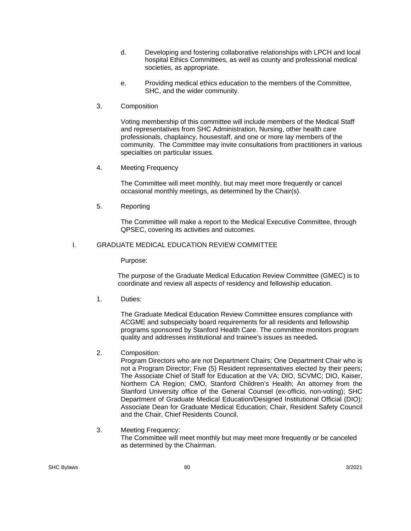- d. Developing and fostering collaborative relationships with LPCH and local hospital Ethics Committees, as well as county and professional medical societies, as appropriate.
- e. Providing medical ethics education to the members of the Committee, SHC, and the wider community.
- 3. Composition

Voting membership of this committee will include members of the Medical Staff and representatives from SHC Administration, Nursing, other health care professionals, chaplaincy, housestaff, and one or more lay members of the community. The Committee may invite consultations from practitioners in various specialties on particular issues.

4. Meeting Frequency

The Committee will meet monthly, but may meet more frequently or cancel occasional monthly meetings, as determined by the Chair(s).

5. Reporting

The Committee will make a report to the Medical Executive Committee, through QPSEC, covering its activities and outcomes.

## I. GRADUATE MEDICAL EDUCATION REVIEW COMMITTEE

Purpose:

The purpose of the Graduate Medical Education Review Committee (GMEC) is to coordinate and review all aspects of residency and fellowship education.

1. Duties:

The Graduate Medical Education Review Committee ensures compliance with ACGME and subspecialty board requirements for all residents and fellowship programs sponsored by Stanford Health Care. The committee monitors program quality and addresses institutional and trainee's issues as needed**.** 

2. Composition:

Program Directors who are not Department Chairs; One Department Chair who is not a Program Director; Five (5) Resident representatives elected by their peers; The Associate Chief of Staff for Education at the VA; DIO, SCVMC; DIO, Kaiser, Northern CA Region; CMO, Stanford Children's Health; An attorney from the Stanford University office of the General Counsel (ex-officio, non-voting); SHC Department of Graduate Medical Education/Designed Institutional Official (DIO); Associate Dean for Graduate Medical Education; Chair, Resident Safety Council and the Chair, Chief Residents Council.

## 3. Meeting Frequency:

The Committee will meet monthly but may meet more frequently or be canceled as determined by the Chairman.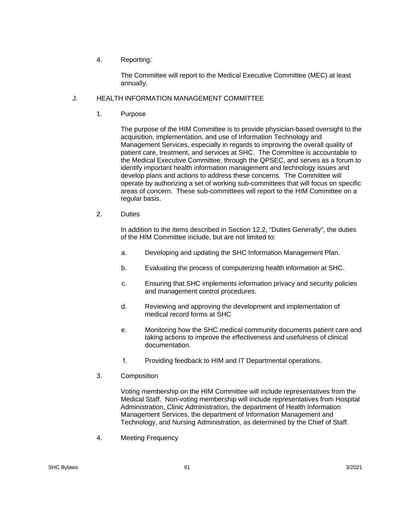# 4. Reporting:

The Committee will report to the Medical Executive Committee (MEC) at least annually.

# J. HEALTH INFORMATION MANAGEMENT COMMITTEE

1. Purpose

The purpose of the HIM Committee is to provide physician-based oversight to the acquisition, implementation, and use of Information Technology and Management Services, especially in regards to improving the overall quality of patient care, treatment, and services at SHC. The Committee is accountable to the Medical Executive Committee, through the QPSEC, and serves as a forum to identify important health information management and technology issues and develop plans and actions to address these concerns. The Committee will operate by authorizing a set of working sub-committees that will focus on specific areas of concern. These sub-committees will report to the HIM Committee on a regular basis.

2. Duties

In addition to the items described in Section 12.2, "Duties Generally", the duties of the HIM Committee include, but are not limited to:

- a. Developing and updating the SHC Information Management Plan.
- b. Evaluating the process of computerizing health information at SHC.
- c. Ensuring that SHC implements information privacy and security policies and management control procedures.
- d. Reviewing and approving the development and implementation of medical record forms at SHC
- e. Monitoring how the SHC medical community documents patient care and taking actions to improve the effectiveness and usefulness of clinical documentation.
- f. Providing feedback to HIM and IT Departmental operations.
- 3. Composition

Voting membership on the HIM Committee will include representatives from the Medical Staff. Non-voting membership will include representatives from Hospital Administration, Clinic Administration, the department of Health Information Management Services, the department of Information Management and Technology, and Nursing Administration, as determined by the Chief of Staff.

4. Meeting Frequency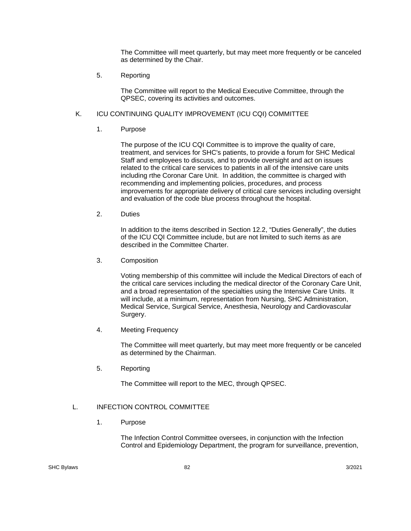The Committee will meet quarterly, but may meet more frequently or be canceled as determined by the Chair.

5. Reporting

The Committee will report to the Medical Executive Committee, through the QPSEC, covering its activities and outcomes.

# K. ICU CONTINUING QUALITY IMPROVEMENT (ICU CQI) COMMITTEE

1. Purpose

The purpose of the ICU CQI Committee is to improve the quality of care, treatment, and services for SHC's patients, to provide a forum for SHC Medical Staff and employees to discuss, and to provide oversight and act on issues related to the critical care services to patients in all of the intensive care units including rthe Coronar Care Unit. In addition, the committee is charged with recommending and implementing policies, procedures, and process improvements for appropriate delivery of critical care services including oversight and evaluation of the code blue process throughout the hospital.

2. Duties

In addition to the items described in Section 12.2, "Duties Generally", the duties of the ICU CQI Committee include, but are not limited to such items as are described in the Committee Charter.

3. Composition

Voting membership of this committee will include the Medical Directors of each of the critical care services including the medical director of the Coronary Care Unit, and a broad representation of the specialties using the Intensive Care Units. It will include, at a minimum, representation from Nursing, SHC Administration, Medical Service, Surgical Service, Anesthesia, Neurology and Cardiovascular Surgery.

4. Meeting Frequency

The Committee will meet quarterly, but may meet more frequently or be canceled as determined by the Chairman.

5. Reporting

The Committee will report to the MEC, through QPSEC.

# L. INFECTION CONTROL COMMITTEE

1. Purpose

The Infection Control Committee oversees, in conjunction with the Infection Control and Epidemiology Department, the program for surveillance, prevention,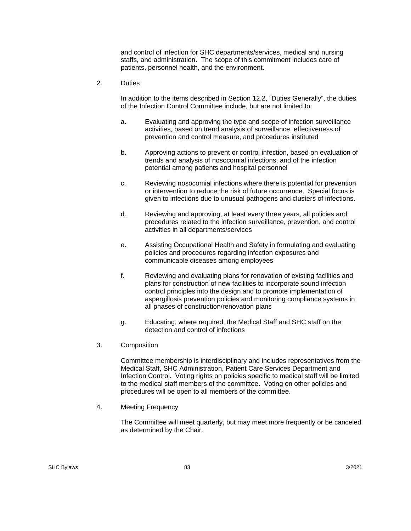and control of infection for SHC departments/services, medical and nursing staffs, and administration. The scope of this commitment includes care of patients, personnel health, and the environment.

2. Duties

In addition to the items described in Section 12.2, "Duties Generally", the duties of the Infection Control Committee include, but are not limited to:

- a. Evaluating and approving the type and scope of infection surveillance activities, based on trend analysis of surveillance, effectiveness of prevention and control measure, and procedures instituted
- b. Approving actions to prevent or control infection, based on evaluation of trends and analysis of nosocomial infections, and of the infection potential among patients and hospital personnel
- c. Reviewing nosocomial infections where there is potential for prevention or intervention to reduce the risk of future occurrence. Special focus is given to infections due to unusual pathogens and clusters of infections.
- d. Reviewing and approving, at least every three years, all policies and procedures related to the infection surveillance, prevention, and control activities in all departments/services
- e. Assisting Occupational Health and Safety in formulating and evaluating policies and procedures regarding infection exposures and communicable diseases among employees
- f. Reviewing and evaluating plans for renovation of existing facilities and plans for construction of new facilities to incorporate sound infection control principles into the design and to promote implementation of aspergillosis prevention policies and monitoring compliance systems in all phases of construction/renovation plans
- g. Educating, where required, the Medical Staff and SHC staff on the detection and control of infections
- 3. Composition

Committee membership is interdisciplinary and includes representatives from the Medical Staff, SHC Administration, Patient Care Services Department and Infection Control. Voting rights on policies specific to medical staff will be limited to the medical staff members of the committee. Voting on other policies and procedures will be open to all members of the committee.

4. Meeting Frequency

The Committee will meet quarterly, but may meet more frequently or be canceled as determined by the Chair.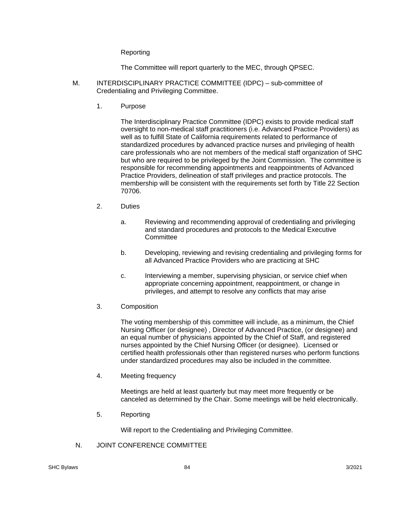#### Reporting

The Committee will report quarterly to the MEC, through QPSEC.

- M. INTERDISCIPLINARY PRACTICE COMMITTEE (IDPC) sub-committee of Credentialing and Privileging Committee.
	- 1. Purpose

The Interdisciplinary Practice Committee (IDPC) exists to provide medical staff oversight to non-medical staff practitioners (i.e. Advanced Practice Providers) as well as to fulfill State of California requirements related to performance of standardized procedures by advanced practice nurses and privileging of health care professionals who are not members of the medical staff organization of SHC but who are required to be privileged by the Joint Commission. The committee is responsible for recommending appointments and reappointments of Advanced Practice Providers, delineation of staff privileges and practice protocols. The membership will be consistent with the requirements set forth by Title 22 Section 70706.

- 2. Duties
	- a. Reviewing and recommending approval of credentialing and privileging and standard procedures and protocols to the Medical Executive **Committee**
	- b. Developing, reviewing and revising credentialing and privileging forms for all Advanced Practice Providers who are practicing at SHC
	- c. Interviewing a member, supervising physician, or service chief when appropriate concerning appointment, reappointment, or change in privileges, and attempt to resolve any conflicts that may arise
- 3. Composition

The voting membership of this committee will include, as a minimum, the Chief Nursing Officer (or designee) , Director of Advanced Practice, (or designee) and an equal number of physicians appointed by the Chief of Staff, and registered nurses appointed by the Chief Nursing Officer (or designee). Licensed or certified health professionals other than registered nurses who perform functions under standardized procedures may also be included in the committee.

4. Meeting frequency

Meetings are held at least quarterly but may meet more frequently or be canceled as determined by the Chair. Some meetings will be held electronically.

5. Reporting

Will report to the Credentialing and Privileging Committee.

N. JOINT CONFERENCE COMMITTEE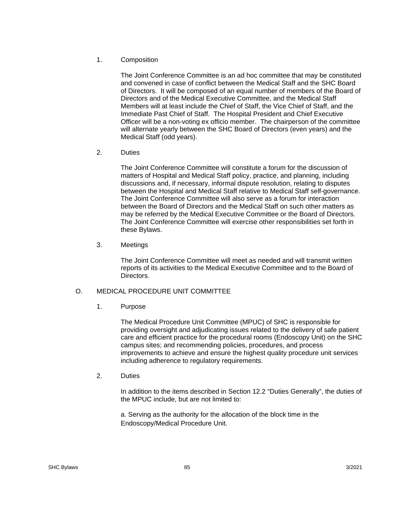## 1. Composition

The Joint Conference Committee is an ad hoc committee that may be constituted and convened in case of conflict between the Medical Staff and the SHC Board of Directors. It will be composed of an equal number of members of the Board of Directors and of the Medical Executive Committee, and the Medical Staff Members will at least include the Chief of Staff, the Vice Chief of Staff, and the Immediate Past Chief of Staff. The Hospital President and Chief Executive Officer will be a non-voting ex officio member. The chairperson of the committee will alternate yearly between the SHC Board of Directors (even years) and the Medical Staff (odd years).

2. Duties

The Joint Conference Committee will constitute a forum for the discussion of matters of Hospital and Medical Staff policy, practice, and planning, including discussions and, if necessary, informal dispute resolution, relating to disputes between the Hospital and Medical Staff relative to Medical Staff self-governance. The Joint Conference Committee will also serve as a forum for interaction between the Board of Directors and the Medical Staff on such other matters as may be referred by the Medical Executive Committee or the Board of Directors. The Joint Conference Committee will exercise other responsibilities set forth in these Bylaws.

3. Meetings

The Joint Conference Committee will meet as needed and will transmit written reports of its activities to the Medical Executive Committee and to the Board of Directors.

## O. MEDICAL PROCEDURE UNIT COMMITTEE

1. Purpose

The Medical Procedure Unit Committee (MPUC) of SHC is responsible for providing oversight and adjudicating issues related to the delivery of safe patient care and efficient practice for the procedural rooms (Endoscopy Unit) on the SHC campus sites; and recommending policies, procedures, and process improvements to achieve and ensure the highest quality procedure unit services including adherence to regulatory requirements.

2. Duties

In addition to the items described in Section 12.2 "Duties Generally", the duties of the MPUC include, but are not limited to:

a. Serving as the authority for the allocation of the block time in the Endoscopy/Medical Procedure Unit.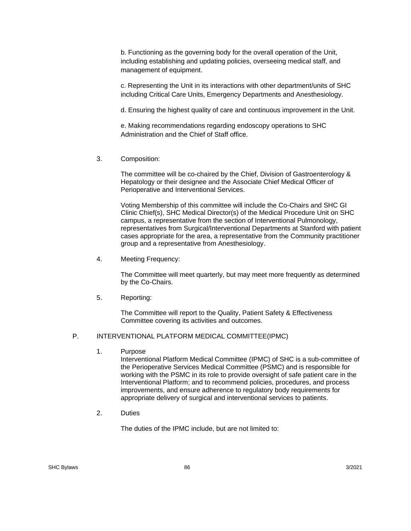b. Functioning as the governing body for the overall operation of the Unit, including establishing and updating policies, overseeing medical staff, and management of equipment.

c. Representing the Unit in its interactions with other department/units of SHC including Critical Care Units, Emergency Departments and Anesthesiology.

d. Ensuring the highest quality of care and continuous improvement in the Unit.

e. Making recommendations regarding endoscopy operations to SHC Administration and the Chief of Staff office.

3. Composition:

The committee will be co-chaired by the Chief, Division of Gastroenterology & Hepatology or their designee and the Associate Chief Medical Officer of Perioperative and Interventional Services.

Voting Membership of this committee will include the Co-Chairs and SHC GI Clinic Chief(s), SHC Medical Director(s) of the Medical Procedure Unit on SHC campus, a representative from the section of Interventional Pulmonology, representatives from Surgical/Interventional Departments at Stanford with patient cases appropriate for the area, a representative from the Community practitioner group and a representative from Anesthesiology.

4. Meeting Frequency:

The Committee will meet quarterly, but may meet more frequently as determined by the Co-Chairs.

5. Reporting:

The Committee will report to the Quality, Patient Safety & Effectiveness Committee covering its activities and outcomes.

# P. INTERVENTIONAL PLATFORM MEDICAL COMMITTEE(IPMC)

1. Purpose

Interventional Platform Medical Committee (IPMC) of SHC is a sub-committee of the Perioperative Services Medical Committee (PSMC) and is responsible for working with the PSMC in its role to provide oversight of safe patient care in the Interventional Platform; and to recommend policies, procedures, and process improvements, and ensure adherence to regulatory body requirements for appropriate delivery of surgical and interventional services to patients.

2. Duties

The duties of the IPMC include, but are not limited to: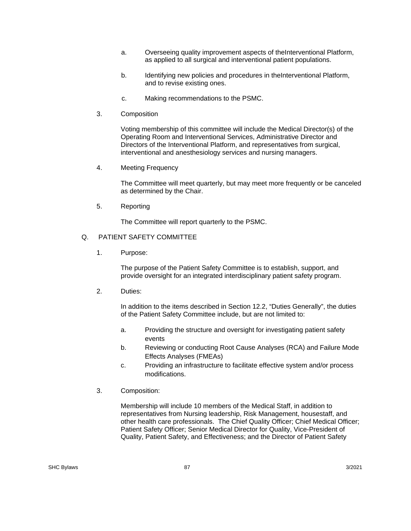- a. Overseeing quality improvement aspects of theInterventional Platform, as applied to all surgical and interventional patient populations.
- b. Identifying new policies and procedures in the Interventional Platform, and to revise existing ones.
- c. Making recommendations to the PSMC.
- 3. Composition

Voting membership of this committee will include the Medical Director(s) of the Operating Room and Interventional Services, Administrative Director and Directors of the Interventional Platform, and representatives from surgical, interventional and anesthesiology services and nursing managers.

4. Meeting Frequency

The Committee will meet quarterly, but may meet more frequently or be canceled as determined by the Chair.

5. Reporting

The Committee will report quarterly to the PSMC.

## Q. PATIENT SAFETY COMMITTEE

1. Purpose:

The purpose of the Patient Safety Committee is to establish, support, and provide oversight for an integrated interdisciplinary patient safety program.

2. Duties:

In addition to the items described in Section 12.2, "Duties Generally", the duties of the Patient Safety Committee include, but are not limited to:

- a. Providing the structure and oversight for investigating patient safety events
- b. Reviewing or conducting Root Cause Analyses (RCA) and Failure Mode Effects Analyses (FMEAs)
- c. Providing an infrastructure to facilitate effective system and/or process modifications.
- 3. Composition:

Membership will include 10 members of the Medical Staff, in addition to representatives from Nursing leadership, Risk Management, housestaff, and other health care professionals. The Chief Quality Officer; Chief Medical Officer; Patient Safety Officer; Senior Medical Director for Quality, Vice-President of Quality, Patient Safety, and Effectiveness; and the Director of Patient Safety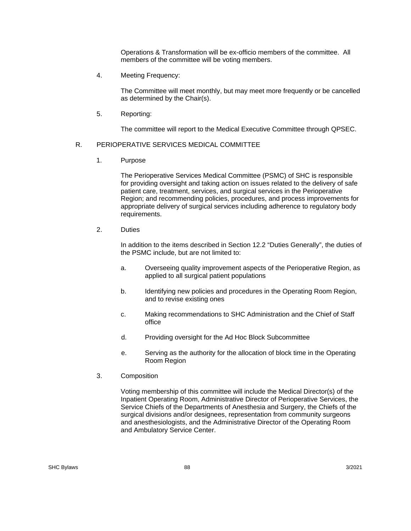Operations & Transformation will be ex-officio members of the committee. All members of the committee will be voting members.

4. Meeting Frequency:

The Committee will meet monthly, but may meet more frequently or be cancelled as determined by the Chair(s).

5. Reporting:

The committee will report to the Medical Executive Committee through QPSEC.

# R. PERIOPERATIVE SERVICES MEDICAL COMMITTEE

1. Purpose

The Perioperative Services Medical Committee (PSMC) of SHC is responsible for providing oversight and taking action on issues related to the delivery of safe patient care, treatment, services, and surgical services in the Perioperative Region; and recommending policies, procedures, and process improvements for appropriate delivery of surgical services including adherence to regulatory body requirements.

2. Duties

 In addition to the items described in Section 12.2 "Duties Generally", the duties of the PSMC include, but are not limited to:

- a. Overseeing quality improvement aspects of the Perioperative Region, as applied to all surgical patient populations
- b. Identifying new policies and procedures in the Operating Room Region, and to revise existing ones
- c. Making recommendations to SHC Administration and the Chief of Staff office
- d. Providing oversight for the Ad Hoc Block Subcommittee
- e. Serving as the authority for the allocation of block time in the Operating Room Region
- 3. Composition

 Voting membership of this committee will include the Medical Director(s) of the Inpatient Operating Room, Administrative Director of Perioperative Services, the Service Chiefs of the Departments of Anesthesia and Surgery, the Chiefs of the surgical divisions and/or designees, representation from community surgeons and anesthesiologists, and the Administrative Director of the Operating Room and Ambulatory Service Center.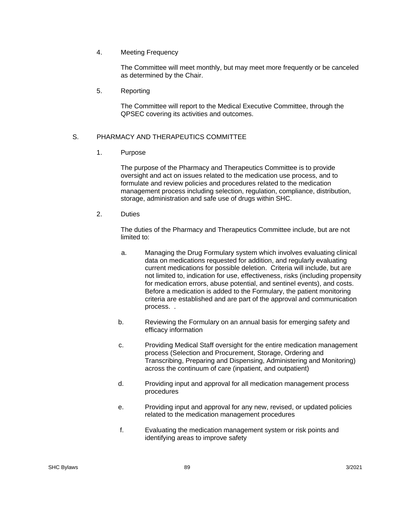4. Meeting Frequency

 The Committee will meet monthly, but may meet more frequently or be canceled as determined by the Chair.

5. Reporting

 The Committee will report to the Medical Executive Committee, through the QPSEC covering its activities and outcomes.

## S. PHARMACY AND THERAPEUTICS COMMITTEE

1. Purpose

The purpose of the Pharmacy and Therapeutics Committee is to provide oversight and act on issues related to the medication use process, and to formulate and review policies and procedures related to the medication management process including selection, regulation, compliance, distribution, storage, administration and safe use of drugs within SHC.

2. Duties

The duties of the Pharmacy and Therapeutics Committee include, but are not limited to:

- a. Managing the Drug Formulary system which involves evaluating clinical data on medications requested for addition, and regularly evaluating current medications for possible deletion. Criteria will include, but are not limited to, indication for use, effectiveness, risks (including propensity for medication errors, abuse potential, and sentinel events), and costs. Before a medication is added to the Formulary, the patient monitoring criteria are established and are part of the approval and communication process. .
- b. Reviewing the Formulary on an annual basis for emerging safety and efficacy information
- c. Providing Medical Staff oversight for the entire medication management process (Selection and Procurement, Storage, Ordering and Transcribing, Preparing and Dispensing, Administering and Monitoring) across the continuum of care (inpatient, and outpatient)
- d. Providing input and approval for all medication management process procedures
- e. Providing input and approval for any new, revised, or updated policies related to the medication management procedures
- f. Evaluating the medication management system or risk points and identifying areas to improve safety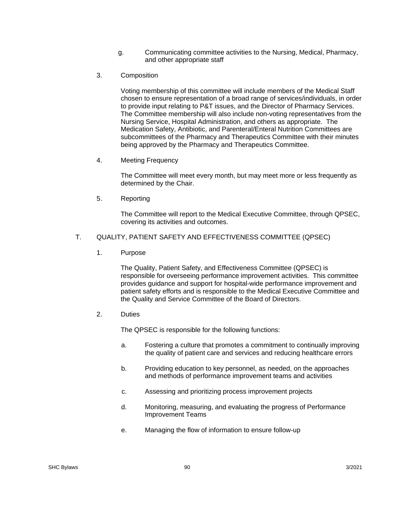- g. Communicating committee activities to the Nursing, Medical, Pharmacy, and other appropriate staff
- 3. Composition

Voting membership of this committee will include members of the Medical Staff chosen to ensure representation of a broad range of services/individuals, in order to provide input relating to P&T issues, and the Director of Pharmacy Services. The Committee membership will also include non-voting representatives from the Nursing Service, Hospital Administration, and others as appropriate. The Medication Safety, Antibiotic, and Parenteral/Enteral Nutrition Committees are subcommittees of the Pharmacy and Therapeutics Committee with their minutes being approved by the Pharmacy and Therapeutics Committee.

4. Meeting Frequency

The Committee will meet every month, but may meet more or less frequently as determined by the Chair.

5. Reporting

The Committee will report to the Medical Executive Committee, through QPSEC, covering its activities and outcomes.

## T. QUALITY, PATIENT SAFETY AND EFFECTIVENESS COMMITTEE (QPSEC)

1. Purpose

The Quality, Patient Safety, and Effectiveness Committee (QPSEC) is responsible for overseeing performance improvement activities. This committee provides guidance and support for hospital-wide performance improvement and patient safety efforts and is responsible to the Medical Executive Committee and the Quality and Service Committee of the Board of Directors.

2. Duties

The QPSEC is responsible for the following functions:

- a. Fostering a culture that promotes a commitment to continually improving the quality of patient care and services and reducing healthcare errors
- b. Providing education to key personnel, as needed, on the approaches and methods of performance improvement teams and activities
- c. Assessing and prioritizing process improvement projects
- d. Monitoring, measuring, and evaluating the progress of Performance Improvement Teams
- e. Managing the flow of information to ensure follow-up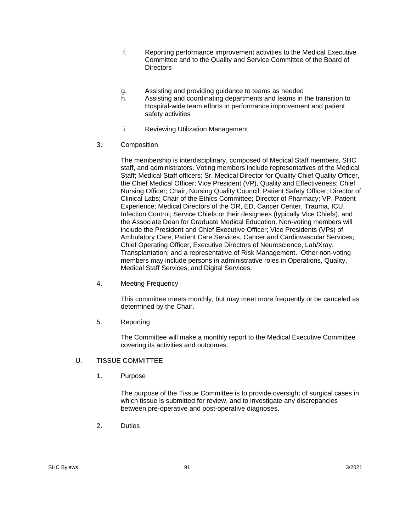- f. Reporting performance improvement activities to the Medical Executive Committee and to the Quality and Service Committee of the Board of **Directors**
- g. Assisting and providing guidance to teams as needed
- h. Assisting and coordinating departments and teams in the transition to Hospital-wide team efforts in performance improvement and patient safety activities
- i. Reviewing Utilization Management
- 3. Composition

The membership is interdisciplinary, composed of Medical Staff members, SHC staff, and administrators. Voting members include representatives of the Medical Staff; Medical Staff officers; Sr. Medical Director for Quality Chief Quality Officer, the Chief Medical Officer; Vice President (VP), Quality and Effectiveness; Chief Nursing Officer; Chair, Nursing Quality Council; Patient Safety Officer; Director of Clinical Labs; Chair of the Ethics Committee; Director of Pharmacy; VP, Patient Experience; Medical Directors of the OR, ED, Cancer Center, Trauma, ICU, Infection Control; Service Chiefs or their designees (typically Vice Chiefs), and the Associate Dean for Graduate Medical Education. Non-voting members will include the President and Chief Executive Officer; Vice Presidents (VPs) of Ambulatory Care, Patient Care Services, Cancer and Cardiovascular Services; Chief Operating Officer; Executive Directors of Neuroscience, Lab/Xray, Transplantation; and a representative of Risk Management. Other non-voting members may include persons in administrative roles in Operations, Quality, Medical Staff Services, and Digital Services.

4. Meeting Frequency

This committee meets monthly, but may meet more frequently or be canceled as determined by the Chair.

5. Reporting

The Committee will make a monthly report to the Medical Executive Committee covering its activities and outcomes.

- U. TISSUE COMMITTEE
	- 1. Purpose

 The purpose of the Tissue Committee is to provide oversight of surgical cases in which tissue is submitted for review, and to investigate any discrepancies between pre-operative and post-operative diagnoses.

2. Duties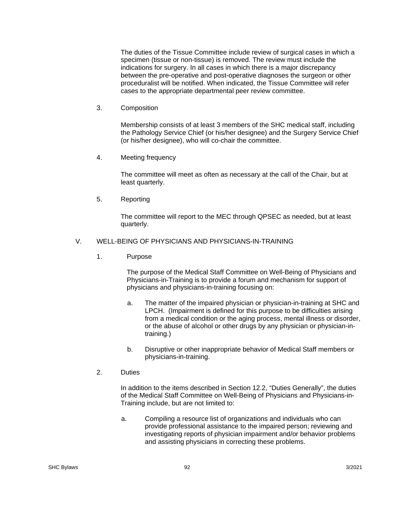The duties of the Tissue Committee include review of surgical cases in which a specimen (tissue or non-tissue) is removed. The review must include the indications for surgery. In all cases in which there is a major discrepancy between the pre-operative and post-operative diagnoses the surgeon or other proceduralist will be notified. When indicated, the Tissue Committee will refer cases to the appropriate departmental peer review committee.

3. Composition

 Membership consists of at least 3 members of the SHC medical staff, including the Pathology Service Chief (or his/her designee) and the Surgery Service Chief (or his/her designee), who will co-chair the committee.

4. Meeting frequency

 The committee will meet as often as necessary at the call of the Chair, but at least quarterly.

5. Reporting

 The committee will report to the MEC through QPSEC as needed, but at least quarterly.

## V. WELL-BEING OF PHYSICIANS AND PHYSICIANS-IN-TRAINING

1. Purpose

The purpose of the Medical Staff Committee on Well-Being of Physicians and Physicians-in-Training is to provide a forum and mechanism for support of physicians and physicians-in-training focusing on:

- a. The matter of the impaired physician or physician-in-training at SHC and LPCH. (Impairment is defined for this purpose to be difficulties arising from a medical condition or the aging process, mental illness or disorder, or the abuse of alcohol or other drugs by any physician or physician-intraining.)
- b. Disruptive or other inappropriate behavior of Medical Staff members or physicians-in-training.
- 2. Duties

In addition to the items described in Section 12.2, "Duties Generally", the duties of the Medical Staff Committee on Well-Being of Physicians and Physicians-in-Training include, but are not limited to:

a. Compiling a resource list of organizations and individuals who can provide professional assistance to the impaired person; reviewing and investigating reports of physician impairment and/or behavior problems and assisting physicians in correcting these problems.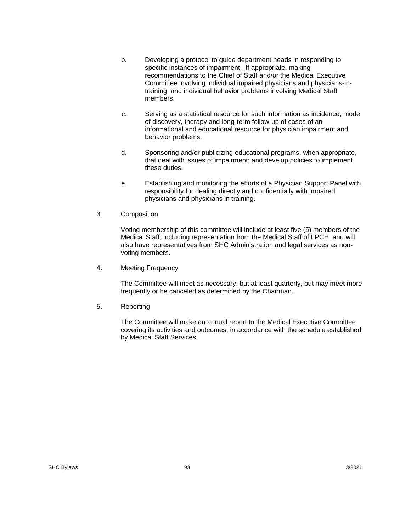- b. Developing a protocol to guide department heads in responding to specific instances of impairment. If appropriate, making recommendations to the Chief of Staff and/or the Medical Executive Committee involving individual impaired physicians and physicians-intraining, and individual behavior problems involving Medical Staff members.
- c. Serving as a statistical resource for such information as incidence, mode of discovery, therapy and long-term follow-up of cases of an informational and educational resource for physician impairment and behavior problems.
- d. Sponsoring and/or publicizing educational programs, when appropriate, that deal with issues of impairment; and develop policies to implement these duties.
- e. Establishing and monitoring the efforts of a Physician Support Panel with responsibility for dealing directly and confidentially with impaired physicians and physicians in training.
- 3. Composition

Voting membership of this committee will include at least five (5) members of the Medical Staff, including representation from the Medical Staff of LPCH, and will also have representatives from SHC Administration and legal services as nonvoting members.

4. Meeting Frequency

The Committee will meet as necessary, but at least quarterly, but may meet more frequently or be canceled as determined by the Chairman.

5. Reporting

The Committee will make an annual report to the Medical Executive Committee covering its activities and outcomes, in accordance with the schedule established by Medical Staff Services.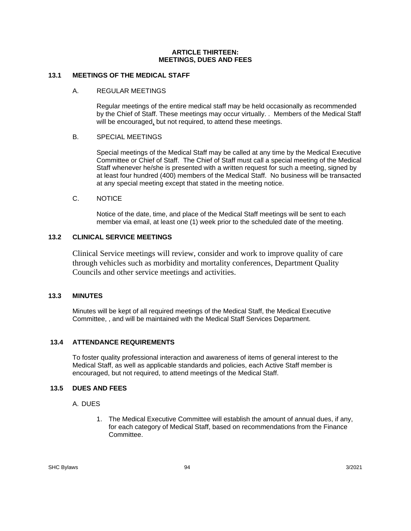#### **ARTICLE THIRTEEN: MEETINGS, DUES AND FEES**

## **13.1 MEETINGS OF THE MEDICAL STAFF**

## A. REGULAR MEETINGS

Regular meetings of the entire medical staff may be held occasionally as recommended by the Chief of Staff. These meetings may occur virtually. . Members of the Medical Staff will be encouraged, but not required, to attend these meetings.

## B. SPECIAL MEETINGS

Special meetings of the Medical Staff may be called at any time by the Medical Executive Committee or Chief of Staff. The Chief of Staff must call a special meeting of the Medical Staff whenever he/she is presented with a written request for such a meeting, signed by at least four hundred (400) members of the Medical Staff. No business will be transacted at any special meeting except that stated in the meeting notice.

## C. NOTICE

Notice of the date, time, and place of the Medical Staff meetings will be sent to each member via email, at least one (1) week prior to the scheduled date of the meeting.

# **13.2 CLINICAL SERVICE MEETINGS**

Clinical Service meetings will review, consider and work to improve quality of care through vehicles such as morbidity and mortality conferences, Department Quality Councils and other service meetings and activities.

## **13.3 MINUTES**

Minutes will be kept of all required meetings of the Medical Staff, the Medical Executive Committee, , and will be maintained with the Medical Staff Services Department.

# **13.4 ATTENDANCE REQUIREMENTS**

To foster quality professional interaction and awareness of items of general interest to the Medical Staff, as well as applicable standards and policies, each Active Staff member is encouraged, but not required, to attend meetings of the Medical Staff.

# **13.5 DUES AND FEES**

## A. DUES

1. The Medical Executive Committee will establish the amount of annual dues, if any, for each category of Medical Staff, based on recommendations from the Finance Committee.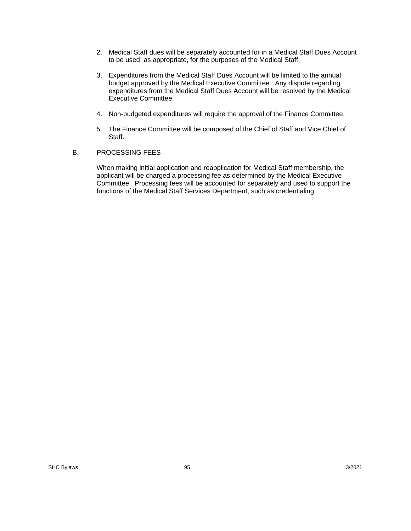- 2. Medical Staff dues will be separately accounted for in a Medical Staff Dues Account to be used, as appropriate, for the purposes of the Medical Staff.
- 3. Expenditures from the Medical Staff Dues Account will be limited to the annual budget approved by the Medical Executive Committee. Any dispute regarding expenditures from the Medical Staff Dues Account will be resolved by the Medical Executive Committee.
- 4. Non-budgeted expenditures will require the approval of the Finance Committee.
- 5. The Finance Committee will be composed of the Chief of Staff and Vice Chief of Staff.

## B. PROCESSING FEES

When making initial application and reapplication for Medical Staff membership, the applicant will be charged a processing fee as determined by the Medical Executive Committee. Processing fees will be accounted for separately and used to support the functions of the Medical Staff Services Department, such as credentialing.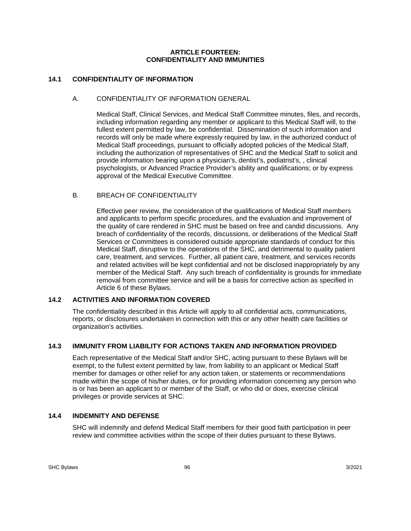### **ARTICLE FOURTEEN: CONFIDENTIALITY AND IMMUNITIES**

# **14.1 CONFIDENTIALITY OF INFORMATION**

## A. CONFIDENTIALITY OF INFORMATION GENERAL

Medical Staff, Clinical Services, and Medical Staff Committee minutes, files, and records, including information regarding any member or applicant to this Medical Staff will, to the fullest extent permitted by law, be confidential. Dissemination of such information and records will only be made where expressly required by law, in the authorized conduct of Medical Staff proceedings, pursuant to officially adopted policies of the Medical Staff, including the authorization of representatives of SHC and the Medical Staff to solicit and provide information bearing upon a physician's, dentist's, podiatrist's, , clinical psychologists, or Advanced Practice Provider's ability and qualifications; or by express approval of the Medical Executive Committee.

## B. BREACH OF CONFIDENTIALITY

Effective peer review, the consideration of the qualifications of Medical Staff members and applicants to perform specific procedures, and the evaluation and improvement of the quality of care rendered in SHC must be based on free and candid discussions. Any breach of confidentiality of the records, discussions, or deliberations of the Medical Staff Services or Committees is considered outside appropriate standards of conduct for this Medical Staff, disruptive to the operations of the SHC, and detrimental to quality patient care, treatment, and services. Further, all patient care, treatment, and services records and related activities will be kept confidential and not be disclosed inappropriately by any member of the Medical Staff. Any such breach of confidentiality is grounds for immediate removal from committee service and will be a basis for corrective action as specified in Article 6 of these Bylaws.

## **14.2 ACTIVITIES AND INFORMATION COVERED**

The confidentiality described in this Article will apply to all confidential acts, communications, reports, or disclosures undertaken in connection with this or any other health care facilities or organization's activities.

## **14.3 IMMUNITY FROM LIABILITY FOR ACTIONS TAKEN AND INFORMATION PROVIDED**

Each representative of the Medical Staff and/or SHC, acting pursuant to these Bylaws will be exempt, to the fullest extent permitted by law, from liability to an applicant or Medical Staff member for damages or other relief for any action taken, or statements or recommendations made within the scope of his/her duties, or for providing information concerning any person who is or has been an applicant to or member of the Staff, or who did or does, exercise clinical privileges or provide services at SHC.

## **14.4 INDEMNITY AND DEFENSE**

SHC will indemnify and defend Medical Staff members for their good faith participation in peer review and committee activities within the scope of their duties pursuant to these Bylaws.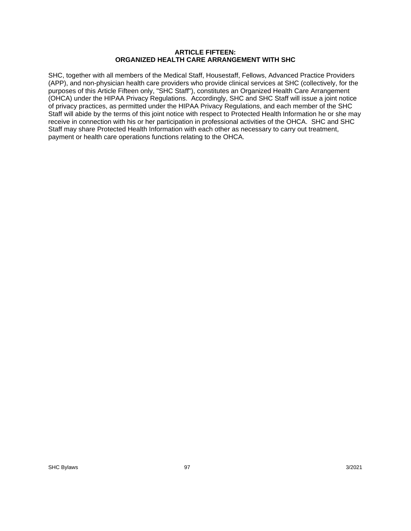#### **ARTICLE FIFTEEN: ORGANIZED HEALTH CARE ARRANGEMENT WITH SHC**

SHC, together with all members of the Medical Staff, Housestaff, Fellows, Advanced Practice Providers (APP), and non-physician health care providers who provide clinical services at SHC (collectively, for the purposes of this Article Fifteen only, "SHC Staff"), constitutes an Organized Health Care Arrangement (OHCA) under the HIPAA Privacy Regulations. Accordingly, SHC and SHC Staff will issue a joint notice of privacy practices, as permitted under the HIPAA Privacy Regulations, and each member of the SHC Staff will abide by the terms of this joint notice with respect to Protected Health Information he or she may receive in connection with his or her participation in professional activities of the OHCA. SHC and SHC Staff may share Protected Health Information with each other as necessary to carry out treatment, payment or health care operations functions relating to the OHCA.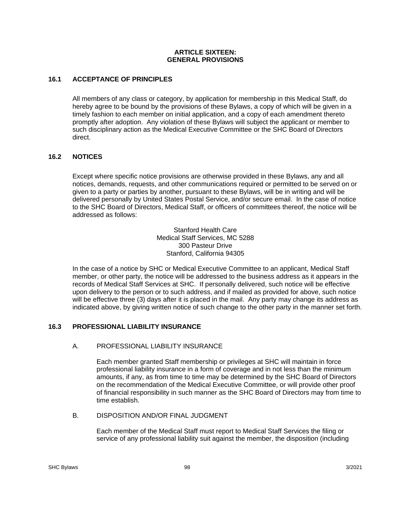#### **ARTICLE SIXTEEN: GENERAL PROVISIONS**

## **16.1 ACCEPTANCE OF PRINCIPLES**

All members of any class or category, by application for membership in this Medical Staff, do hereby agree to be bound by the provisions of these Bylaws, a copy of which will be given in a timely fashion to each member on initial application, and a copy of each amendment thereto promptly after adoption. Any violation of these Bylaws will subject the applicant or member to such disciplinary action as the Medical Executive Committee or the SHC Board of Directors direct.

## **16.2 NOTICES**

Except where specific notice provisions are otherwise provided in these Bylaws, any and all notices, demands, requests, and other communications required or permitted to be served on or given to a party or parties by another, pursuant to these Bylaws, will be in writing and will be delivered personally by United States Postal Service, and/or secure email. In the case of notice to the SHC Board of Directors, Medical Staff, or officers of committees thereof, the notice will be addressed as follows:

> Stanford Health Care Medical Staff Services, MC 5288 300 Pasteur Drive Stanford, California 94305

In the case of a notice by SHC or Medical Executive Committee to an applicant, Medical Staff member, or other party, the notice will be addressed to the business address as it appears in the records of Medical Staff Services at SHC. If personally delivered, such notice will be effective upon delivery to the person or to such address, and if mailed as provided for above, such notice will be effective three (3) days after it is placed in the mail. Any party may change its address as indicated above, by giving written notice of such change to the other party in the manner set forth.

## **16.3 PROFESSIONAL LIABILITY INSURANCE**

## A. PROFESSIONAL LIABILITY INSURANCE

Each member granted Staff membership or privileges at SHC will maintain in force professional liability insurance in a form of coverage and in not less than the minimum amounts, if any, as from time to time may be determined by the SHC Board of Directors on the recommendation of the Medical Executive Committee, or will provide other proof of financial responsibility in such manner as the SHC Board of Directors may from time to time establish.

## B. DISPOSITION AND/OR FINAL JUDGMENT

Each member of the Medical Staff must report to Medical Staff Services the filing or service of any professional liability suit against the member, the disposition (including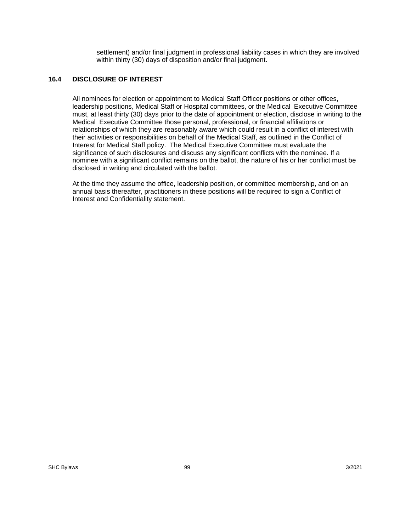settlement) and/or final judgment in professional liability cases in which they are involved within thirty (30) days of disposition and/or final judgment.

## **16.4 DISCLOSURE OF INTEREST**

All nominees for election or appointment to Medical Staff Officer positions or other offices, leadership positions, Medical Staff or Hospital committees, or the Medical Executive Committee must, at least thirty (30) days prior to the date of appointment or election, disclose in writing to the Medical Executive Committee those personal, professional, or financial affiliations or relationships of which they are reasonably aware which could result in a conflict of interest with their activities or responsibilities on behalf of the Medical Staff, as outlined in the Conflict of Interest for Medical Staff policy. The Medical Executive Committee must evaluate the significance of such disclosures and discuss any significant conflicts with the nominee. If a nominee with a significant conflict remains on the ballot, the nature of his or her conflict must be disclosed in writing and circulated with the ballot.

At the time they assume the office, leadership position, or committee membership, and on an annual basis thereafter, practitioners in these positions will be required to sign a Conflict of Interest and Confidentiality statement.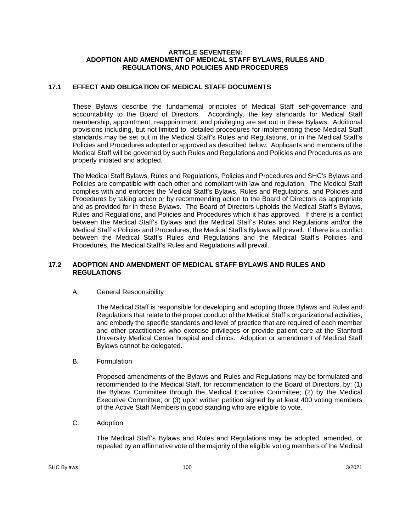#### **ARTICLE SEVENTEEN: ADOPTION AND AMENDMENT OF MEDICAL STAFF BYLAWS, RULES AND REGULATIONS, AND POLICIES AND PROCEDURES**

## **17.1 EFFECT AND OBLIGATION OF MEDICAL STAFF DOCUMENTS**

These Bylaws describe the fundamental principles of Medical Staff self-governance and accountability to the Board of Directors. Accordingly, the key standards for Medical Staff membership, appointment, reappointment, and privileging are set out in these Bylaws. Additional provisions including, but not limited to, detailed procedures for implementing these Medical Staff standards may be set out in the Medical Staff's Rules and Regulations, or in the Medical Staff's Policies and Procedures adopted or approved as described below. Applicants and members of the Medical Staff will be governed by such Rules and Regulations and Policies and Procedures as are properly initiated and adopted.

The Medical Staff Bylaws, Rules and Regulations, Policies and Procedures and SHC's Bylaws and Policies are compatible with each other and compliant with law and regulation. The Medical Staff complies with and enforces the Medical Staff's Bylaws, Rules and Regulations, and Policies and Procedures by taking action or by recommending action to the Board of Directors as appropriate and as provided for in these Bylaws. The Board of Directors upholds the Medical Staff's Bylaws, Rules and Regulations, and Policies and Procedures which it has approved. If there is a conflict between the Medical Staff's Bylaws and the Medical Staff's Rules and Regulations and/or the Medical Staff's Policies and Procedures, the Medical Staff's Bylaws will prevail. If there is a conflict between the Medical Staff's Rules and Regulations and the Medical Staff's Policies and Procedures, the Medical Staff's Rules and Regulations will prevail.

## **17.2 ADOPTION AND AMENDMENT OF MEDICAL STAFF BYLAWS AND RULES AND REGULATIONS**

## A. General Responsibility

The Medical Staff is responsible for developing and adopting those Bylaws and Rules and Regulations that relate to the proper conduct of the Medical Staff's organizational activities, and embody the specific standards and level of practice that are required of each member and other practitioners who exercise privileges or provide patient care at the Stanford University Medical Center hospital and clinics. Adoption or amendment of Medical Staff Bylaws cannot be delegated.

## B. Formulation

Proposed amendments of the Bylaws and Rules and Regulations may be formulated and recommended to the Medical Staff, for recommendation to the Board of Directors, by: (1) the Bylaws Committee through the Medical Executive Committee; (2) by the Medical Executive Committee; or (3) upon written petition signed by at least 400 voting members of the Active Staff Members in good standing who are eligible to vote.

C. Adoption

The Medical Staff's Bylaws and Rules and Regulations may be adopted, amended, or repealed by an affirmative vote of the majority of the eligible voting members of the Medical

SHC Bylaws 100 3/2021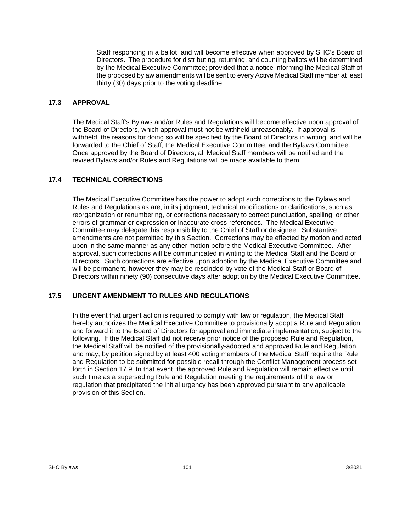Staff responding in a ballot, and will become effective when approved by SHC's Board of Directors. The procedure for distributing, returning, and counting ballots will be determined by the Medical Executive Committee; provided that a notice informing the Medical Staff of the proposed bylaw amendments will be sent to every Active Medical Staff member at least thirty (30) days prior to the voting deadline.

## **17.3 APPROVAL**

The Medical Staff's Bylaws and/or Rules and Regulations will become effective upon approval of the Board of Directors, which approval must not be withheld unreasonably. If approval is withheld, the reasons for doing so will be specified by the Board of Directors in writing, and will be forwarded to the Chief of Staff, the Medical Executive Committee, and the Bylaws Committee. Once approved by the Board of Directors, all Medical Staff members will be notified and the revised Bylaws and/or Rules and Regulations will be made available to them.

## **17.4 TECHNICAL CORRECTIONS**

The Medical Executive Committee has the power to adopt such corrections to the Bylaws and Rules and Regulations as are, in its judgment, technical modifications or clarifications, such as reorganization or renumbering, or corrections necessary to correct punctuation, spelling, or other errors of grammar or expression or inaccurate cross-references. The Medical Executive Committee may delegate this responsibility to the Chief of Staff or designee. Substantive amendments are not permitted by this Section. Corrections may be effected by motion and acted upon in the same manner as any other motion before the Medical Executive Committee. After approval, such corrections will be communicated in writing to the Medical Staff and the Board of Directors. Such corrections are effective upon adoption by the Medical Executive Committee and will be permanent, however they may be rescinded by vote of the Medical Staff or Board of Directors within ninety (90) consecutive days after adoption by the Medical Executive Committee.

## **17.5 URGENT AMENDMENT TO RULES AND REGULATIONS**

In the event that urgent action is required to comply with law or regulation, the Medical Staff hereby authorizes the Medical Executive Committee to provisionally adopt a Rule and Regulation and forward it to the Board of Directors for approval and immediate implementation, subject to the following. If the Medical Staff did not receive prior notice of the proposed Rule and Regulation, the Medical Staff will be notified of the provisionally-adopted and approved Rule and Regulation, and may, by petition signed by at least 400 voting members of the Medical Staff require the Rule and Regulation to be submitted for possible recall through the Conflict Management process set forth in Section 17.9 In that event, the approved Rule and Regulation will remain effective until such time as a superseding Rule and Regulation meeting the requirements of the law or regulation that precipitated the initial urgency has been approved pursuant to any applicable provision of this Section.